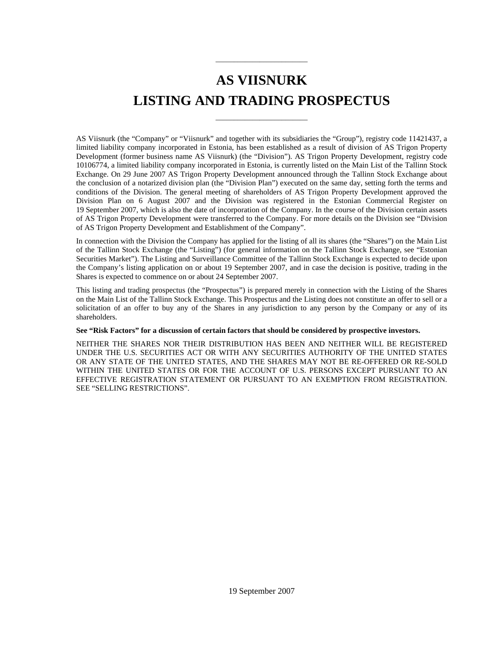# **AS VIISNURK LISTING AND TRADING PROSPECTUS**

\_\_\_\_\_\_\_\_\_\_\_\_\_\_\_\_\_\_\_\_\_\_\_\_\_

\_\_\_\_\_\_\_\_\_\_\_\_\_\_\_\_\_\_\_\_\_\_\_\_\_

AS Viisnurk (the "Company" or "Viisnurk" and together with its subsidiaries the "Group"), registry code 11421437, a limited liability company incorporated in Estonia, has been established as a result of division of AS Trigon Property Development (former business name AS Viisnurk) (the "Division"). AS Trigon Property Development, registry code 10106774, a limited liability company incorporated in Estonia, is currently listed on the Main List of the Tallinn Stock Exchange. On 29 June 2007 AS Trigon Property Development announced through the Tallinn Stock Exchange about the conclusion of a notarized division plan (the "Division Plan") executed on the same day, setting forth the terms and conditions of the Division. The general meeting of shareholders of AS Trigon Property Development approved the Division Plan on 6 August 2007 and the Division was registered in the Estonian Commercial Register on 19 September 2007, which is also the date of incorporation of the Company. In the course of the Division certain assets of AS Trigon Property Development were transferred to the Company. For more details on the Division see "Division of AS Trigon Property Development and Establishment of the Company".

In connection with the Division the Company has applied for the listing of all its shares (the "Shares") on the Main List of the Tallinn Stock Exchange (the "Listing") (for general information on the Tallinn Stock Exchange, see "Estonian Securities Market"). The Listing and Surveillance Committee of the Tallinn Stock Exchange is expected to decide upon the Company's listing application on or about 19 September 2007, and in case the decision is positive, trading in the Shares is expected to commence on or about 24 September 2007.

This listing and trading prospectus (the "Prospectus") is prepared merely in connection with the Listing of the Shares on the Main List of the Tallinn Stock Exchange. This Prospectus and the Listing does not constitute an offer to sell or a solicitation of an offer to buy any of the Shares in any jurisdiction to any person by the Company or any of its shareholders.

#### **See "Risk Factors" for a discussion of certain factors that should be considered by prospective investors.**

NEITHER THE SHARES NOR THEIR DISTRIBUTION HAS BEEN AND NEITHER WILL BE REGISTERED UNDER THE U.S. SECURITIES ACT OR WITH ANY SECURITIES AUTHORITY OF THE UNITED STATES OR ANY STATE OF THE UNITED STATES, AND THE SHARES MAY NOT BE RE-OFFERED OR RE-SOLD WITHIN THE UNITED STATES OR FOR THE ACCOUNT OF U.S. PERSONS EXCEPT PURSUANT TO AN EFFECTIVE REGISTRATION STATEMENT OR PURSUANT TO AN EXEMPTION FROM REGISTRATION. SEE "SELLING RESTRICTIONS".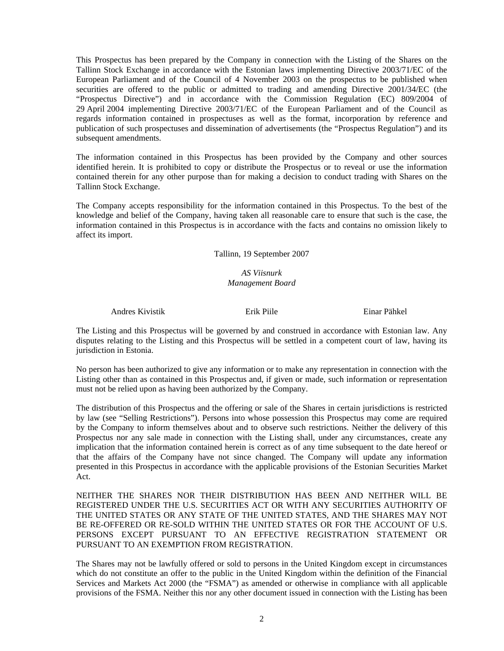This Prospectus has been prepared by the Company in connection with the Listing of the Shares on the Tallinn Stock Exchange in accordance with the Estonian laws implementing Directive 2003/71/EC of the European Parliament and of the Council of 4 November 2003 on the prospectus to be published when securities are offered to the public or admitted to trading and amending Directive 2001/34/EC (the "Prospectus Directive") and in accordance with the Commission Regulation (EC) 809/2004 of 29 April 2004 implementing Directive 2003/71/EC of the European Parliament and of the Council as regards information contained in prospectuses as well as the format, incorporation by reference and publication of such prospectuses and dissemination of advertisements (the "Prospectus Regulation") and its subsequent amendments.

The information contained in this Prospectus has been provided by the Company and other sources identified herein. It is prohibited to copy or distribute the Prospectus or to reveal or use the information contained therein for any other purpose than for making a decision to conduct trading with Shares on the Tallinn Stock Exchange.

The Company accepts responsibility for the information contained in this Prospectus. To the best of the knowledge and belief of the Company, having taken all reasonable care to ensure that such is the case, the information contained in this Prospectus is in accordance with the facts and contains no omission likely to affect its import.

Tallinn, 19 September 2007

## *AS Viisnurk Management Board*

Andres Kivistik Erik Piile Einar Pähkel

The Listing and this Prospectus will be governed by and construed in accordance with Estonian law. Any disputes relating to the Listing and this Prospectus will be settled in a competent court of law, having its jurisdiction in Estonia.

No person has been authorized to give any information or to make any representation in connection with the Listing other than as contained in this Prospectus and, if given or made, such information or representation must not be relied upon as having been authorized by the Company.

The distribution of this Prospectus and the offering or sale of the Shares in certain jurisdictions is restricted by law (see "Selling Restrictions"). Persons into whose possession this Prospectus may come are required by the Company to inform themselves about and to observe such restrictions. Neither the delivery of this Prospectus nor any sale made in connection with the Listing shall, under any circumstances, create any implication that the information contained herein is correct as of any time subsequent to the date hereof or that the affairs of the Company have not since changed. The Company will update any information presented in this Prospectus in accordance with the applicable provisions of the Estonian Securities Market Act.

NEITHER THE SHARES NOR THEIR DISTRIBUTION HAS BEEN AND NEITHER WILL BE REGISTERED UNDER THE U.S. SECURITIES ACT OR WITH ANY SECURITIES AUTHORITY OF THE UNITED STATES OR ANY STATE OF THE UNITED STATES, AND THE SHARES MAY NOT BE RE-OFFERED OR RE-SOLD WITHIN THE UNITED STATES OR FOR THE ACCOUNT OF U.S. PERSONS EXCEPT PURSUANT TO AN EFFECTIVE REGISTRATION STATEMENT OR PURSUANT TO AN EXEMPTION FROM REGISTRATION.

The Shares may not be lawfully offered or sold to persons in the United Kingdom except in circumstances which do not constitute an offer to the public in the United Kingdom within the definition of the Financial Services and Markets Act 2000 (the "FSMA") as amended or otherwise in compliance with all applicable provisions of the FSMA. Neither this nor any other document issued in connection with the Listing has been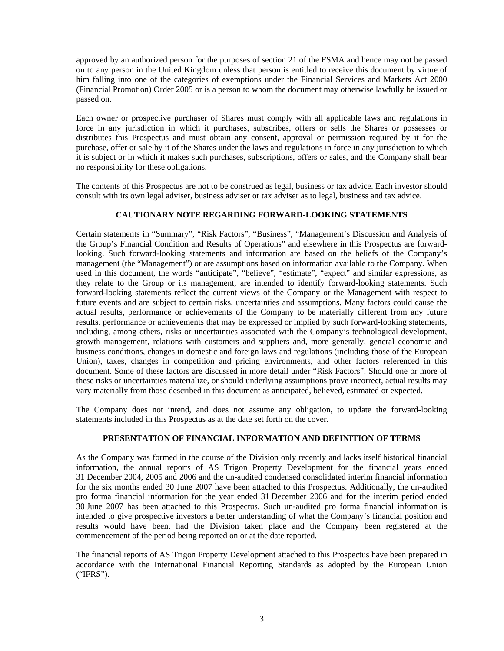approved by an authorized person for the purposes of section 21 of the FSMA and hence may not be passed on to any person in the United Kingdom unless that person is entitled to receive this document by virtue of him falling into one of the categories of exemptions under the Financial Services and Markets Act 2000 (Financial Promotion) Order 2005 or is a person to whom the document may otherwise lawfully be issued or passed on.

Each owner or prospective purchaser of Shares must comply with all applicable laws and regulations in force in any jurisdiction in which it purchases, subscribes, offers or sells the Shares or possesses or distributes this Prospectus and must obtain any consent, approval or permission required by it for the purchase, offer or sale by it of the Shares under the laws and regulations in force in any jurisdiction to which it is subject or in which it makes such purchases, subscriptions, offers or sales, and the Company shall bear no responsibility for these obligations.

The contents of this Prospectus are not to be construed as legal, business or tax advice. Each investor should consult with its own legal adviser, business adviser or tax adviser as to legal, business and tax advice.

#### **CAUTIONARY NOTE REGARDING FORWARD-LOOKING STATEMENTS**

Certain statements in "Summary", "Risk Factors", "Business", "Management's Discussion and Analysis of the Group's Financial Condition and Results of Operations" and elsewhere in this Prospectus are forwardlooking. Such forward-looking statements and information are based on the beliefs of the Company's management (the "Management") or are assumptions based on information available to the Company. When used in this document, the words "anticipate", "believe", "estimate", "expect" and similar expressions, as they relate to the Group or its management, are intended to identify forward-looking statements. Such forward-looking statements reflect the current views of the Company or the Management with respect to future events and are subject to certain risks, uncertainties and assumptions. Many factors could cause the actual results, performance or achievements of the Company to be materially different from any future results, performance or achievements that may be expressed or implied by such forward-looking statements, including, among others, risks or uncertainties associated with the Company's technological development, growth management, relations with customers and suppliers and, more generally, general economic and business conditions, changes in domestic and foreign laws and regulations (including those of the European Union), taxes, changes in competition and pricing environments, and other factors referenced in this document. Some of these factors are discussed in more detail under "Risk Factors". Should one or more of these risks or uncertainties materialize, or should underlying assumptions prove incorrect, actual results may vary materially from those described in this document as anticipated, believed, estimated or expected.

The Company does not intend, and does not assume any obligation, to update the forward-looking statements included in this Prospectus as at the date set forth on the cover.

#### **PRESENTATION OF FINANCIAL INFORMATION AND DEFINITION OF TERMS**

As the Company was formed in the course of the Division only recently and lacks itself historical financial information, the annual reports of AS Trigon Property Development for the financial years ended 31 December 2004, 2005 and 2006 and the un-audited condensed consolidated interim financial information for the six months ended 30 June 2007 have been attached to this Prospectus. Additionally, the un-audited pro forma financial information for the year ended 31 December 2006 and for the interim period ended 30 June 2007 has been attached to this Prospectus. Such un-audited pro forma financial information is intended to give prospective investors a better understanding of what the Company's financial position and results would have been, had the Division taken place and the Company been registered at the commencement of the period being reported on or at the date reported.

The financial reports of AS Trigon Property Development attached to this Prospectus have been prepared in accordance with the International Financial Reporting Standards as adopted by the European Union ("IFRS").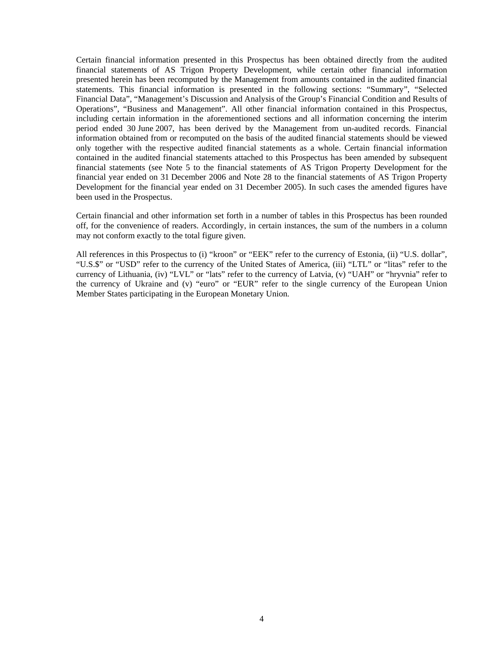Certain financial information presented in this Prospectus has been obtained directly from the audited financial statements of AS Trigon Property Development, while certain other financial information presented herein has been recomputed by the Management from amounts contained in the audited financial statements. This financial information is presented in the following sections: "Summary", "Selected Financial Data", "Management's Discussion and Analysis of the Group's Financial Condition and Results of Operations", "Business and Management". All other financial information contained in this Prospectus, including certain information in the aforementioned sections and all information concerning the interim period ended 30 June 2007, has been derived by the Management from un-audited records. Financial information obtained from or recomputed on the basis of the audited financial statements should be viewed only together with the respective audited financial statements as a whole. Certain financial information contained in the audited financial statements attached to this Prospectus has been amended by subsequent financial statements (see Note 5 to the financial statements of AS Trigon Property Development for the financial year ended on 31 December 2006 and Note 28 to the financial statements of AS Trigon Property Development for the financial year ended on 31 December 2005). In such cases the amended figures have been used in the Prospectus.

Certain financial and other information set forth in a number of tables in this Prospectus has been rounded off, for the convenience of readers. Accordingly, in certain instances, the sum of the numbers in a column may not conform exactly to the total figure given.

All references in this Prospectus to (i) "kroon" or "EEK" refer to the currency of Estonia, (ii) "U.S. dollar", "U.S.\$" or "USD" refer to the currency of the United States of America, (iii) "LTL" or "litas" refer to the currency of Lithuania, (iv) "LVL" or "lats" refer to the currency of Latvia, (v) "UAH" or "hryvnia" refer to the currency of Ukraine and (v) "euro" or "EUR" refer to the single currency of the European Union Member States participating in the European Monetary Union.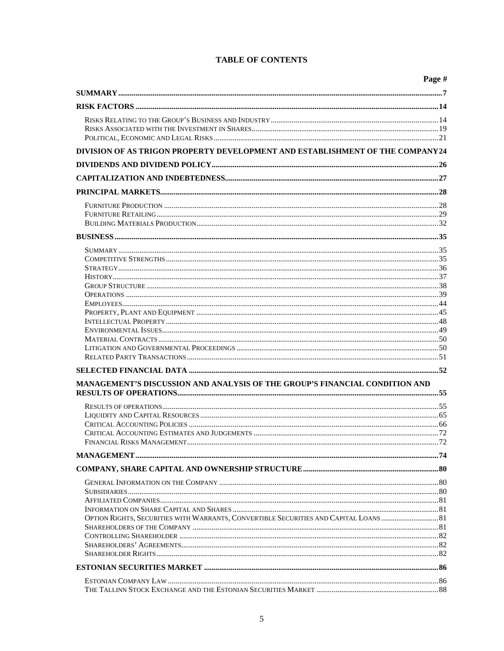| DIVISION OF AS TRIGON PROPERTY DEVELOPMENT AND ESTABLISHMENT OF THE COMPANY24         |
|---------------------------------------------------------------------------------------|
|                                                                                       |
|                                                                                       |
|                                                                                       |
|                                                                                       |
|                                                                                       |
|                                                                                       |
|                                                                                       |
|                                                                                       |
|                                                                                       |
|                                                                                       |
|                                                                                       |
|                                                                                       |
|                                                                                       |
|                                                                                       |
|                                                                                       |
|                                                                                       |
|                                                                                       |
|                                                                                       |
|                                                                                       |
|                                                                                       |
|                                                                                       |
|                                                                                       |
|                                                                                       |
|                                                                                       |
|                                                                                       |
| MANAGEMENT'S DISCUSSION AND ANALYSIS OF THE GROUP'S FINANCIAL CONDITION AND           |
|                                                                                       |
|                                                                                       |
|                                                                                       |
|                                                                                       |
|                                                                                       |
| FINANCIAL RISKS MANAGEMENT 72                                                         |
|                                                                                       |
|                                                                                       |
|                                                                                       |
|                                                                                       |
|                                                                                       |
| OPTION RIGHTS, SECURITIES WITH WARRANTS, CONVERTIBLE SECURITIES AND CAPITAL LOANS  81 |
|                                                                                       |
|                                                                                       |
|                                                                                       |
|                                                                                       |
|                                                                                       |
|                                                                                       |
|                                                                                       |

# **TABLE OF CONTENTS**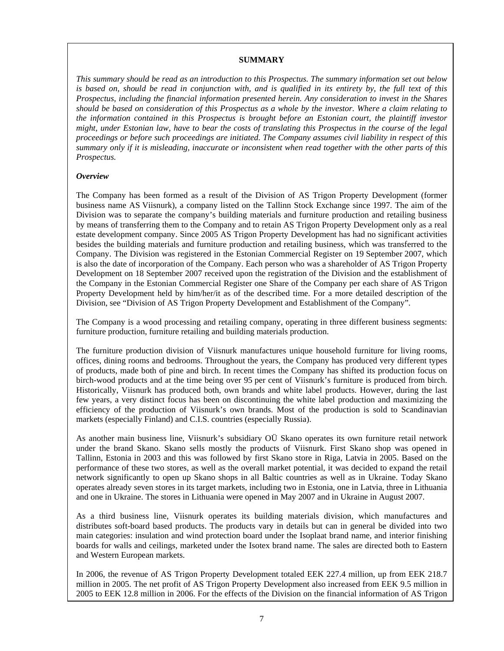#### **SUMMARY**

*This summary should be read as an introduction to this Prospectus. The summary information set out below is based on, should be read in conjunction with, and is qualified in its entirety by, the full text of this Prospectus, including the financial information presented herein. Any consideration to invest in the Shares should be based on consideration of this Prospectus as a whole by the investor. Where a claim relating to the information contained in this Prospectus is brought before an Estonian court, the plaintiff investor might, under Estonian law, have to bear the costs of translating this Prospectus in the course of the legal proceedings or before such proceedings are initiated. The Company assumes civil liability in respect of this summary only if it is misleading, inaccurate or inconsistent when read together with the other parts of this Prospectus.* 

#### *Overview*

The Company has been formed as a result of the Division of AS Trigon Property Development (former business name AS Viisnurk), a company listed on the Tallinn Stock Exchange since 1997. The aim of the Division was to separate the company's building materials and furniture production and retailing business by means of transferring them to the Company and to retain AS Trigon Property Development only as a real estate development company. Since 2005 AS Trigon Property Development has had no significant activities besides the building materials and furniture production and retailing business, which was transferred to the Company. The Division was registered in the Estonian Commercial Register on 19 September 2007, which is also the date of incorporation of the Company. Each person who was a shareholder of AS Trigon Property Development on 18 September 2007 received upon the registration of the Division and the establishment of the Company in the Estonian Commercial Register one Share of the Company per each share of AS Trigon Property Development held by him/her/it as of the described time. For a more detailed description of the Division, see "Division of AS Trigon Property Development and Establishment of the Company".

The Company is a wood processing and retailing company, operating in three different business segments: furniture production, furniture retailing and building materials production.

The furniture production division of Viisnurk manufactures unique household furniture for living rooms, offices, dining rooms and bedrooms. Throughout the years, the Company has produced very different types of products, made both of pine and birch. In recent times the Company has shifted its production focus on birch-wood products and at the time being over 95 per cent of Viisnurk's furniture is produced from birch. Historically, Viisnurk has produced both, own brands and white label products. However, during the last few years, a very distinct focus has been on discontinuing the white label production and maximizing the efficiency of the production of Viisnurk's own brands. Most of the production is sold to Scandinavian markets (especially Finland) and C.I.S. countries (especially Russia).

As another main business line, Viisnurk's subsidiary OÜ Skano operates its own furniture retail network under the brand Skano. Skano sells mostly the products of Viisnurk. First Skano shop was opened in Tallinn, Estonia in 2003 and this was followed by first Skano store in Riga, Latvia in 2005. Based on the performance of these two stores, as well as the overall market potential, it was decided to expand the retail network significantly to open up Skano shops in all Baltic countries as well as in Ukraine. Today Skano operates already seven stores in its target markets, including two in Estonia, one in Latvia, three in Lithuania and one in Ukraine. The stores in Lithuania were opened in May 2007 and in Ukraine in August 2007.

As a third business line, Viisnurk operates its building materials division, which manufactures and distributes soft-board based products. The products vary in details but can in general be divided into two main categories: insulation and wind protection board under the Isoplaat brand name, and interior finishing boards for walls and ceilings, marketed under the Isotex brand name. The sales are directed both to Eastern and Western European markets.

In 2006, the revenue of AS Trigon Property Development totaled EEK 227.4 million, up from EEK 218.7 million in 2005. The net profit of AS Trigon Property Development also increased from EEK 9.5 million in 2005 to EEK 12.8 million in 2006. For the effects of the Division on the financial information of AS Trigon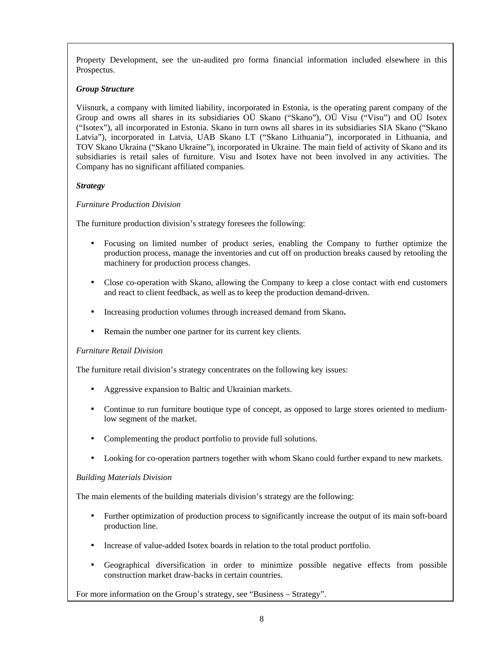Property Development, see the un-audited pro forma financial information included elsewhere in this Prospectus.

## *Group Structure*

Viisnurk, a company with limited liability, incorporated in Estonia, is the operating parent company of the Group and owns all shares in its subsidiaries OÜ Skano ("Skano"), OÜ Visu ("Visu") and OÜ Isotex ("Isotex"), all incorporated in Estonia. Skano in turn owns all shares in its subsidiaries SIA Skano ("Skano Latvia"), incorporated in Latvia, UAB Skano LT ("Skano Lithuania"), incorporated in Lithuania, and TOV Skano Ukraina ("Skano Ukraine"), incorporated in Ukraine. The main field of activity of Skano and its subsidiaries is retail sales of furniture. Visu and Isotex have not been involved in any activities. The Company has no significant affiliated companies.

## *Strategy*

## *Furniture Production Division*

The furniture production division's strategy foresees the following:

- Focusing on limited number of product series, enabling the Company to further optimize the production process, manage the inventories and cut off on production breaks caused by retooling the machinery for production process changes.
- Close co-operation with Skano, allowing the Company to keep a close contact with end customers and react to client feedback, as well as to keep the production demand-driven.
- Increasing production volumes through increased demand from Skano**.**
- Remain the number one partner for its current key clients.

## *Furniture Retail Division*

The furniture retail division's strategy concentrates on the following key issues:

- Aggressive expansion to Baltic and Ukrainian markets.
- Continue to run furniture boutique type of concept, as opposed to large stores oriented to mediumlow segment of the market.
- Complementing the product portfolio to provide full solutions.
- Looking for co-operation partners together with whom Skano could further expand to new markets.

## *Building Materials Division*

The main elements of the building materials division's strategy are the following:

- Further optimization of production process to significantly increase the output of its main soft-board production line.
- Increase of value-added Isotex boards in relation to the total product portfolio.
- Geographical diversification in order to minimize possible negative effects from possible construction market draw-backs in certain countries.

For more information on the Group's strategy, see "Business – Strategy".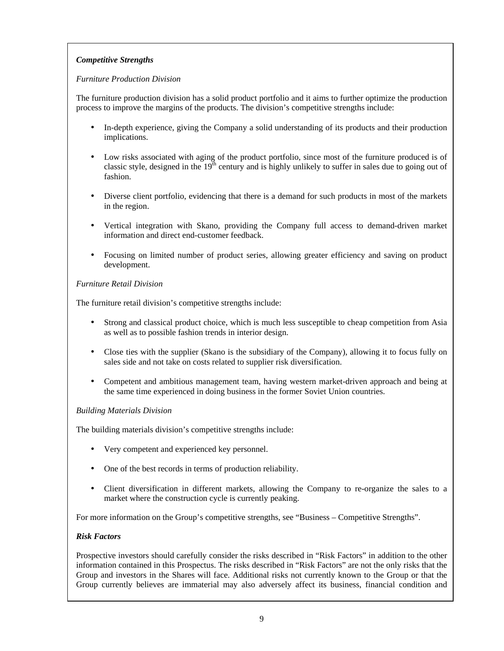# *Competitive Strengths*

## *Furniture Production Division*

The furniture production division has a solid product portfolio and it aims to further optimize the production process to improve the margins of the products. The division's competitive strengths include:

- In-depth experience, giving the Company a solid understanding of its products and their production implications.
- Low risks associated with aging of the product portfolio, since most of the furniture produced is of classic style, designed in the  $19<sup>th</sup>$  century and is highly unlikely to suffer in sales due to going out of fashion.
- Diverse client portfolio, evidencing that there is a demand for such products in most of the markets in the region.
- Vertical integration with Skano, providing the Company full access to demand-driven market information and direct end-customer feedback.
- Focusing on limited number of product series, allowing greater efficiency and saving on product development.

## *Furniture Retail Division*

The furniture retail division's competitive strengths include:

- Strong and classical product choice, which is much less susceptible to cheap competition from Asia as well as to possible fashion trends in interior design.
- Close ties with the supplier (Skano is the subsidiary of the Company), allowing it to focus fully on sales side and not take on costs related to supplier risk diversification.
- Competent and ambitious management team, having western market-driven approach and being at the same time experienced in doing business in the former Soviet Union countries.

## *Building Materials Division*

The building materials division's competitive strengths include:

- Very competent and experienced key personnel.
- One of the best records in terms of production reliability.
- Client diversification in different markets, allowing the Company to re-organize the sales to a market where the construction cycle is currently peaking.

For more information on the Group's competitive strengths, see "Business – Competitive Strengths".

## *Risk Factors*

Prospective investors should carefully consider the risks described in "Risk Factors" in addition to the other information contained in this Prospectus. The risks described in "Risk Factors" are not the only risks that the Group and investors in the Shares will face. Additional risks not currently known to the Group or that the Group currently believes are immaterial may also adversely affect its business, financial condition and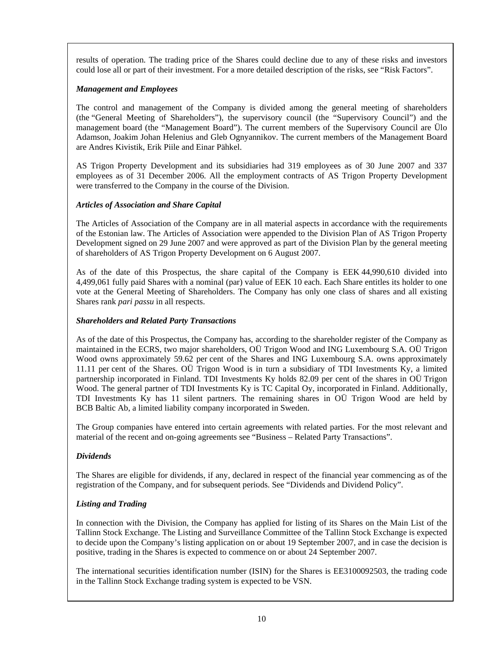results of operation. The trading price of the Shares could decline due to any of these risks and investors could lose all or part of their investment. For a more detailed description of the risks, see "Risk Factors".

## *Management and Employees*

The control and management of the Company is divided among the general meeting of shareholders (the "General Meeting of Shareholders"), the supervisory council (the "Supervisory Council") and the management board (the "Management Board"). The current members of the Supervisory Council are Ülo Adamson, Joakim Johan Helenius and Gleb Ognyannikov. The current members of the Management Board are Andres Kivistik, Erik Piile and Einar Pähkel.

AS Trigon Property Development and its subsidiaries had 319 employees as of 30 June 2007 and 337 employees as of 31 December 2006. All the employment contracts of AS Trigon Property Development were transferred to the Company in the course of the Division.

## *Articles of Association and Share Capital*

The Articles of Association of the Company are in all material aspects in accordance with the requirements of the Estonian law. The Articles of Association were appended to the Division Plan of AS Trigon Property Development signed on 29 June 2007 and were approved as part of the Division Plan by the general meeting of shareholders of AS Trigon Property Development on 6 August 2007.

As of the date of this Prospectus, the share capital of the Company is EEK 44,990,610 divided into 4,499,061 fully paid Shares with a nominal (par) value of EEK 10 each. Each Share entitles its holder to one vote at the General Meeting of Shareholders. The Company has only one class of shares and all existing Shares rank *pari passu* in all respects.

## *Shareholders and Related Party Transactions*

As of the date of this Prospectus, the Company has, according to the shareholder register of the Company as maintained in the ECRS, two major shareholders, OÜ Trigon Wood and ING Luxembourg S.A. OÜ Trigon Wood owns approximately 59.62 per cent of the Shares and ING Luxembourg S.A. owns approximately 11.11 per cent of the Shares. OÜ Trigon Wood is in turn a subsidiary of TDI Investments Ky, a limited partnership incorporated in Finland. TDI Investments Ky holds 82.09 per cent of the shares in OÜ Trigon Wood. The general partner of TDI Investments Ky is TC Capital Oy, incorporated in Finland. Additionally, TDI Investments Ky has 11 silent partners. The remaining shares in OÜ Trigon Wood are held by BCB Baltic Ab, a limited liability company incorporated in Sweden.

The Group companies have entered into certain agreements with related parties. For the most relevant and material of the recent and on-going agreements see "Business – Related Party Transactions".

# *Dividends*

The Shares are eligible for dividends, if any, declared in respect of the financial year commencing as of the registration of the Company, and for subsequent periods. See "Dividends and Dividend Policy".

## *Listing and Trading*

In connection with the Division, the Company has applied for listing of its Shares on the Main List of the Tallinn Stock Exchange. The Listing and Surveillance Committee of the Tallinn Stock Exchange is expected to decide upon the Company's listing application on or about 19 September 2007, and in case the decision is positive, trading in the Shares is expected to commence on or about 24 September 2007.

The international securities identification number (ISIN) for the Shares is EE3100092503, the trading code in the Tallinn Stock Exchange trading system is expected to be VSN.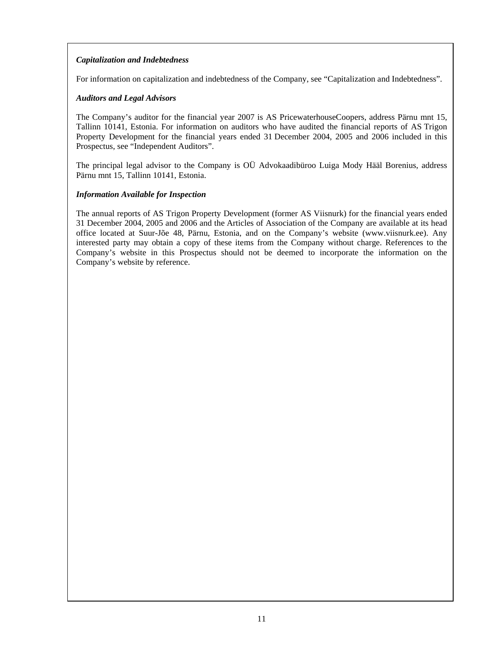# *Capitalization and Indebtedness*

For information on capitalization and indebtedness of the Company, see "Capitalization and Indebtedness".

## *Auditors and Legal Advisors*

The Company's auditor for the financial year 2007 is AS PricewaterhouseCoopers, address Pärnu mnt 15, Tallinn 10141, Estonia. For information on auditors who have audited the financial reports of AS Trigon Property Development for the financial years ended 31 December 2004, 2005 and 2006 included in this Prospectus, see "Independent Auditors".

The principal legal advisor to the Company is OÜ Advokaadibüroo Luiga Mody Hääl Borenius, address Pärnu mnt 15, Tallinn 10141, Estonia.

## *Information Available for Inspection*

The annual reports of AS Trigon Property Development (former AS Viisnurk) for the financial years ended 31 December 2004, 2005 and 2006 and the Articles of Association of the Company are available at its head office located at Suur-Jõe 48, Pärnu, Estonia, and on the Company's website (www.viisnurk.ee). Any interested party may obtain a copy of these items from the Company without charge. References to the Company's website in this Prospectus should not be deemed to incorporate the information on the Company's website by reference.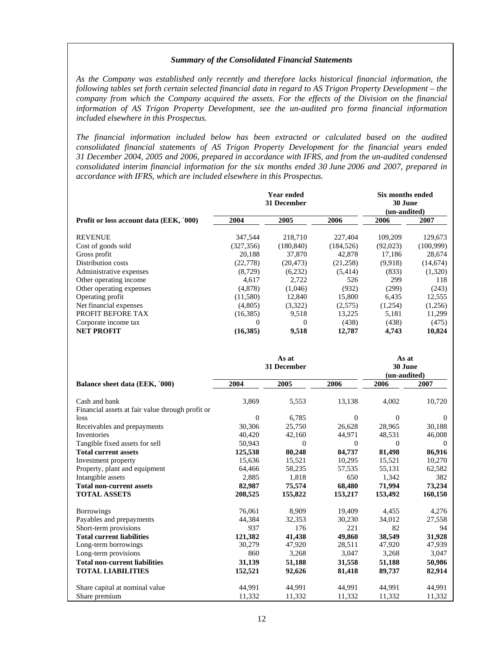#### *Summary of the Consolidated Financial Statements*

*As the Company was established only recently and therefore lacks historical financial information, the following tables set forth certain selected financial data in regard to AS Trigon Property Development – the company from which the Company acquired the assets. For the effects of the Division on the financial information of AS Trigon Property Development, see the un-audited pro forma financial information included elsewhere in this Prospectus.* 

*The financial information included below has been extracted or calculated based on the audited consolidated financial statements of AS Trigon Property Development for the financial years ended 31 December 2004, 2005 and 2006, prepared in accordance with IFRS, and from the un-audited condensed consolidated interim financial information for the six months ended 30 June 2006 and 2007, prepared in accordance with IFRS, which are included elsewhere in this Prospectus.* 

|                                                                   |                  | <b>Year ended</b><br>31 December |              | Six months ended<br>30 June<br>(un-audited) |              |
|-------------------------------------------------------------------|------------------|----------------------------------|--------------|---------------------------------------------|--------------|
| Profit or loss account data (EEK, '000)                           | 2004             | 2005                             | 2006         | 2006                                        | 2007         |
| <b>REVENUE</b>                                                    | 347,544          | 218,710                          | 227,404      | 109,209                                     | 129,673      |
| Cost of goods sold                                                | (327, 356)       | (180, 840)                       | (184, 526)   | (92,023)                                    | (100, 999)   |
| Gross profit                                                      | 20,188           | 37,870                           | 42,878       | 17,186                                      | 28,674       |
| Distribution costs                                                | (22, 778)        | (20, 473)                        | (21, 258)    | (9,918)                                     | (14, 674)    |
| Administrative expenses                                           | (8,729)          | (6,232)                          | (5,414)      | (833)                                       | (1,320)      |
| Other operating income                                            | 4,617            | 2,722                            | 526          | 299                                         | 118          |
| Other operating expenses                                          | (4,878)          | (1,046)                          | (932)        | (299)                                       | (243)        |
| Operating profit                                                  | (11,580)         | 12,840                           | 15,800       | 6,435                                       | 12,555       |
| Net financial expenses                                            | (4,805)          | (3,322)                          | (2,575)      | (1,254)                                     | (1,256)      |
| PROFIT BEFORE TAX                                                 | (16, 385)        | 9,518                            | 13,225       | 5,181                                       | 11,299       |
| Corporate income tax                                              | $\Omega$         | $\theta$                         | (438)        | (438)                                       | (475)        |
| <b>NET PROFIT</b>                                                 | (16, 385)        | 9,518                            | 12,787       | 4,743                                       | 10,824       |
|                                                                   |                  | As at<br>31 December             |              | As at<br>30 June<br>(un-audited)            |              |
| Balance sheet data (EEK, '000)                                    | 2004             | 2005                             | 2006         | 2006                                        | 2007         |
| Cash and bank<br>Financial assets at fair value through profit or | 3,869            | 5,553                            | 13,138       | 4,002                                       | 10,720       |
| loss                                                              | $\boldsymbol{0}$ | 6,785                            | $\mathbf{0}$ | $\mathbf{0}$                                | $\mathbf{0}$ |
| Receivables and prepayments                                       | 30,306           | 25,750                           | 26,628       | 28,965                                      | 30,188       |
| Inventories                                                       | 40,420           | 42,160                           | 44,971       | 48,531                                      | 46,008       |
| Tangible fixed assets for sell                                    | 50,943           | $\Omega$                         | $\Omega$     | $\Omega$                                    | $\theta$     |
| <b>Total current assets</b>                                       | 125,538          | 80,248                           | 84,737       | 81,498                                      | 86,916       |
| Investment property                                               | 15,636           | 15,521                           | 10,295       | 15,521                                      | 10,270       |
| Property, plant and equipment                                     | 64,466           | 58,235                           | 57,535       | 55,131                                      | 62,582       |
| Intangible assets                                                 | 2,885            | 1,818                            | 650          | 1,342                                       | 382          |
| <b>Total non-current assets</b>                                   | 82,987           | 75,574                           | 68,480       | 71,994                                      | 73,234       |
| <b>TOTAL ASSETS</b>                                               | 208,525          | 155,822                          | 153,217      | 153,492                                     | 160,150      |
| <b>Borrowings</b>                                                 | 76,061           | 8,909                            | 19,409       | 4,455                                       | 4,276        |
| Payables and prepayments                                          | 44,384           | 32,353                           | 30,230       | 34,012                                      | 27,558       |
| Short-term provisions                                             | 937              | 176                              | 221          | 82                                          | 94           |
| <b>Total current liabilities</b>                                  | 121,382          | 41,438                           | 49,860       | 38,549                                      | 31,928       |
| Long-term borrowings                                              | 30,279           | 47,920                           | 28,511       | 47,920                                      | 47,939       |
| Long-term provisions                                              | 860              | 3,268                            | 3,047        | 3,268                                       | 3,047        |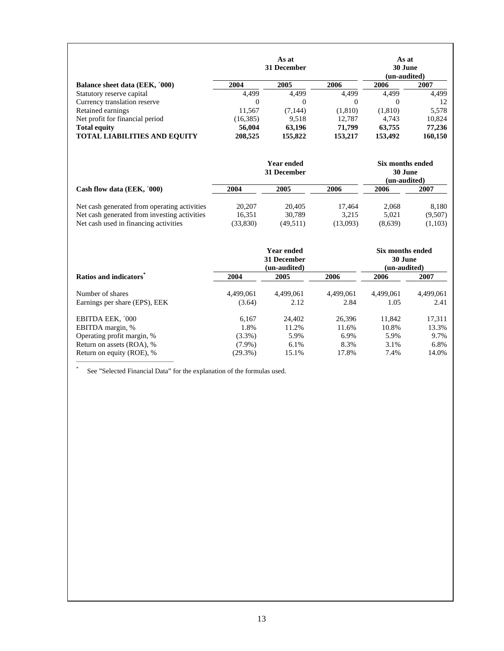|                                     |           | As at<br>31 December |          | As at<br>30 June<br>(un-audited) |         |
|-------------------------------------|-----------|----------------------|----------|----------------------------------|---------|
| Balance sheet data (EEK, '000)      | 2004      | 2005                 | 2006     | 2006                             | 2007    |
| Statutory reserve capital           | 4.499     | 4.499                | 4.499    | 4.499                            | 4.499   |
| Currency translation reserve        | 0         | $\theta$             | $\theta$ | 0                                | 12      |
| Retained earnings                   | 11.567    | (7, 144)             | (1,810)  | (1,810)                          | 5,578   |
| Net profit for financial period     | (16, 385) | 9.518                | 12.787   | 4.743                            | 10,824  |
| <b>Total equity</b>                 | 56,004    | 63.196               | 71,799   | 63,755                           | 77,236  |
| <b>TOTAL LIABILITIES AND EQUITY</b> | 208,525   | 155,822              | 153,217  | 153,492                          | 160,150 |

|                                                                                                                                       |                              | <b>Year ended</b><br>31 December | Six months ended<br>30 June<br>(un-audited) |                           |                             |
|---------------------------------------------------------------------------------------------------------------------------------------|------------------------------|----------------------------------|---------------------------------------------|---------------------------|-----------------------------|
| Cash flow data (EEK, '000)                                                                                                            | 2004                         | 2005                             | 2006                                        | 2006                      | 2007                        |
| Net cash generated from operating activities<br>Net cash generated from investing activities<br>Net cash used in financing activities | 20,207<br>16.351<br>(33,830) | 20,405<br>30.789<br>(49, 511)    | 17.464<br>3.215<br>(13,093)                 | 2.068<br>5.021<br>(8,639) | 8.180<br>(9,507)<br>(1,103) |

|                               | 31 December | Six months ended<br>30 June<br>(un-audited) |           |           |           |
|-------------------------------|-------------|---------------------------------------------|-----------|-----------|-----------|
| Ratios and indicators         | 2004        | 2005                                        | 2006      | 2006      | 2007      |
| Number of shares              | 4.499.061   | 4.499.061                                   | 4.499.061 | 4.499.061 | 4.499.061 |
| Earnings per share (EPS), EEK | (3.64)      | 2.12                                        | 2.84      | 1.05      | 2.41      |
| EBITDA EEK, '000              | 6.167       | 24,402                                      | 26.396    | 11.842    | 17,311    |
| EBITDA margin, %              | 1.8%        | 11.2%                                       | 11.6%     | 10.8%     | 13.3%     |
| Operating profit margin, %    | $(3.3\%)$   | 5.9%                                        | 6.9%      | 5.9%      | 9.7%      |
| Return on assets (ROA), %     | $(7.9\%)$   | 6.1%                                        | 8.3%      | 3.1%      | 6.8%      |
| Return on equity (ROE), %     | $(29.3\%)$  | 15.1%                                       | 17.8%     | 7.4%      | 14.0%     |

\* See "Selected Financial Data" for the explanation of the formulas used.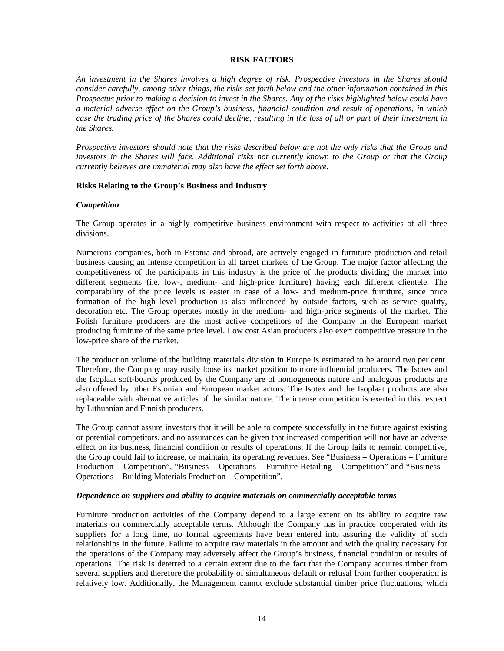#### **RISK FACTORS**

*An investment in the Shares involves a high degree of risk. Prospective investors in the Shares should consider carefully, among other things, the risks set forth below and the other information contained in this Prospectus prior to making a decision to invest in the Shares. Any of the risks highlighted below could have a material adverse effect on the Group's business, financial condition and result of operations, in which case the trading price of the Shares could decline, resulting in the loss of all or part of their investment in the Shares.* 

*Prospective investors should note that the risks described below are not the only risks that the Group and investors in the Shares will face. Additional risks not currently known to the Group or that the Group currently believes are immaterial may also have the effect set forth above.*

#### **Risks Relating to the Group's Business and Industry**

#### *Competition*

The Group operates in a highly competitive business environment with respect to activities of all three divisions.

Numerous companies, both in Estonia and abroad, are actively engaged in furniture production and retail business causing an intense competition in all target markets of the Group. The major factor affecting the competitiveness of the participants in this industry is the price of the products dividing the market into different segments (i.e. low-, medium- and high-price furniture) having each different clientele. The comparability of the price levels is easier in case of a low- and medium-price furniture, since price formation of the high level production is also influenced by outside factors, such as service quality, decoration etc. The Group operates mostly in the medium- and high-price segments of the market. The Polish furniture producers are the most active competitors of the Company in the European market producing furniture of the same price level. Low cost Asian producers also exert competitive pressure in the low-price share of the market.

The production volume of the building materials division in Europe is estimated to be around two per cent. Therefore, the Company may easily loose its market position to more influential producers. The Isotex and the Isoplaat soft-boards produced by the Company are of homogeneous nature and analogous products are also offered by other Estonian and European market actors. The Isotex and the Isoplaat products are also replaceable with alternative articles of the similar nature. The intense competition is exerted in this respect by Lithuanian and Finnish producers.

The Group cannot assure investors that it will be able to compete successfully in the future against existing or potential competitors, and no assurances can be given that increased competition will not have an adverse effect on its business, financial condition or results of operations. If the Group fails to remain competitive, the Group could fail to increase, or maintain, its operating revenues. See "Business – Operations – Furniture Production – Competition", "Business – Operations – Furniture Retailing – Competition" and "Business – Operations – Building Materials Production – Competition".

#### *Dependence on suppliers and ability to acquire materials on commercially acceptable terms*

Furniture production activities of the Company depend to a large extent on its ability to acquire raw materials on commercially acceptable terms. Although the Company has in practice cooperated with its suppliers for a long time, no formal agreements have been entered into assuring the validity of such relationships in the future. Failure to acquire raw materials in the amount and with the quality necessary for the operations of the Company may adversely affect the Group's business, financial condition or results of operations. The risk is deterred to a certain extent due to the fact that the Company acquires timber from several suppliers and therefore the probability of simultaneous default or refusal from further cooperation is relatively low. Additionally, the Management cannot exclude substantial timber price fluctuations, which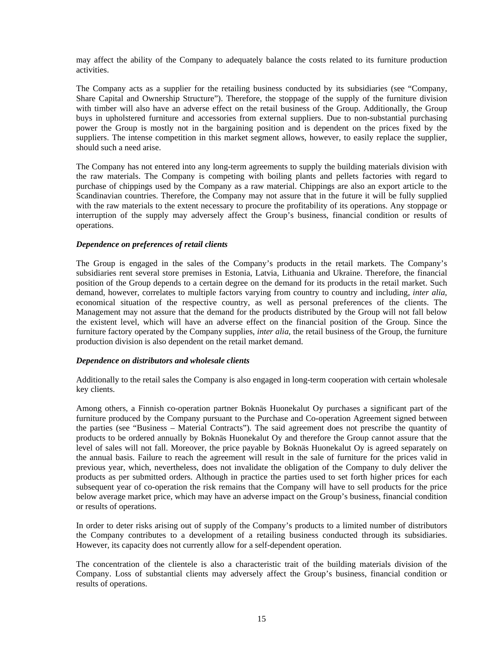may affect the ability of the Company to adequately balance the costs related to its furniture production activities.

The Company acts as a supplier for the retailing business conducted by its subsidiaries (see "Company, Share Capital and Ownership Structure"). Therefore, the stoppage of the supply of the furniture division with timber will also have an adverse effect on the retail business of the Group. Additionally, the Group buys in upholstered furniture and accessories from external suppliers. Due to non-substantial purchasing power the Group is mostly not in the bargaining position and is dependent on the prices fixed by the suppliers. The intense competition in this market segment allows, however, to easily replace the supplier, should such a need arise.

The Company has not entered into any long-term agreements to supply the building materials division with the raw materials. The Company is competing with boiling plants and pellets factories with regard to purchase of chippings used by the Company as a raw material. Chippings are also an export article to the Scandinavian countries. Therefore, the Company may not assure that in the future it will be fully supplied with the raw materials to the extent necessary to procure the profitability of its operations. Any stoppage or interruption of the supply may adversely affect the Group's business, financial condition or results of operations.

#### *Dependence on preferences of retail clients*

The Group is engaged in the sales of the Company's products in the retail markets. The Company's subsidiaries rent several store premises in Estonia, Latvia, Lithuania and Ukraine. Therefore, the financial position of the Group depends to a certain degree on the demand for its products in the retail market. Such demand, however, correlates to multiple factors varying from country to country and including, *inter alia*, economical situation of the respective country, as well as personal preferences of the clients. The Management may not assure that the demand for the products distributed by the Group will not fall below the existent level, which will have an adverse effect on the financial position of the Group. Since the furniture factory operated by the Company supplies, *inter alia*, the retail business of the Group, the furniture production division is also dependent on the retail market demand.

## *Dependence on distributors and wholesale clients*

Additionally to the retail sales the Company is also engaged in long-term cooperation with certain wholesale key clients.

Among others, a Finnish co-operation partner Boknäs Huonekalut Oy purchases a significant part of the furniture produced by the Company pursuant to the Purchase and Co-operation Agreement signed between the parties (see "Business – Material Contracts"). The said agreement does not prescribe the quantity of products to be ordered annually by Boknäs Huonekalut Oy and therefore the Group cannot assure that the level of sales will not fall. Moreover, the price payable by Boknäs Huonekalut Oy is agreed separately on the annual basis. Failure to reach the agreement will result in the sale of furniture for the prices valid in previous year, which, nevertheless, does not invalidate the obligation of the Company to duly deliver the products as per submitted orders. Although in practice the parties used to set forth higher prices for each subsequent year of co-operation the risk remains that the Company will have to sell products for the price below average market price, which may have an adverse impact on the Group's business, financial condition or results of operations.

In order to deter risks arising out of supply of the Company's products to a limited number of distributors the Company contributes to a development of a retailing business conducted through its subsidiaries. However, its capacity does not currently allow for a self-dependent operation.

The concentration of the clientele is also a characteristic trait of the building materials division of the Company. Loss of substantial clients may adversely affect the Group's business, financial condition or results of operations.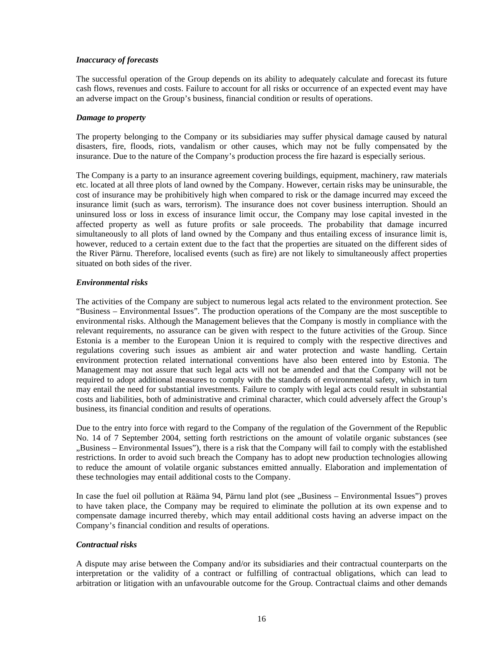## *Inaccuracy of forecasts*

The successful operation of the Group depends on its ability to adequately calculate and forecast its future cash flows, revenues and costs. Failure to account for all risks or occurrence of an expected event may have an adverse impact on the Group's business, financial condition or results of operations.

## *Damage to property*

The property belonging to the Company or its subsidiaries may suffer physical damage caused by natural disasters, fire, floods, riots, vandalism or other causes, which may not be fully compensated by the insurance. Due to the nature of the Company's production process the fire hazard is especially serious.

The Company is a party to an insurance agreement covering buildings, equipment, machinery, raw materials etc. located at all three plots of land owned by the Company. However, certain risks may be uninsurable, the cost of insurance may be prohibitively high when compared to risk or the damage incurred may exceed the insurance limit (such as wars, terrorism). The insurance does not cover business interruption. Should an uninsured loss or loss in excess of insurance limit occur, the Company may lose capital invested in the affected property as well as future profits or sale proceeds. The probability that damage incurred simultaneously to all plots of land owned by the Company and thus entailing excess of insurance limit is, however, reduced to a certain extent due to the fact that the properties are situated on the different sides of the River Pärnu. Therefore, localised events (such as fire) are not likely to simultaneously affect properties situated on both sides of the river.

## *Environmental risks*

The activities of the Company are subject to numerous legal acts related to the environment protection. See "Business – Environmental Issues". The production operations of the Company are the most susceptible to environmental risks. Although the Management believes that the Company is mostly in compliance with the relevant requirements, no assurance can be given with respect to the future activities of the Group. Since Estonia is a member to the European Union it is required to comply with the respective directives and regulations covering such issues as ambient air and water protection and waste handling. Certain environment protection related international conventions have also been entered into by Estonia. The Management may not assure that such legal acts will not be amended and that the Company will not be required to adopt additional measures to comply with the standards of environmental safety, which in turn may entail the need for substantial investments. Failure to comply with legal acts could result in substantial costs and liabilities, both of administrative and criminal character, which could adversely affect the Group's business, its financial condition and results of operations.

Due to the entry into force with regard to the Company of the regulation of the Government of the Republic No. 14 of 7 September 2004, setting forth restrictions on the amount of volatile organic substances (see "Business – Environmental Issues"), there is a risk that the Company will fail to comply with the established restrictions. In order to avoid such breach the Company has to adopt new production technologies allowing to reduce the amount of volatile organic substances emitted annually. Elaboration and implementation of these technologies may entail additional costs to the Company.

In case the fuel oil pollution at Rääma 94, Pärnu land plot (see "Business – Environmental Issues") proves to have taken place, the Company may be required to eliminate the pollution at its own expense and to compensate damage incurred thereby, which may entail additional costs having an adverse impact on the Company's financial condition and results of operations.

## *Contractual risks*

A dispute may arise between the Company and/or its subsidiaries and their contractual counterparts on the interpretation or the validity of a contract or fulfilling of contractual obligations, which can lead to arbitration or litigation with an unfavourable outcome for the Group. Contractual claims and other demands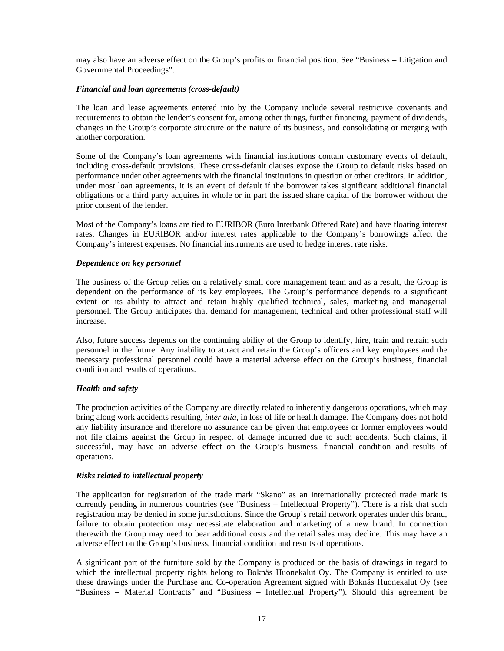may also have an adverse effect on the Group's profits or financial position. See "Business – Litigation and Governmental Proceedings".

## *Financial and loan agreements (cross-default)*

The loan and lease agreements entered into by the Company include several restrictive covenants and requirements to obtain the lender's consent for, among other things, further financing, payment of dividends, changes in the Group's corporate structure or the nature of its business, and consolidating or merging with another corporation.

Some of the Company's loan agreements with financial institutions contain customary events of default, including cross-default provisions. These cross-default clauses expose the Group to default risks based on performance under other agreements with the financial institutions in question or other creditors. In addition, under most loan agreements, it is an event of default if the borrower takes significant additional financial obligations or a third party acquires in whole or in part the issued share capital of the borrower without the prior consent of the lender.

Most of the Company's loans are tied to EURIBOR (Euro Interbank Offered Rate) and have floating interest rates. Changes in EURIBOR and/or interest rates applicable to the Company's borrowings affect the Company's interest expenses. No financial instruments are used to hedge interest rate risks.

#### *Dependence on key personnel*

The business of the Group relies on a relatively small core management team and as a result, the Group is dependent on the performance of its key employees. The Group's performance depends to a significant extent on its ability to attract and retain highly qualified technical, sales, marketing and managerial personnel. The Group anticipates that demand for management, technical and other professional staff will increase.

Also, future success depends on the continuing ability of the Group to identify, hire, train and retrain such personnel in the future. Any inability to attract and retain the Group's officers and key employees and the necessary professional personnel could have a material adverse effect on the Group's business, financial condition and results of operations.

## *Health and safety*

The production activities of the Company are directly related to inherently dangerous operations, which may bring along work accidents resulting, *inter alia*, in loss of life or health damage. The Company does not hold any liability insurance and therefore no assurance can be given that employees or former employees would not file claims against the Group in respect of damage incurred due to such accidents. Such claims, if successful, may have an adverse effect on the Group's business, financial condition and results of operations.

## *Risks related to intellectual property*

The application for registration of the trade mark "Skano" as an internationally protected trade mark is currently pending in numerous countries (see "Business – Intellectual Property"). There is a risk that such registration may be denied in some jurisdictions. Since the Group's retail network operates under this brand, failure to obtain protection may necessitate elaboration and marketing of a new brand. In connection therewith the Group may need to bear additional costs and the retail sales may decline. This may have an adverse effect on the Group's business, financial condition and results of operations.

A significant part of the furniture sold by the Company is produced on the basis of drawings in regard to which the intellectual property rights belong to Boknäs Huonekalut Oy. The Company is entitled to use these drawings under the Purchase and Co-operation Agreement signed with Boknäs Huonekalut Oy (see "Business – Material Contracts" and "Business – Intellectual Property"). Should this agreement be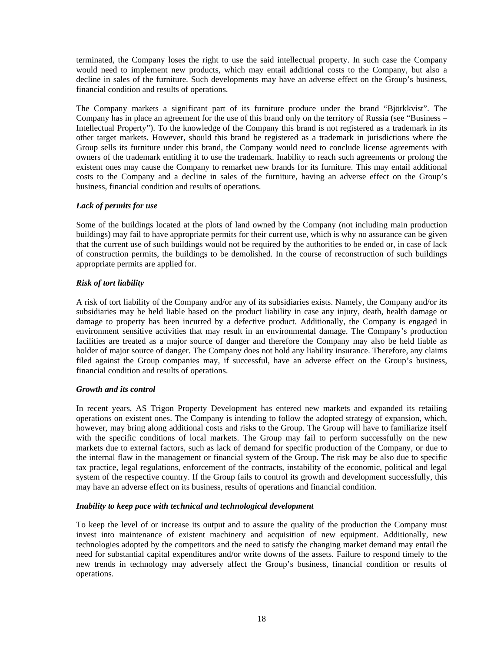terminated, the Company loses the right to use the said intellectual property. In such case the Company would need to implement new products, which may entail additional costs to the Company, but also a decline in sales of the furniture. Such developments may have an adverse effect on the Group's business, financial condition and results of operations.

The Company markets a significant part of its furniture produce under the brand "Björkkvist". The Company has in place an agreement for the use of this brand only on the territory of Russia (see "Business – Intellectual Property"). To the knowledge of the Company this brand is not registered as a trademark in its other target markets. However, should this brand be registered as a trademark in jurisdictions where the Group sells its furniture under this brand, the Company would need to conclude license agreements with owners of the trademark entitling it to use the trademark. Inability to reach such agreements or prolong the existent ones may cause the Company to remarket new brands for its furniture. This may entail additional costs to the Company and a decline in sales of the furniture, having an adverse effect on the Group's business, financial condition and results of operations.

## *Lack of permits for use*

Some of the buildings located at the plots of land owned by the Company (not including main production buildings) may fail to have appropriate permits for their current use, which is why no assurance can be given that the current use of such buildings would not be required by the authorities to be ended or, in case of lack of construction permits, the buildings to be demolished. In the course of reconstruction of such buildings appropriate permits are applied for.

## *Risk of tort liability*

A risk of tort liability of the Company and/or any of its subsidiaries exists. Namely, the Company and/or its subsidiaries may be held liable based on the product liability in case any injury, death, health damage or damage to property has been incurred by a defective product. Additionally, the Company is engaged in environment sensitive activities that may result in an environmental damage. The Company's production facilities are treated as a major source of danger and therefore the Company may also be held liable as holder of major source of danger. The Company does not hold any liability insurance. Therefore, any claims filed against the Group companies may, if successful, have an adverse effect on the Group's business, financial condition and results of operations.

## *Growth and its control*

In recent years, AS Trigon Property Development has entered new markets and expanded its retailing operations on existent ones. The Company is intending to follow the adopted strategy of expansion, which, however, may bring along additional costs and risks to the Group. The Group will have to familiarize itself with the specific conditions of local markets. The Group may fail to perform successfully on the new markets due to external factors, such as lack of demand for specific production of the Company, or due to the internal flaw in the management or financial system of the Group. The risk may be also due to specific tax practice, legal regulations, enforcement of the contracts, instability of the economic, political and legal system of the respective country. If the Group fails to control its growth and development successfully, this may have an adverse effect on its business, results of operations and financial condition.

## *Inability to keep pace with technical and technological development*

To keep the level of or increase its output and to assure the quality of the production the Company must invest into maintenance of existent machinery and acquisition of new equipment. Additionally, new technologies adopted by the competitors and the need to satisfy the changing market demand may entail the need for substantial capital expenditures and/or write downs of the assets. Failure to respond timely to the new trends in technology may adversely affect the Group's business, financial condition or results of operations.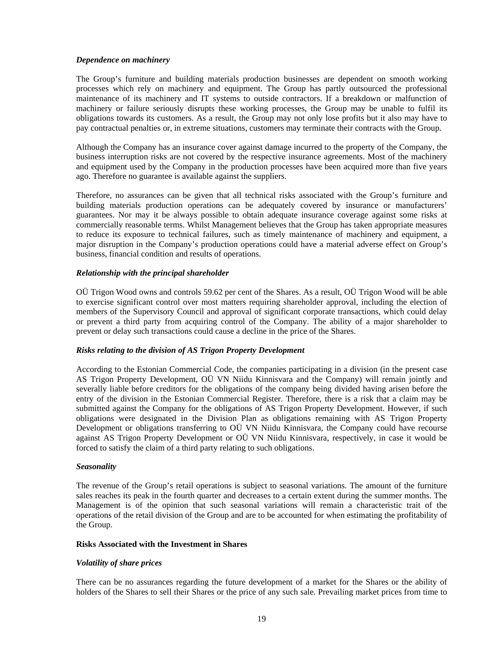#### *Dependence on machinery*

The Group's furniture and building materials production businesses are dependent on smooth working processes which rely on machinery and equipment. The Group has partly outsourced the professional maintenance of its machinery and IT systems to outside contractors. If a breakdown or malfunction of machinery or failure seriously disrupts these working processes, the Group may be unable to fulfil its obligations towards its customers. As a result, the Group may not only lose profits but it also may have to pay contractual penalties or, in extreme situations, customers may terminate their contracts with the Group.

Although the Company has an insurance cover against damage incurred to the property of the Company, the business interruption risks are not covered by the respective insurance agreements. Most of the machinery and equipment used by the Company in the production processes have been acquired more than five years ago. Therefore no guarantee is available against the suppliers.

Therefore, no assurances can be given that all technical risks associated with the Group's furniture and building materials production operations can be adequately covered by insurance or manufacturers' guarantees. Nor may it be always possible to obtain adequate insurance coverage against some risks at commercially reasonable terms. Whilst Management believes that the Group has taken appropriate measures to reduce its exposure to technical failures, such as timely maintenance of machinery and equipment, a major disruption in the Company's production operations could have a material adverse effect on Group's business, financial condition and results of operations.

## *Relationship with the principal shareholder*

OÜ Trigon Wood owns and controls 59.62 per cent of the Shares. As a result, OÜ Trigon Wood will be able to exercise significant control over most matters requiring shareholder approval, including the election of members of the Supervisory Council and approval of significant corporate transactions, which could delay or prevent a third party from acquiring control of the Company. The ability of a major shareholder to prevent or delay such transactions could cause a decline in the price of the Shares.

## *Risks relating to the division of AS Trigon Property Development*

According to the Estonian Commercial Code, the companies participating in a division (in the present case AS Trigon Property Development, OÜ VN Niidu Kinnisvara and the Company) will remain jointly and severally liable before creditors for the obligations of the company being divided having arisen before the entry of the division in the Estonian Commercial Register. Therefore, there is a risk that a claim may be submitted against the Company for the obligations of AS Trigon Property Development. However, if such obligations were designated in the Division Plan as obligations remaining with AS Trigon Property Development or obligations transferring to OÜ VN Niidu Kinnisvara, the Company could have recourse against AS Trigon Property Development or OÜ VN Niidu Kinnisvara, respectively, in case it would be forced to satisfy the claim of a third party relating to such obligations.

#### *Seasonality*

The revenue of the Group's retail operations is subject to seasonal variations. The amount of the furniture sales reaches its peak in the fourth quarter and decreases to a certain extent during the summer months. The Management is of the opinion that such seasonal variations will remain a characteristic trait of the operations of the retail division of the Group and are to be accounted for when estimating the profitability of the Group.

#### **Risks Associated with the Investment in Shares**

## *Volatility of share prices*

There can be no assurances regarding the future development of a market for the Shares or the ability of holders of the Shares to sell their Shares or the price of any such sale. Prevailing market prices from time to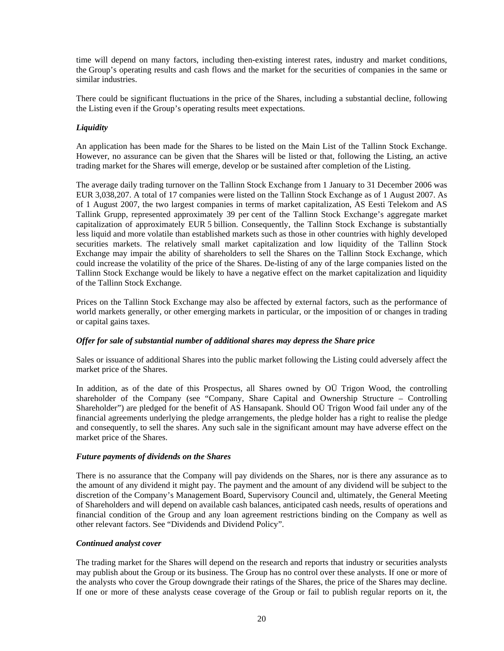time will depend on many factors, including then-existing interest rates, industry and market conditions, the Group's operating results and cash flows and the market for the securities of companies in the same or similar industries.

There could be significant fluctuations in the price of the Shares, including a substantial decline, following the Listing even if the Group's operating results meet expectations.

## *Liquidity*

An application has been made for the Shares to be listed on the Main List of the Tallinn Stock Exchange. However, no assurance can be given that the Shares will be listed or that, following the Listing, an active trading market for the Shares will emerge, develop or be sustained after completion of the Listing.

The average daily trading turnover on the Tallinn Stock Exchange from 1 January to 31 December 2006 was EUR 3,038,207. A total of 17 companies were listed on the Tallinn Stock Exchange as of 1 August 2007. As of 1 August 2007, the two largest companies in terms of market capitalization, AS Eesti Telekom and AS Tallink Grupp, represented approximately 39 per cent of the Tallinn Stock Exchange's aggregate market capitalization of approximately EUR 5 billion. Consequently, the Tallinn Stock Exchange is substantially less liquid and more volatile than established markets such as those in other countries with highly developed securities markets. The relatively small market capitalization and low liquidity of the Tallinn Stock Exchange may impair the ability of shareholders to sell the Shares on the Tallinn Stock Exchange, which could increase the volatility of the price of the Shares. De-listing of any of the large companies listed on the Tallinn Stock Exchange would be likely to have a negative effect on the market capitalization and liquidity of the Tallinn Stock Exchange.

Prices on the Tallinn Stock Exchange may also be affected by external factors, such as the performance of world markets generally, or other emerging markets in particular, or the imposition of or changes in trading or capital gains taxes.

## *Offer for sale of substantial number of additional shares may depress the Share price*

Sales or issuance of additional Shares into the public market following the Listing could adversely affect the market price of the Shares.

In addition, as of the date of this Prospectus, all Shares owned by OÜ Trigon Wood, the controlling shareholder of the Company (see "Company, Share Capital and Ownership Structure – Controlling Shareholder") are pledged for the benefit of AS Hansapank. Should OÜ Trigon Wood fail under any of the financial agreements underlying the pledge arrangements, the pledge holder has a right to realise the pledge and consequently, to sell the shares. Any such sale in the significant amount may have adverse effect on the market price of the Shares.

## *Future payments of dividends on the Shares*

There is no assurance that the Company will pay dividends on the Shares, nor is there any assurance as to the amount of any dividend it might pay. The payment and the amount of any dividend will be subject to the discretion of the Company's Management Board, Supervisory Council and, ultimately, the General Meeting of Shareholders and will depend on available cash balances, anticipated cash needs, results of operations and financial condition of the Group and any loan agreement restrictions binding on the Company as well as other relevant factors. See "Dividends and Dividend Policy".

## *Continued analyst cover*

The trading market for the Shares will depend on the research and reports that industry or securities analysts may publish about the Group or its business. The Group has no control over these analysts. If one or more of the analysts who cover the Group downgrade their ratings of the Shares, the price of the Shares may decline. If one or more of these analysts cease coverage of the Group or fail to publish regular reports on it, the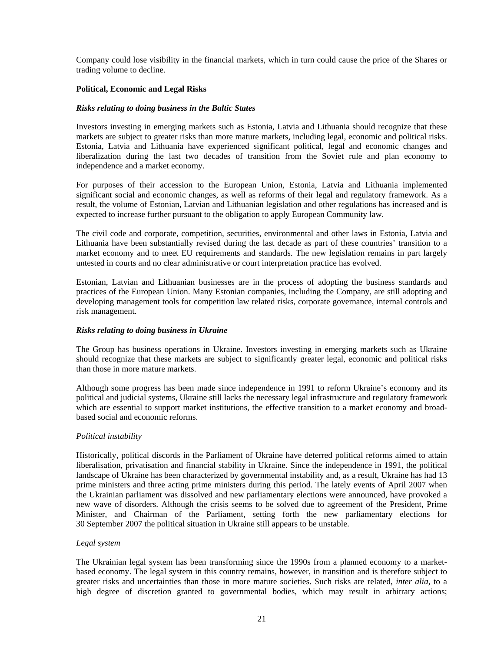Company could lose visibility in the financial markets, which in turn could cause the price of the Shares or trading volume to decline.

## **Political, Economic and Legal Risks**

#### *Risks relating to doing business in the Baltic States*

Investors investing in emerging markets such as Estonia, Latvia and Lithuania should recognize that these markets are subject to greater risks than more mature markets, including legal, economic and political risks. Estonia, Latvia and Lithuania have experienced significant political, legal and economic changes and liberalization during the last two decades of transition from the Soviet rule and plan economy to independence and a market economy.

For purposes of their accession to the European Union, Estonia, Latvia and Lithuania implemented significant social and economic changes, as well as reforms of their legal and regulatory framework. As a result, the volume of Estonian, Latvian and Lithuanian legislation and other regulations has increased and is expected to increase further pursuant to the obligation to apply European Community law.

The civil code and corporate, competition, securities, environmental and other laws in Estonia, Latvia and Lithuania have been substantially revised during the last decade as part of these countries' transition to a market economy and to meet EU requirements and standards. The new legislation remains in part largely untested in courts and no clear administrative or court interpretation practice has evolved.

Estonian, Latvian and Lithuanian businesses are in the process of adopting the business standards and practices of the European Union. Many Estonian companies, including the Company, are still adopting and developing management tools for competition law related risks, corporate governance, internal controls and risk management.

#### *Risks relating to doing business in Ukraine*

The Group has business operations in Ukraine. Investors investing in emerging markets such as Ukraine should recognize that these markets are subject to significantly greater legal, economic and political risks than those in more mature markets.

Although some progress has been made since independence in 1991 to reform Ukraine's economy and its political and judicial systems, Ukraine still lacks the necessary legal infrastructure and regulatory framework which are essential to support market institutions, the effective transition to a market economy and broadbased social and economic reforms.

#### *Political instability*

Historically, political discords in the Parliament of Ukraine have deterred political reforms aimed to attain liberalisation, privatisation and financial stability in Ukraine. Since the independence in 1991, the political landscape of Ukraine has been characterized by governmental instability and, as a result, Ukraine has had 13 prime ministers and three acting prime ministers during this period. The lately events of April 2007 when the Ukrainian parliament was dissolved and new parliamentary elections were announced, have provoked a new wave of disorders. Although the crisis seems to be solved due to agreement of the President, Prime Minister, and Chairman of the Parliament, setting forth the new parliamentary elections for 30 September 2007 the political situation in Ukraine still appears to be unstable.

#### *Legal system*

The Ukrainian legal system has been transforming since the 1990s from a planned economy to a marketbased economy. The legal system in this country remains, however, in transition and is therefore subject to greater risks and uncertainties than those in more mature societies. Such risks are related, *inter alia,* to a high degree of discretion granted to governmental bodies, which may result in arbitrary actions;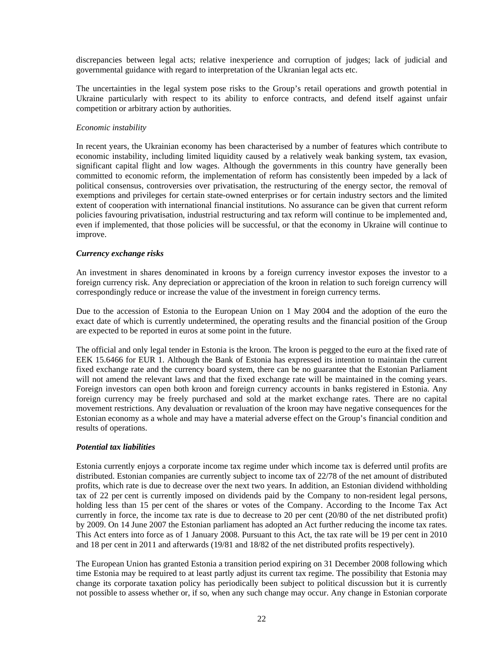discrepancies between legal acts; relative inexperience and corruption of judges; lack of judicial and governmental guidance with regard to interpretation of the Ukranian legal acts etc.

The uncertainties in the legal system pose risks to the Group's retail operations and growth potential in Ukraine particularly with respect to its ability to enforce contracts, and defend itself against unfair competition or arbitrary action by authorities.

#### *Economic instability*

In recent years, the Ukrainian economy has been characterised by a number of features which contribute to economic instability, including limited liquidity caused by a relatively weak banking system, tax evasion, significant capital flight and low wages. Although the governments in this country have generally been committed to economic reform, the implementation of reform has consistently been impeded by a lack of political consensus, controversies over privatisation, the restructuring of the energy sector, the removal of exemptions and privileges for certain state-owned enterprises or for certain industry sectors and the limited extent of cooperation with international financial institutions. No assurance can be given that current reform policies favouring privatisation, industrial restructuring and tax reform will continue to be implemented and, even if implemented, that those policies will be successful, or that the economy in Ukraine will continue to improve.

#### *Currency exchange risks*

An investment in shares denominated in kroons by a foreign currency investor exposes the investor to a foreign currency risk. Any depreciation or appreciation of the kroon in relation to such foreign currency will correspondingly reduce or increase the value of the investment in foreign currency terms.

Due to the accession of Estonia to the European Union on 1 May 2004 and the adoption of the euro the exact date of which is currently undetermined, the operating results and the financial position of the Group are expected to be reported in euros at some point in the future.

The official and only legal tender in Estonia is the kroon. The kroon is pegged to the euro at the fixed rate of EEK 15.6466 for EUR 1. Although the Bank of Estonia has expressed its intention to maintain the current fixed exchange rate and the currency board system, there can be no guarantee that the Estonian Parliament will not amend the relevant laws and that the fixed exchange rate will be maintained in the coming years. Foreign investors can open both kroon and foreign currency accounts in banks registered in Estonia. Any foreign currency may be freely purchased and sold at the market exchange rates. There are no capital movement restrictions. Any devaluation or revaluation of the kroon may have negative consequences for the Estonian economy as a whole and may have a material adverse effect on the Group's financial condition and results of operations.

## *Potential tax liabilities*

Estonia currently enjoys a corporate income tax regime under which income tax is deferred until profits are distributed. Estonian companies are currently subject to income tax of 22/78 of the net amount of distributed profits, which rate is due to decrease over the next two years. In addition, an Estonian dividend withholding tax of 22 per cent is currently imposed on dividends paid by the Company to non-resident legal persons, holding less than 15 per cent of the shares or votes of the Company. According to the Income Tax Act currently in force, the income tax rate is due to decrease to 20 per cent (20/80 of the net distributed profit) by 2009. On 14 June 2007 the Estonian parliament has adopted an Act further reducing the income tax rates. This Act enters into force as of 1 January 2008. Pursuant to this Act, the tax rate will be 19 per cent in 2010 and 18 per cent in 2011 and afterwards (19/81 and 18/82 of the net distributed profits respectively).

The European Union has granted Estonia a transition period expiring on 31 December 2008 following which time Estonia may be required to at least partly adjust its current tax regime. The possibility that Estonia may change its corporate taxation policy has periodically been subject to political discussion but it is currently not possible to assess whether or, if so, when any such change may occur. Any change in Estonian corporate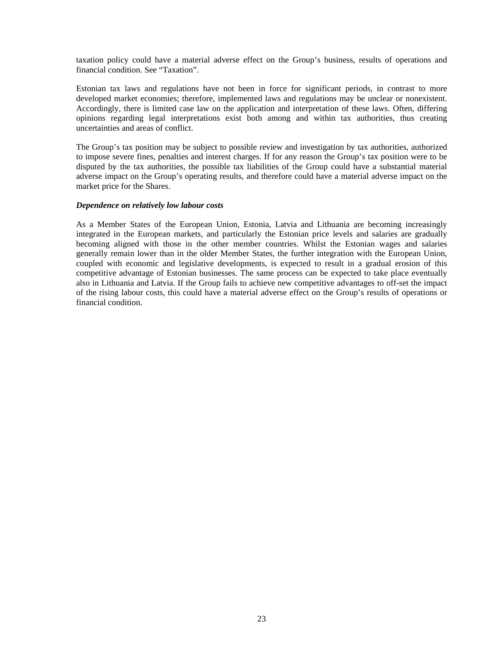taxation policy could have a material adverse effect on the Group's business, results of operations and financial condition. See "Taxation".

Estonian tax laws and regulations have not been in force for significant periods, in contrast to more developed market economies; therefore, implemented laws and regulations may be unclear or nonexistent. Accordingly, there is limited case law on the application and interpretation of these laws. Often, differing opinions regarding legal interpretations exist both among and within tax authorities, thus creating uncertainties and areas of conflict.

The Group's tax position may be subject to possible review and investigation by tax authorities, authorized to impose severe fines, penalties and interest charges. If for any reason the Group's tax position were to be disputed by the tax authorities, the possible tax liabilities of the Group could have a substantial material adverse impact on the Group's operating results, and therefore could have a material adverse impact on the market price for the Shares.

#### *Dependence on relatively low labour costs*

As a Member States of the European Union, Estonia, Latvia and Lithuania are becoming increasingly integrated in the European markets, and particularly the Estonian price levels and salaries are gradually becoming aligned with those in the other member countries. Whilst the Estonian wages and salaries generally remain lower than in the older Member States, the further integration with the European Union, coupled with economic and legislative developments, is expected to result in a gradual erosion of this competitive advantage of Estonian businesses. The same process can be expected to take place eventually also in Lithuania and Latvia. If the Group fails to achieve new competitive advantages to off-set the impact of the rising labour costs, this could have a material adverse effect on the Group's results of operations or financial condition.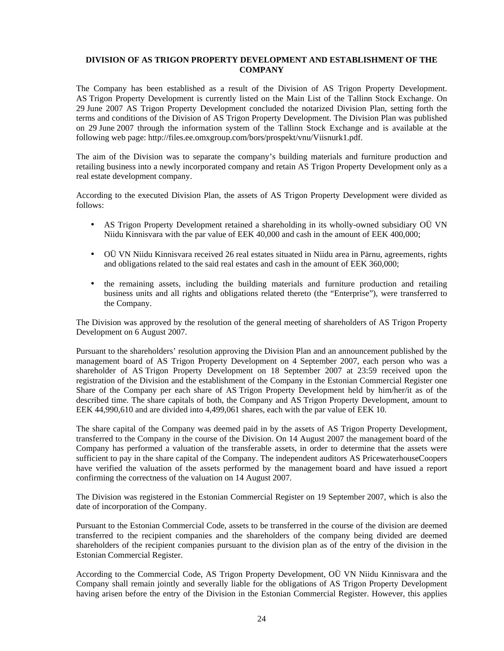## **DIVISION OF AS TRIGON PROPERTY DEVELOPMENT AND ESTABLISHMENT OF THE COMPANY**

The Company has been established as a result of the Division of AS Trigon Property Development. AS Trigon Property Development is currently listed on the Main List of the Tallinn Stock Exchange. On 29 June 2007 AS Trigon Property Development concluded the notarized Division Plan, setting forth the terms and conditions of the Division of AS Trigon Property Development. The Division Plan was published on 29 June 2007 through the information system of the Tallinn Stock Exchange and is available at the following web page: http://files.ee.omxgroup.com/bors/prospekt/vnu/Viisnurk1.pdf.

The aim of the Division was to separate the company's building materials and furniture production and retailing business into a newly incorporated company and retain AS Trigon Property Development only as a real estate development company.

According to the executed Division Plan, the assets of AS Trigon Property Development were divided as follows:

- AS Trigon Property Development retained a shareholding in its wholly-owned subsidiary OÜ VN Niidu Kinnisvara with the par value of EEK 40,000 and cash in the amount of EEK 400,000;
- OÜ VN Niidu Kinnisvara received 26 real estates situated in Niidu area in Pärnu, agreements, rights and obligations related to the said real estates and cash in the amount of EEK 360,000;
- the remaining assets, including the building materials and furniture production and retailing business units and all rights and obligations related thereto (the "Enterprise"), were transferred to the Company.

The Division was approved by the resolution of the general meeting of shareholders of AS Trigon Property Development on 6 August 2007.

Pursuant to the shareholders' resolution approving the Division Plan and an announcement published by the management board of AS Trigon Property Development on 4 September 2007, each person who was a shareholder of AS Trigon Property Development on 18 September 2007 at 23:59 received upon the registration of the Division and the establishment of the Company in the Estonian Commercial Register one Share of the Company per each share of AS Trigon Property Development held by him/her/it as of the described time. The share capitals of both, the Company and AS Trigon Property Development, amount to EEK 44,990,610 and are divided into 4,499,061 shares, each with the par value of EEK 10.

The share capital of the Company was deemed paid in by the assets of AS Trigon Property Development, transferred to the Company in the course of the Division. On 14 August 2007 the management board of the Company has performed a valuation of the transferable assets, in order to determine that the assets were sufficient to pay in the share capital of the Company. The independent auditors AS PricewaterhouseCoopers have verified the valuation of the assets performed by the management board and have issued a report confirming the correctness of the valuation on 14 August 2007.

The Division was registered in the Estonian Commercial Register on 19 September 2007, which is also the date of incorporation of the Company.

Pursuant to the Estonian Commercial Code, assets to be transferred in the course of the division are deemed transferred to the recipient companies and the shareholders of the company being divided are deemed shareholders of the recipient companies pursuant to the division plan as of the entry of the division in the Estonian Commercial Register.

According to the Commercial Code, AS Trigon Property Development, OÜ VN Niidu Kinnisvara and the Company shall remain jointly and severally liable for the obligations of AS Trigon Property Development having arisen before the entry of the Division in the Estonian Commercial Register. However, this applies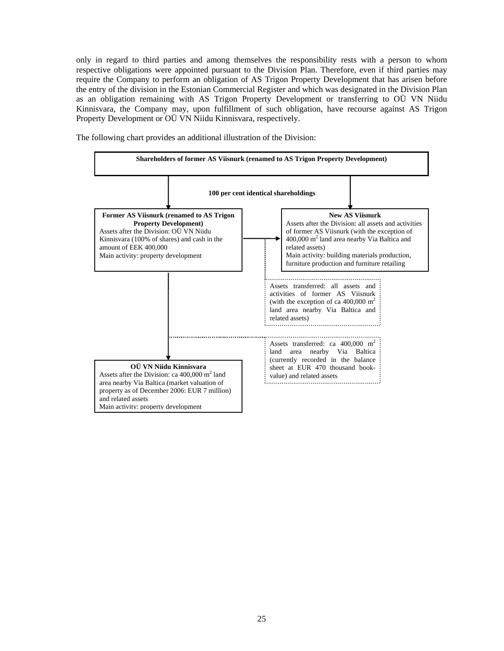only in regard to third parties and among themselves the responsibility rests with a person to whom respective obligations were appointed pursuant to the Division Plan. Therefore, even if third parties may require the Company to perform an obligation of AS Trigon Property Development that has arisen before the entry of the division in the Estonian Commercial Register and which was designated in the Division Plan as an obligation remaining with AS Trigon Property Development or transferring to OÜ VN Niidu Kinnisvara, the Company may, upon fulfillment of such obligation, have recourse against AS Trigon Property Development or OÜ VN Niidu Kinnisvara, respectively.

The following chart provides an additional illustration of the Division:

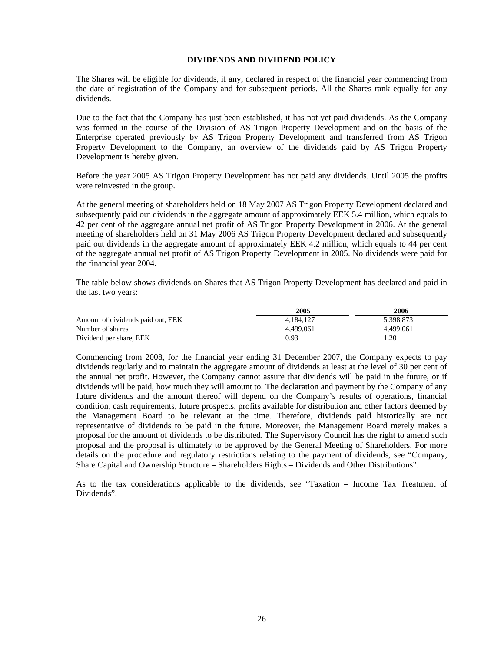#### **DIVIDENDS AND DIVIDEND POLICY**

The Shares will be eligible for dividends, if any, declared in respect of the financial year commencing from the date of registration of the Company and for subsequent periods. All the Shares rank equally for any dividends.

Due to the fact that the Company has just been established, it has not yet paid dividends. As the Company was formed in the course of the Division of AS Trigon Property Development and on the basis of the Enterprise operated previously by AS Trigon Property Development and transferred from AS Trigon Property Development to the Company, an overview of the dividends paid by AS Trigon Property Development is hereby given.

Before the year 2005 AS Trigon Property Development has not paid any dividends. Until 2005 the profits were reinvested in the group.

At the general meeting of shareholders held on 18 May 2007 AS Trigon Property Development declared and subsequently paid out dividends in the aggregate amount of approximately EEK 5.4 million, which equals to 42 per cent of the aggregate annual net profit of AS Trigon Property Development in 2006. At the general meeting of shareholders held on 31 May 2006 AS Trigon Property Development declared and subsequently paid out dividends in the aggregate amount of approximately EEK 4.2 million, which equals to 44 per cent of the aggregate annual net profit of AS Trigon Property Development in 2005. No dividends were paid for the financial year 2004.

The table below shows dividends on Shares that AS Trigon Property Development has declared and paid in the last two years:

|                                   | 2005      | 2006      |
|-----------------------------------|-----------|-----------|
| Amount of dividends paid out, EEK | 4.184.127 | 5,398,873 |
| Number of shares                  | 4.499.061 | 4.499.061 |
| Dividend per share, EEK           | 0.93      | l.20      |

Commencing from 2008, for the financial year ending 31 December 2007, the Company expects to pay dividends regularly and to maintain the aggregate amount of dividends at least at the level of 30 per cent of the annual net profit. However, the Company cannot assure that dividends will be paid in the future, or if dividends will be paid, how much they will amount to. The declaration and payment by the Company of any future dividends and the amount thereof will depend on the Company's results of operations, financial condition, cash requirements, future prospects, profits available for distribution and other factors deemed by the Management Board to be relevant at the time. Therefore, dividends paid historically are not representative of dividends to be paid in the future. Moreover, the Management Board merely makes a proposal for the amount of dividends to be distributed. The Supervisory Council has the right to amend such proposal and the proposal is ultimately to be approved by the General Meeting of Shareholders. For more details on the procedure and regulatory restrictions relating to the payment of dividends, see "Company, Share Capital and Ownership Structure – Shareholders Rights – Dividends and Other Distributions".

As to the tax considerations applicable to the dividends, see "Taxation – Income Tax Treatment of Dividends".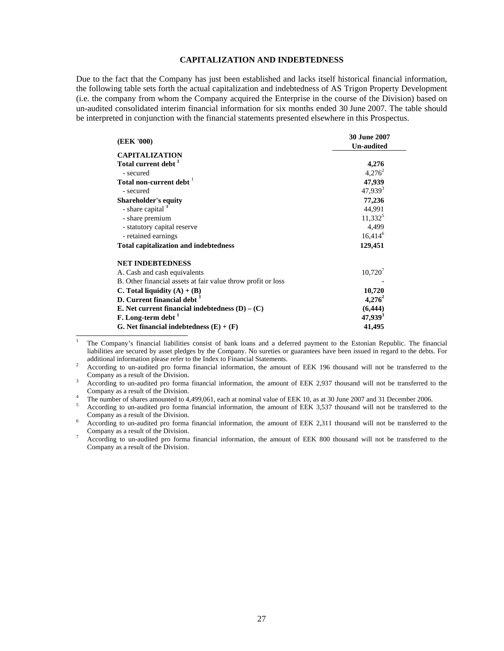## **CAPITALIZATION AND INDEBTEDNESS**

Due to the fact that the Company has just been established and lacks itself historical financial information, the following table sets forth the actual capitalization and indebtedness of AS Trigon Property Development (i.e. the company from whom the Company acquired the Enterprise in the course of the Division) based on un-audited consolidated interim financial information for six months ended 30 June 2007. The table should be interpreted in conjunction with the financial statements presented elsewhere in this Prospectus.

|                                                              | <b>30 June 2007</b> |
|--------------------------------------------------------------|---------------------|
| (EEK '000)                                                   | <b>Un-audited</b>   |
| <b>CAPITALIZATION</b>                                        |                     |
| Total current debt <sup>1</sup>                              | 4,276               |
| - secured                                                    | $4,276^2$           |
| Total non-current debt <sup>1</sup>                          | 47,939              |
| - secured                                                    | $47,939^{3}$        |
| <b>Shareholder's equity</b>                                  | 77,236              |
| - share capital 4                                            | 44,991              |
| - share premium                                              | $11,332^5$          |
| - statutory capital reserve                                  | 4,499               |
| - retained earnings                                          | $16,414^6$          |
| <b>Total capitalization and indebtedness</b>                 | 129,451             |
| <b>NET INDEBTEDNESS</b>                                      |                     |
| A. Cash and cash equivalents                                 | $10,720^7$          |
| B. Other financial assets at fair value throw profit or loss |                     |
| C. Total liquidity $(A) + (B)$                               | 10,720              |
| D. Current financial debt <sup>1</sup>                       | $4,276^2$           |
| E. Net current financial indebtedness $(D) - (C)$            | (6, 444)            |
| F. Long-term debt '                                          | $47,939^3$          |
| G. Net financial indebtedness $(E) + (F)$                    | 41,495              |

 $\frac{1}{1}$  The Company's financial liabilities consist of bank loans and a deferred payment to the Estonian Republic. The financial liabilities are secured by asset pledges by the Company. No sureties or guarantees have been issued in regard to the debts. For additional information please refer to the Index to Financial Statements.

<sup>2</sup> According to un-audited pro forma financial information, the amount of EEK 196 thousand will not be transferred to the Company as a result of the Division.

<sup>3</sup> According to un-audited pro forma financial information, the amount of EEK 2,937 thousand will not be transferred to the Company as a result of the Division. 4

The number of shares amounted to 4,499,061, each at nominal value of EEK 10, as at 30 June 2007 and 31 December 2006.

<sup>5</sup> According to un-audited pro forma financial information, the amount of EEK 3,537 thousand will not be transferred to the Company as a result of the Division.

<sup>6</sup> According to un-audited pro forma financial information, the amount of EEK 2,311 thousand will not be transferred to the Company as a result of the Division.

<sup>7</sup> According to un-audited pro forma financial information, the amount of EEK 800 thousand will not be transferred to the Company as a result of the Division.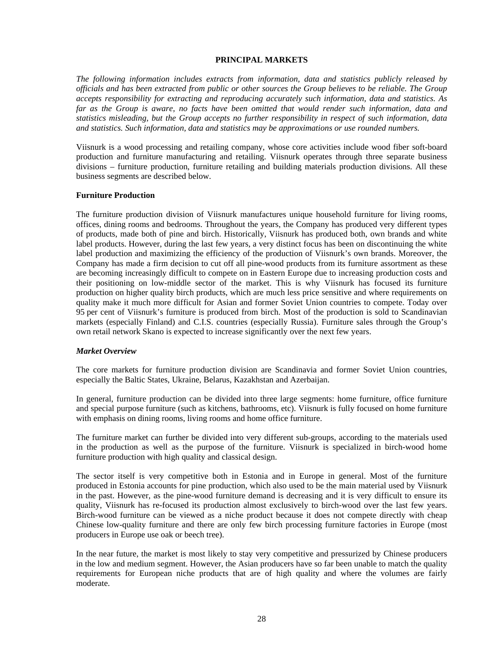#### **PRINCIPAL MARKETS**

*The following information includes extracts from information, data and statistics publicly released by officials and has been extracted from public or other sources the Group believes to be reliable. The Group accepts responsibility for extracting and reproducing accurately such information, data and statistics. As far as the Group is aware, no facts have been omitted that would render such information, data and statistics misleading, but the Group accepts no further responsibility in respect of such information, data and statistics. Such information, data and statistics may be approximations or use rounded numbers.* 

Viisnurk is a wood processing and retailing company, whose core activities include wood fiber soft-board production and furniture manufacturing and retailing. Viisnurk operates through three separate business divisions – furniture production, furniture retailing and building materials production divisions. All these business segments are described below.

#### **Furniture Production**

The furniture production division of Viisnurk manufactures unique household furniture for living rooms, offices, dining rooms and bedrooms. Throughout the years, the Company has produced very different types of products, made both of pine and birch. Historically, Viisnurk has produced both, own brands and white label products. However, during the last few years, a very distinct focus has been on discontinuing the white label production and maximizing the efficiency of the production of Viisnurk's own brands. Moreover, the Company has made a firm decision to cut off all pine-wood products from its furniture assortment as these are becoming increasingly difficult to compete on in Eastern Europe due to increasing production costs and their positioning on low-middle sector of the market. This is why Viisnurk has focused its furniture production on higher quality birch products, which are much less price sensitive and where requirements on quality make it much more difficult for Asian and former Soviet Union countries to compete. Today over 95 per cent of Viisnurk's furniture is produced from birch. Most of the production is sold to Scandinavian markets (especially Finland) and C.I.S. countries (especially Russia). Furniture sales through the Group's own retail network Skano is expected to increase significantly over the next few years.

#### *Market Overview*

The core markets for furniture production division are Scandinavia and former Soviet Union countries, especially the Baltic States, Ukraine, Belarus, Kazakhstan and Azerbaijan.

In general, furniture production can be divided into three large segments: home furniture, office furniture and special purpose furniture (such as kitchens, bathrooms, etc). Viisnurk is fully focused on home furniture with emphasis on dining rooms, living rooms and home office furniture.

The furniture market can further be divided into very different sub-groups, according to the materials used in the production as well as the purpose of the furniture. Viisnurk is specialized in birch-wood home furniture production with high quality and classical design.

The sector itself is very competitive both in Estonia and in Europe in general. Most of the furniture produced in Estonia accounts for pine production, which also used to be the main material used by Viisnurk in the past. However, as the pine-wood furniture demand is decreasing and it is very difficult to ensure its quality, Viisnurk has re-focused its production almost exclusively to birch-wood over the last few years. Birch-wood furniture can be viewed as a niche product because it does not compete directly with cheap Chinese low-quality furniture and there are only few birch processing furniture factories in Europe (most producers in Europe use oak or beech tree).

In the near future, the market is most likely to stay very competitive and pressurized by Chinese producers in the low and medium segment. However, the Asian producers have so far been unable to match the quality requirements for European niche products that are of high quality and where the volumes are fairly moderate.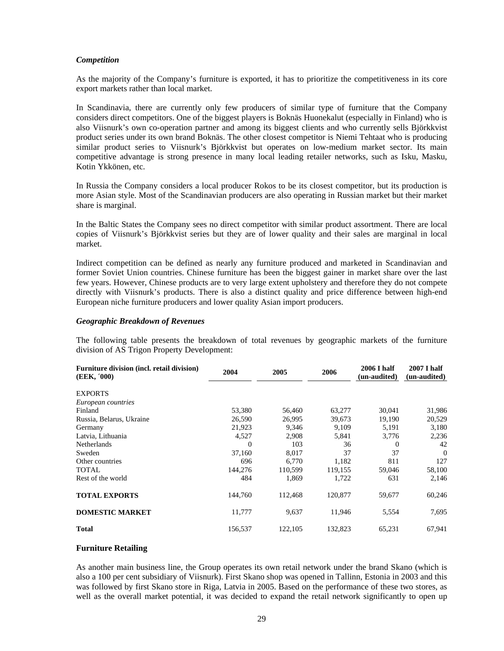#### *Competition*

As the majority of the Company's furniture is exported, it has to prioritize the competitiveness in its core export markets rather than local market.

In Scandinavia, there are currently only few producers of similar type of furniture that the Company considers direct competitors. One of the biggest players is Boknäs Huonekalut (especially in Finland) who is also Viisnurk's own co-operation partner and among its biggest clients and who currently sells Björkkvist product series under its own brand Boknäs. The other closest competitor is Niemi Tehtaat who is producing similar product series to Viisnurk's Björkkvist but operates on low-medium market sector. Its main competitive advantage is strong presence in many local leading retailer networks, such as Isku, Masku, Kotin Ykkönen, etc.

In Russia the Company considers a local producer Rokos to be its closest competitor, but its production is more Asian style. Most of the Scandinavian producers are also operating in Russian market but their market share is marginal.

In the Baltic States the Company sees no direct competitor with similar product assortment. There are local copies of Viisnurk's Björkkvist series but they are of lower quality and their sales are marginal in local market.

Indirect competition can be defined as nearly any furniture produced and marketed in Scandinavian and former Soviet Union countries. Chinese furniture has been the biggest gainer in market share over the last few years. However, Chinese products are to very large extent upholstery and therefore they do not compete directly with Viisnurk's products. There is also a distinct quality and price difference between high-end European niche furniture producers and lower quality Asian import producers.

#### *Geographic Breakdown of Revenues*

The following table presents the breakdown of total revenues by geographic markets of the furniture division of AS Trigon Property Development:

| Furniture division (incl. retail division)<br>(EEK, '000) | 2004     | 2005    | 2006    | 2006 I half<br>(un-audited) | 2007 I half<br>(un-audited) |
|-----------------------------------------------------------|----------|---------|---------|-----------------------------|-----------------------------|
| <b>EXPORTS</b>                                            |          |         |         |                             |                             |
| European countries                                        |          |         |         |                             |                             |
| Finland                                                   | 53,380   | 56,460  | 63,277  | 30,041                      | 31,986                      |
| Russia, Belarus, Ukraine                                  | 26,590   | 26,995  | 39,673  | 19,190                      | 20,529                      |
| Germany                                                   | 21,923   | 9,346   | 9,109   | 5,191                       | 3,180                       |
| Latvia, Lithuania                                         | 4,527    | 2,908   | 5,841   | 3,776                       | 2,236                       |
| Netherlands                                               | $\Omega$ | 103     | 36      | 0                           | 42                          |
| Sweden                                                    | 37,160   | 8,017   | 37      | 37                          | $\theta$                    |
| Other countries                                           | 696      | 6.770   | 1,182   | 811                         | 127                         |
| <b>TOTAL</b>                                              | 144,276  | 110.599 | 119.155 | 59,046                      | 58,100                      |
| Rest of the world                                         | 484      | 1,869   | 1,722   | 631                         | 2,146                       |
| <b>TOTAL EXPORTS</b>                                      | 144,760  | 112,468 | 120,877 | 59,677                      | 60,246                      |
| <b>DOMESTIC MARKET</b>                                    | 11,777   | 9,637   | 11,946  | 5,554                       | 7,695                       |
| <b>Total</b>                                              | 156.537  | 122,105 | 132,823 | 65,231                      | 67,941                      |

#### **Furniture Retailing**

As another main business line, the Group operates its own retail network under the brand Skano (which is also a 100 per cent subsidiary of Viisnurk). First Skano shop was opened in Tallinn, Estonia in 2003 and this was followed by first Skano store in Riga, Latvia in 2005. Based on the performance of these two stores, as well as the overall market potential, it was decided to expand the retail network significantly to open up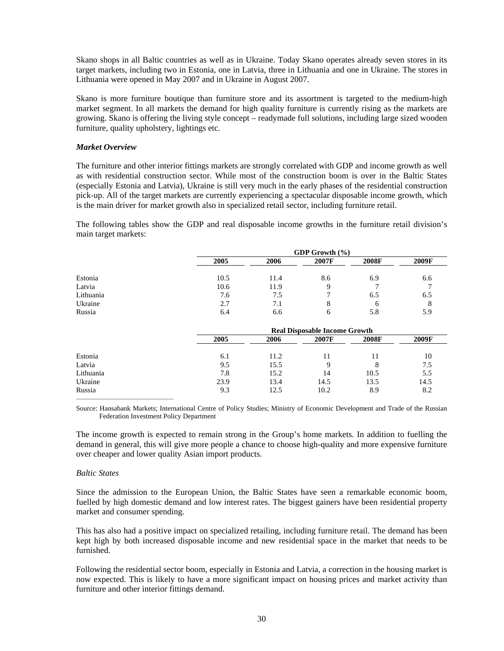Skano shops in all Baltic countries as well as in Ukraine. Today Skano operates already seven stores in its target markets, including two in Estonia, one in Latvia, three in Lithuania and one in Ukraine. The stores in Lithuania were opened in May 2007 and in Ukraine in August 2007.

Skano is more furniture boutique than furniture store and its assortment is targeted to the medium-high market segment. In all markets the demand for high quality furniture is currently rising as the markets are growing. Skano is offering the living style concept – readymade full solutions, including large sized wooden furniture, quality upholstery, lightings etc.

## *Market Overview*

The furniture and other interior fittings markets are strongly correlated with GDP and income growth as well as with residential construction sector. While most of the construction boom is over in the Baltic States (especially Estonia and Latvia), Ukraine is still very much in the early phases of the residential construction pick-up. All of the target markets are currently experiencing a spectacular disposable income growth, which is the main driver for market growth also in specialized retail sector, including furniture retail.

The following tables show the GDP and real disposable income growths in the furniture retail division's main target markets:

|           | GDP Growth (%) |      |       |              |       |  |  |  |
|-----------|----------------|------|-------|--------------|-------|--|--|--|
|           | 2005           | 2006 | 2007F | 2008F        | 2009F |  |  |  |
| Estonia   | 10.5           | 11.4 | 8.6   | 6.9          | 6.6   |  |  |  |
| Latvia    | 10.6           | 11.9 |       |              |       |  |  |  |
| Lithuania | 7.6            | 7.5  |       | 6.5          | 6.5   |  |  |  |
| Ukraine   | 2.7            | 7.1  | 8     | <sub>0</sub> | ŏ     |  |  |  |
| Russia    | 6.4            | 6.6  | h     | 5.8          | 5.9   |  |  |  |

|           | <b>Real Disposable Income Growth</b> |      |       |       |       |  |  |
|-----------|--------------------------------------|------|-------|-------|-------|--|--|
|           | 2005                                 | 2006 | 2007F | 2008F | 2009F |  |  |
| Estonia   | 6.1                                  | 11.2 | 11    | 11    | 10    |  |  |
| Latvia    | 9.5                                  | 15.5 | Q     | 8     | 7.5   |  |  |
| Lithuania | 7.8                                  | 15.2 | 14    | 10.5  | 5.5   |  |  |
| Ukraine   | 23.9                                 | 13.4 | 14.5  | 13.5  | 14.5  |  |  |
| Russia    | 9.3                                  | 12.5 | 10.2  | 8.9   | 8.2   |  |  |

Source: Hansabank Markets; International Centre of Policy Studies; Ministry of Economic Development and Trade of the Russian Federation Investment Policy Department

The income growth is expected to remain strong in the Group's home markets. In addition to fuelling the demand in general, this will give more people a chance to choose high-quality and more expensive furniture over cheaper and lower quality Asian import products.

#### *Baltic States*

Since the admission to the European Union, the Baltic States have seen a remarkable economic boom, fuelled by high domestic demand and low interest rates. The biggest gainers have been residential property market and consumer spending.

This has also had a positive impact on specialized retailing, including furniture retail. The demand has been kept high by both increased disposable income and new residential space in the market that needs to be furnished.

Following the residential sector boom, especially in Estonia and Latvia, a correction in the housing market is now expected. This is likely to have a more significant impact on housing prices and market activity than furniture and other interior fittings demand.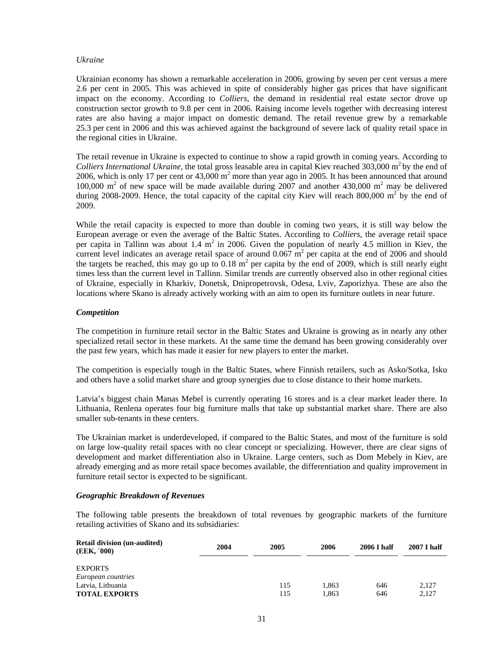#### *Ukraine*

Ukrainian economy has shown a remarkable acceleration in 2006, growing by seven per cent versus a mere 2.6 per cent in 2005. This was achieved in spite of considerably higher gas prices that have significant impact on the economy. According to *Colliers,* the demand in residential real estate sector drove up construction sector growth to 9.8 per cent in 2006. Raising income levels together with decreasing interest rates are also having a major impact on domestic demand. The retail revenue grew by a remarkable 25.3 per cent in 2006 and this was achieved against the background of severe lack of quality retail space in the regional cities in Ukraine.

The retail revenue in Ukraine is expected to continue to show a rapid growth in coming years. According to *Colliers International Ukraine,* the total gross leasable area in capital Kiev reached 303,000 m<sup>2</sup>by the end of 2006, which is only 17 per cent or  $43,000 \text{ m}^2$  more than year ago in 2005. It has been announced that around 100,000  $m<sup>2</sup>$  of new space will be made available during 2007 and another 430,000  $m<sup>2</sup>$  may be delivered during 2008-2009. Hence, the total capacity of the capital city Kiev will reach 800,000  $m^2$  by the end of 2009.

While the retail capacity is expected to more than double in coming two years, it is still way below the European average or even the average of the Baltic States. According to *Colliers,* the average retail space per capita in Tallinn was about 1.4  $m^2$  in 2006. Given the population of nearly 4.5 million in Kiev, the current level indicates an average retail space of around  $0.067 \text{ m}^2$  per capita at the end of 2006 and should the targets be reached, this may go up to  $0.18 \text{ m}^2$  per capita by the end of 2009, which is still nearly eight times less than the current level in Tallinn. Similar trends are currently observed also in other regional cities of Ukraine, especially in Kharkiv, Donetsk, Dnipropetrovsk, Odesa, Lviv, Zaporizhya. These are also the locations where Skano is already actively working with an aim to open its furniture outlets in near future.

#### *Competition*

The competition in furniture retail sector in the Baltic States and Ukraine is growing as in nearly any other specialized retail sector in these markets. At the same time the demand has been growing considerably over the past few years, which has made it easier for new players to enter the market.

The competition is especially tough in the Baltic States, where Finnish retailers, such as Asko/Sotka, Isku and others have a solid market share and group synergies due to close distance to their home markets.

Latvia's biggest chain Manas Mebel is currently operating 16 stores and is a clear market leader there. In Lithuania, Renlena operates four big furniture malls that take up substantial market share. There are also smaller sub-tenants in these centers.

The Ukrainian market is underdeveloped, if compared to the Baltic States, and most of the furniture is sold on large low-quality retail spaces with no clear concept or specializing. However, there are clear signs of development and market differentiation also in Ukraine. Large centers, such as Dom Mebely in Kiev, are already emerging and as more retail space becomes available, the differentiation and quality improvement in furniture retail sector is expected to be significant.

#### *Geographic Breakdown of Revenues*

The following table presents the breakdown of total revenues by geographic markets of the furniture retailing activities of Skano and its subsidiaries:

| <b>Retail division (un-audited)</b><br>(EEK, '000) | 2004 | 2005       | 2006           | 2006 I half | <b>2007 I half</b> |
|----------------------------------------------------|------|------------|----------------|-------------|--------------------|
| <b>EXPORTS</b><br>European countries               |      |            |                |             |                    |
| Latvia, Lithuania<br><b>TOTAL EXPORTS</b>          |      | 115<br>115 | 1.863<br>1.863 | 646<br>646  | 2.127<br>2.127     |
|                                                    |      |            |                |             |                    |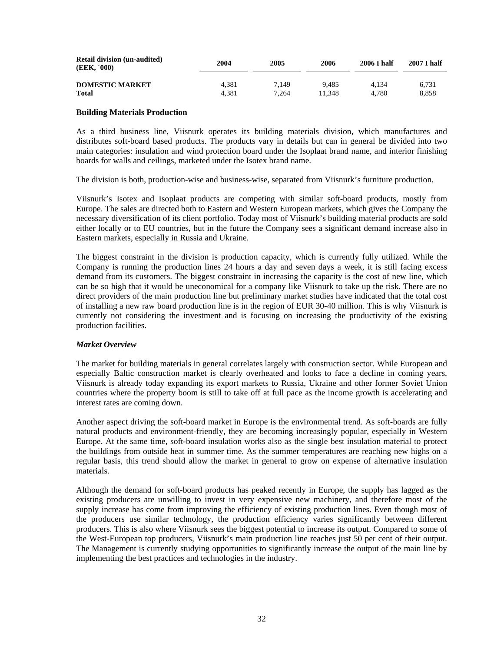| <b>Retail division (un-audited)</b><br>(EEK, '000) | 2004  | 2005  | 2006   | 2006 I half | 2007 I half |
|----------------------------------------------------|-------|-------|--------|-------------|-------------|
| <b>DOMESTIC MARKET</b>                             | 4.381 | 7.149 | 9.485  | 4.134       | 6.731       |
| <b>Total</b>                                       | 4.381 | 7.264 | 11.348 | 4.780       | 8.858       |

#### **Building Materials Production**

As a third business line, Viisnurk operates its building materials division, which manufactures and distributes soft-board based products. The products vary in details but can in general be divided into two main categories: insulation and wind protection board under the Isoplaat brand name, and interior finishing boards for walls and ceilings, marketed under the Isotex brand name.

The division is both, production-wise and business-wise, separated from Viisnurk's furniture production.

Viisnurk's Isotex and Isoplaat products are competing with similar soft-board products, mostly from Europe. The sales are directed both to Eastern and Western European markets, which gives the Company the necessary diversification of its client portfolio. Today most of Viisnurk's building material products are sold either locally or to EU countries, but in the future the Company sees a significant demand increase also in Eastern markets, especially in Russia and Ukraine.

The biggest constraint in the division is production capacity, which is currently fully utilized. While the Company is running the production lines 24 hours a day and seven days a week, it is still facing excess demand from its customers. The biggest constraint in increasing the capacity is the cost of new line, which can be so high that it would be uneconomical for a company like Viisnurk to take up the risk. There are no direct providers of the main production line but preliminary market studies have indicated that the total cost of installing a new raw board production line is in the region of EUR 30-40 million. This is why Viisnurk is currently not considering the investment and is focusing on increasing the productivity of the existing production facilities.

## *Market Overview*

The market for building materials in general correlates largely with construction sector. While European and especially Baltic construction market is clearly overheated and looks to face a decline in coming years, Viisnurk is already today expanding its export markets to Russia, Ukraine and other former Soviet Union countries where the property boom is still to take off at full pace as the income growth is accelerating and interest rates are coming down.

Another aspect driving the soft-board market in Europe is the environmental trend. As soft-boards are fully natural products and environment-friendly, they are becoming increasingly popular, especially in Western Europe. At the same time, soft-board insulation works also as the single best insulation material to protect the buildings from outside heat in summer time. As the summer temperatures are reaching new highs on a regular basis, this trend should allow the market in general to grow on expense of alternative insulation materials.

Although the demand for soft-board products has peaked recently in Europe, the supply has lagged as the existing producers are unwilling to invest in very expensive new machinery, and therefore most of the supply increase has come from improving the efficiency of existing production lines. Even though most of the producers use similar technology, the production efficiency varies significantly between different producers. This is also where Viisnurk sees the biggest potential to increase its output. Compared to some of the West-European top producers, Viisnurk's main production line reaches just 50 per cent of their output. The Management is currently studying opportunities to significantly increase the output of the main line by implementing the best practices and technologies in the industry.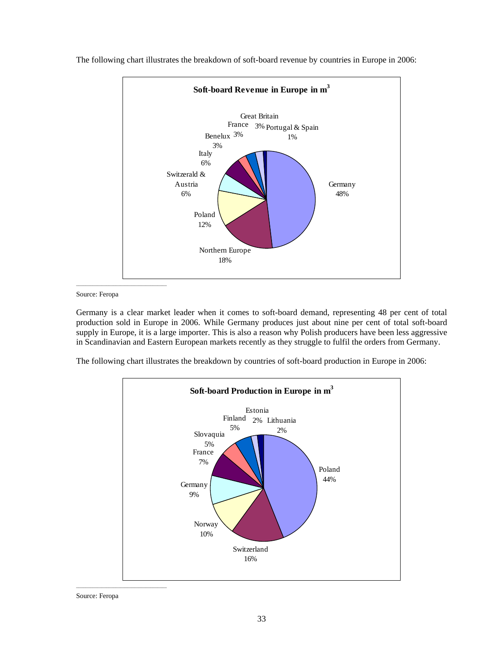

The following chart illustrates the breakdown of soft-board revenue by countries in Europe in 2006:

#### Source: Feropa

Germany is a clear market leader when it comes to soft-board demand, representing 48 per cent of total production sold in Europe in 2006. While Germany produces just about nine per cent of total soft-board supply in Europe, it is a large importer. This is also a reason why Polish producers have been less aggressive in Scandinavian and Eastern European markets recently as they struggle to fulfil the orders from Germany.

The following chart illustrates the breakdown by countries of soft-board production in Europe in 2006:



Source: Feropa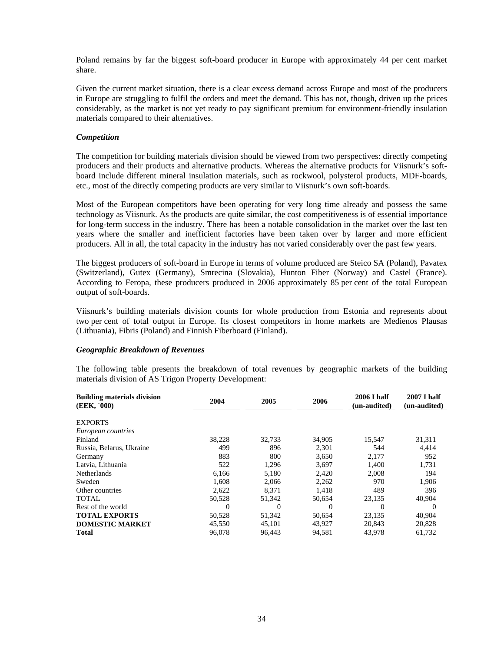Poland remains by far the biggest soft-board producer in Europe with approximately 44 per cent market share.

Given the current market situation, there is a clear excess demand across Europe and most of the producers in Europe are struggling to fulfil the orders and meet the demand. This has not, though, driven up the prices considerably, as the market is not yet ready to pay significant premium for environment-friendly insulation materials compared to their alternatives.

#### *Competition*

The competition for building materials division should be viewed from two perspectives: directly competing producers and their products and alternative products. Whereas the alternative products for Viisnurk's softboard include different mineral insulation materials, such as rockwool, polysterol products, MDF-boards, etc., most of the directly competing products are very similar to Viisnurk's own soft-boards.

Most of the European competitors have been operating for very long time already and possess the same technology as Viisnurk. As the products are quite similar, the cost competitiveness is of essential importance for long-term success in the industry. There has been a notable consolidation in the market over the last ten years where the smaller and inefficient factories have been taken over by larger and more efficient producers. All in all, the total capacity in the industry has not varied considerably over the past few years.

The biggest producers of soft-board in Europe in terms of volume produced are Steico SA (Poland), Pavatex (Switzerland), Gutex (Germany), Smrecina (Slovakia), Hunton Fiber (Norway) and Castel (France). According to Feropa, these producers produced in 2006 approximately 85 per cent of the total European output of soft-boards.

Viisnurk's building materials division counts for whole production from Estonia and represents about two per cent of total output in Europe. Its closest competitors in home markets are Medienos Plausas (Lithuania), Fibris (Poland) and Finnish Fiberboard (Finland).

#### *Geographic Breakdown of Revenues*

The following table presents the breakdown of total revenues by geographic markets of the building materials division of AS Trigon Property Development:

| <b>Building materials division</b><br>(EEK, '000) | 2004     | 2005   | 2006   | 2006 I half<br>(un-audited) | 2007 I half<br>(un-audited) |
|---------------------------------------------------|----------|--------|--------|-----------------------------|-----------------------------|
| <b>EXPORTS</b><br>European countries              |          |        |        |                             |                             |
| Finland                                           | 38,228   | 32,733 | 34,905 | 15,547                      | 31,311                      |
| Russia, Belarus, Ukraine                          | 499      | 896    | 2.301  | 544                         | 4,414                       |
| Germany                                           | 883      | 800    | 3,650  | 2,177                       | 952                         |
| Latvia, Lithuania                                 | 522      | 1,296  | 3,697  | 1.400                       | 1,731                       |
| Netherlands                                       | 6,166    | 5,180  | 2,420  | 2,008                       | 194                         |
| Sweden                                            | 1,608    | 2.066  | 2,262  | 970                         | 1,906                       |
| Other countries                                   | 2,622    | 8.371  | 1,418  | 489                         | 396                         |
| TOTAL                                             | 50,528   | 51,342 | 50,654 | 23,135                      | 40,904                      |
| Rest of the world                                 | $\theta$ | 0      | 0      | 0                           | $\Omega$                    |
| <b>TOTAL EXPORTS</b>                              | 50,528   | 51,342 | 50,654 | 23,135                      | 40,904                      |
| <b>DOMESTIC MARKET</b>                            | 45,550   | 45,101 | 43.927 | 20,843                      | 20,828                      |
| <b>Total</b>                                      | 96,078   | 96.443 | 94,581 | 43,978                      | 61,732                      |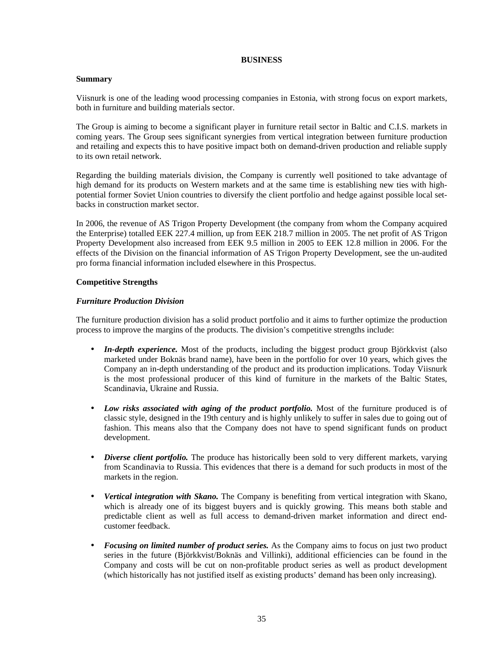## **BUSINESS**

## **Summary**

Viisnurk is one of the leading wood processing companies in Estonia, with strong focus on export markets, both in furniture and building materials sector.

The Group is aiming to become a significant player in furniture retail sector in Baltic and C.I.S. markets in coming years. The Group sees significant synergies from vertical integration between furniture production and retailing and expects this to have positive impact both on demand-driven production and reliable supply to its own retail network.

Regarding the building materials division, the Company is currently well positioned to take advantage of high demand for its products on Western markets and at the same time is establishing new ties with highpotential former Soviet Union countries to diversify the client portfolio and hedge against possible local setbacks in construction market sector.

In 2006, the revenue of AS Trigon Property Development (the company from whom the Company acquired the Enterprise) totalled EEK 227.4 million, up from EEK 218.7 million in 2005. The net profit of AS Trigon Property Development also increased from EEK 9.5 million in 2005 to EEK 12.8 million in 2006. For the effects of the Division on the financial information of AS Trigon Property Development, see the un-audited pro forma financial information included elsewhere in this Prospectus.

#### **Competitive Strengths**

#### *Furniture Production Division*

The furniture production division has a solid product portfolio and it aims to further optimize the production process to improve the margins of the products. The division's competitive strengths include:

- *In-depth experience*. Most of the products, including the biggest product group Björkkvist (also marketed under Boknäs brand name), have been in the portfolio for over 10 years, which gives the Company an in-depth understanding of the product and its production implications. Today Viisnurk is the most professional producer of this kind of furniture in the markets of the Baltic States, Scandinavia, Ukraine and Russia.
- *Low risks associated with aging of the product portfolio.* Most of the furniture produced is of classic style, designed in the 19th century and is highly unlikely to suffer in sales due to going out of fashion. This means also that the Company does not have to spend significant funds on product development.
- *Diverse client portfolio*. The produce has historically been sold to very different markets, varying from Scandinavia to Russia. This evidences that there is a demand for such products in most of the markets in the region.
- *Vertical integration with Skano.* The Company is benefiting from vertical integration with Skano, which is already one of its biggest buyers and is quickly growing. This means both stable and predictable client as well as full access to demand-driven market information and direct endcustomer feedback.
- *Focusing on limited number of product series.* As the Company aims to focus on just two product series in the future (Björkkvist/Boknäs and Villinki), additional efficiencies can be found in the Company and costs will be cut on non-profitable product series as well as product development (which historically has not justified itself as existing products' demand has been only increasing).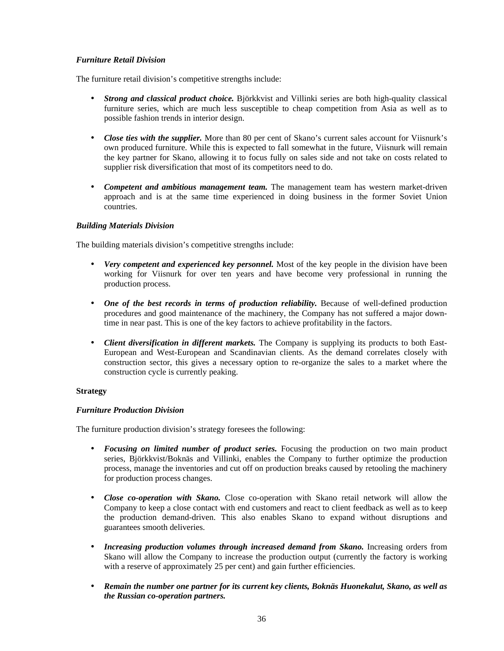## *Furniture Retail Division*

The furniture retail division's competitive strengths include:

- *Strong and classical product choice.* Björkkvist and Villinki series are both high-quality classical furniture series, which are much less susceptible to cheap competition from Asia as well as to possible fashion trends in interior design.
- *Close ties with the supplier*. More than 80 per cent of Skano's current sales account for Viisnurk's own produced furniture. While this is expected to fall somewhat in the future, Viisnurk will remain the key partner for Skano, allowing it to focus fully on sales side and not take on costs related to supplier risk diversification that most of its competitors need to do.
- *Competent and ambitious management team.* The management team has western market-driven approach and is at the same time experienced in doing business in the former Soviet Union countries.

## *Building Materials Division*

The building materials division's competitive strengths include:

- *Very competent and experienced key personnel*. Most of the key people in the division have been working for Viisnurk for over ten years and have become very professional in running the production process.
- One of the best records in terms of production reliability. Because of well-defined production procedures and good maintenance of the machinery, the Company has not suffered a major downtime in near past. This is one of the key factors to achieve profitability in the factors.
- *Client diversification in different markets.* The Company is supplying its products to both East-European and West-European and Scandinavian clients. As the demand correlates closely with construction sector, this gives a necessary option to re-organize the sales to a market where the construction cycle is currently peaking.

## **Strategy**

## *Furniture Production Division*

The furniture production division's strategy foresees the following:

- *Focusing on limited number of product series.* Focusing the production on two main product series, Björkkvist/Boknäs and Villinki, enables the Company to further optimize the production process, manage the inventories and cut off on production breaks caused by retooling the machinery for production process changes.
- *Close co-operation with Skano.* Close co-operation with Skano retail network will allow the Company to keep a close contact with end customers and react to client feedback as well as to keep the production demand-driven. This also enables Skano to expand without disruptions and guarantees smooth deliveries.
- *Increasing production volumes through increased demand from Skano.* Increasing orders from Skano will allow the Company to increase the production output (currently the factory is working with a reserve of approximately 25 per cent) and gain further efficiencies.
- *Remain the number one partner for its current key clients, Boknäs Huonekalut, Skano, as well as the Russian co-operation partners.*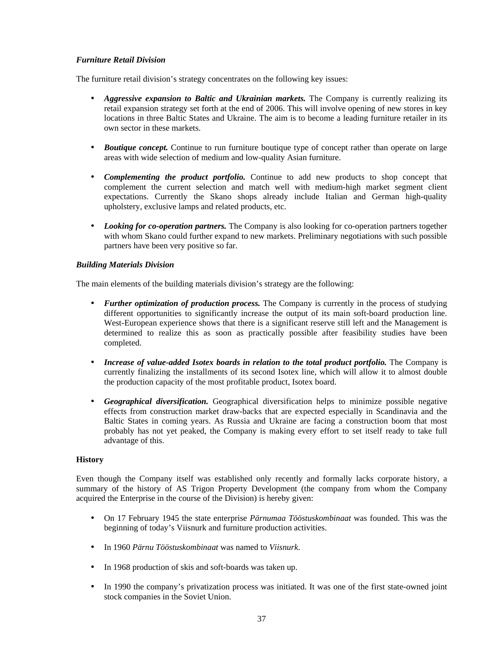# *Furniture Retail Division*

The furniture retail division's strategy concentrates on the following key issues:

- *Aggressive expansion to Baltic and Ukrainian markets.* The Company is currently realizing its retail expansion strategy set forth at the end of 2006. This will involve opening of new stores in key locations in three Baltic States and Ukraine. The aim is to become a leading furniture retailer in its own sector in these markets.
- *Boutique concept*. Continue to run furniture boutique type of concept rather than operate on large areas with wide selection of medium and low-quality Asian furniture.
- *Complementing the product portfolio.* Continue to add new products to shop concept that complement the current selection and match well with medium-high market segment client expectations. Currently the Skano shops already include Italian and German high-quality upholstery, exclusive lamps and related products, etc.
- *Looking for co-operation partners*. The Company is also looking for co-operation partners together with whom Skano could further expand to new markets. Preliminary negotiations with such possible partners have been very positive so far.

# *Building Materials Division*

The main elements of the building materials division's strategy are the following:

- *Further optimization of production process*. The Company is currently in the process of studying different opportunities to significantly increase the output of its main soft-board production line. West-European experience shows that there is a significant reserve still left and the Management is determined to realize this as soon as practically possible after feasibility studies have been completed.
- *Increase of value-added Isotex boards in relation to the total product portfolio.* The Company is currently finalizing the installments of its second Isotex line, which will allow it to almost double the production capacity of the most profitable product, Isotex board.
- *Geographical diversification.* Geographical diversification helps to minimize possible negative effects from construction market draw-backs that are expected especially in Scandinavia and the Baltic States in coming years. As Russia and Ukraine are facing a construction boom that most probably has not yet peaked, the Company is making every effort to set itself ready to take full advantage of this.

# **History**

Even though the Company itself was established only recently and formally lacks corporate history, a summary of the history of AS Trigon Property Development (the company from whom the Company acquired the Enterprise in the course of the Division) is hereby given:

- On 17 February 1945 the state enterprise *Pärnumaa Tööstuskombinaat* was founded. This was the beginning of today's Viisnurk and furniture production activities.
- In 1960 *Pärnu Tööstuskombinaat* was named to *Viisnurk*.
- In 1968 production of skis and soft-boards was taken up.
- In 1990 the company's privatization process was initiated. It was one of the first state-owned joint stock companies in the Soviet Union.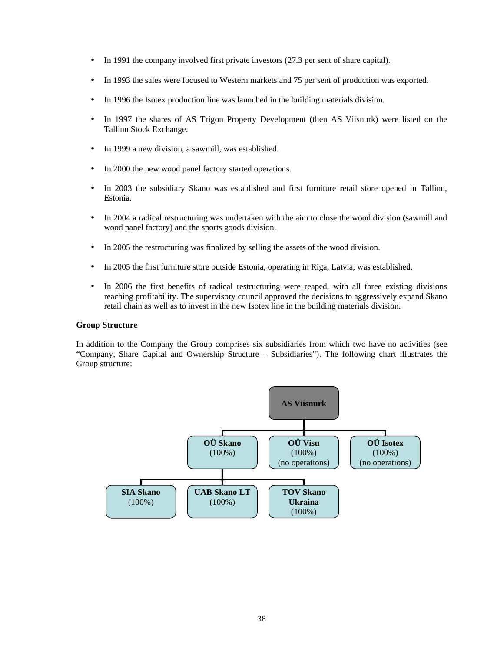- In 1991 the company involved first private investors (27.3 per sent of share capital).
- In 1993 the sales were focused to Western markets and 75 per sent of production was exported.
- In 1996 the Isotex production line was launched in the building materials division.
- In 1997 the shares of AS Trigon Property Development (then AS Viisnurk) were listed on the Tallinn Stock Exchange.
- In 1999 a new division, a sawmill, was established.
- In 2000 the new wood panel factory started operations.
- In 2003 the subsidiary Skano was established and first furniture retail store opened in Tallinn, Estonia.
- In 2004 a radical restructuring was undertaken with the aim to close the wood division (sawmill and wood panel factory) and the sports goods division.
- In 2005 the restructuring was finalized by selling the assets of the wood division.
- In 2005 the first furniture store outside Estonia, operating in Riga, Latvia, was established.
- In 2006 the first benefits of radical restructuring were reaped, with all three existing divisions reaching profitability. The supervisory council approved the decisions to aggressively expand Skano retail chain as well as to invest in the new Isotex line in the building materials division.

# **Group Structure**

In addition to the Company the Group comprises six subsidiaries from which two have no activities (see "Company, Share Capital and Ownership Structure – Subsidiaries"). The following chart illustrates the Group structure:

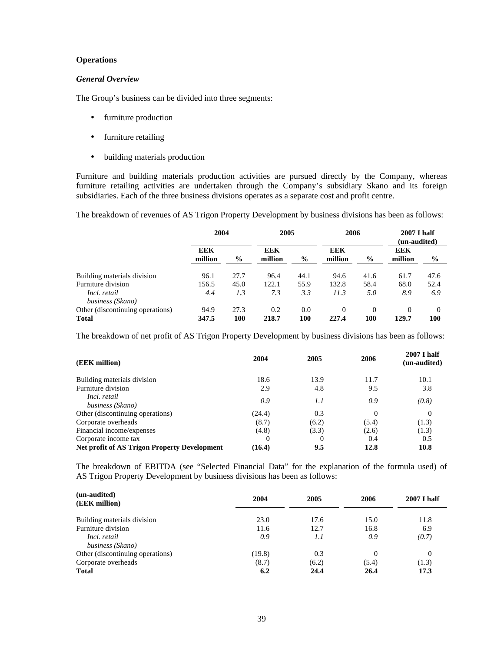# **Operations**

# *General Overview*

The Group's business can be divided into three segments:

- furniture production
- furniture retailing
- building materials production

Furniture and building materials production activities are pursued directly by the Company, whereas furniture retailing activities are undertaken through the Company's subsidiary Skano and its foreign subsidiaries. Each of the three business divisions operates as a separate cost and profit centre.

The breakdown of revenues of AS Trigon Property Development by business divisions has been as follows:

|                                  | 2004           |               | 2005           |               | 2006           |               | 2007 I half<br>(un-audited) |               |
|----------------------------------|----------------|---------------|----------------|---------------|----------------|---------------|-----------------------------|---------------|
|                                  | EEK<br>million | $\frac{0}{0}$ | EEK<br>million | $\frac{6}{9}$ | EEK<br>million | $\frac{6}{9}$ | <b>EEK</b><br>million       | $\frac{6}{9}$ |
| Building materials division      | 96.1           | 27.7          | 96.4           | 44.1          | 94.6           | 41.6          | 61.7                        | 47.6          |
| Furniture division               | 156.5          | 45.0          | 122.1          | 55.9          | 132.8          | 58.4          | 68.0                        | 52.4          |
| Incl. retail<br>business (Skano) | 4.4            | 1.3           | 7.3            | 3.3           | 11.3           | 5.0           | 8.9                         | 6.9           |
| Other (discontinuing operations) | 94.9           | 27.3          | 0.2            | 0.0           | $\Omega$       | $\theta$      | $\Omega$                    | $\Omega$      |
| <b>Total</b>                     | 347.5          | 100           | 218.7          | 100           | 227.4          | 100           | 129.7                       | 100           |

The breakdown of net profit of AS Trigon Property Development by business divisions has been as follows:

| (EEK million)                                       | 2004<br>2005 |          | 2006     | <b>2007 I half</b><br>(un-audited) |  |
|-----------------------------------------------------|--------------|----------|----------|------------------------------------|--|
| Building materials division                         | 18.6         | 13.9     | 11.7     | 10.1                               |  |
| Furniture division                                  | 2.9          | 4.8      | 9.5      | 3.8                                |  |
| Incl. retail<br>business (Skano)                    | 0.9          | 1.1      | 0.9      | (0.8)                              |  |
| Other (discontinuing operations)                    | (24.4)       | 0.3      | $\Omega$ | 0                                  |  |
| Corporate overheads                                 | (8.7)        | (6.2)    | (5.4)    | (1.3)                              |  |
| Financial income/expenses                           | (4.8)        | (3.3)    | (2.6)    | (1.3)                              |  |
| Corporate income tax                                | 0            | $\theta$ | 0.4      | 0.5                                |  |
| <b>Net profit of AS Trigon Property Development</b> | (16.4)       | 9.5      | 12.8     | 10.8                               |  |

The breakdown of EBITDA (see "Selected Financial Data" for the explanation of the formula used) of AS Trigon Property Development by business divisions has been as follows:

| (un-audited)<br>(EEK million)    | 2004   | 2005  | 2006     | <b>2007 I half</b> |
|----------------------------------|--------|-------|----------|--------------------|
| Building materials division      | 23.0   | 17.6  | 15.0     | 11.8               |
| Furniture division               | 11.6   | 12.7  | 16.8     | 6.9                |
| Incl. retail                     | 0.9    | 1.1   | 0.9      | (0.7)              |
| business (Skano)                 |        |       |          |                    |
| Other (discontinuing operations) | (19.8) | 0.3   | $\Omega$ |                    |
| Corporate overheads              | (8.7)  | (6.2) | (5.4)    | (1.3)              |
| <b>Total</b>                     | 6.2    | 24.4  | 26.4     | 17.3               |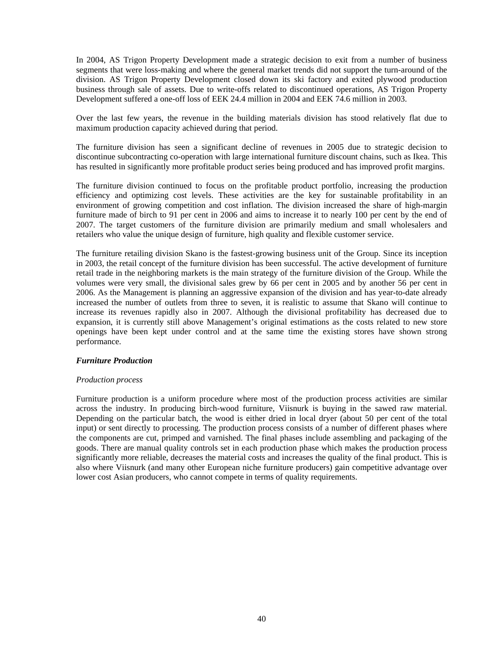In 2004, AS Trigon Property Development made a strategic decision to exit from a number of business segments that were loss-making and where the general market trends did not support the turn-around of the division. AS Trigon Property Development closed down its ski factory and exited plywood production business through sale of assets. Due to write-offs related to discontinued operations, AS Trigon Property Development suffered a one-off loss of EEK 24.4 million in 2004 and EEK 74.6 million in 2003.

Over the last few years, the revenue in the building materials division has stood relatively flat due to maximum production capacity achieved during that period.

The furniture division has seen a significant decline of revenues in 2005 due to strategic decision to discontinue subcontracting co-operation with large international furniture discount chains, such as Ikea. This has resulted in significantly more profitable product series being produced and has improved profit margins.

The furniture division continued to focus on the profitable product portfolio, increasing the production efficiency and optimizing cost levels. These activities are the key for sustainable profitability in an environment of growing competition and cost inflation. The division increased the share of high-margin furniture made of birch to 91 per cent in 2006 and aims to increase it to nearly 100 per cent by the end of 2007. The target customers of the furniture division are primarily medium and small wholesalers and retailers who value the unique design of furniture, high quality and flexible customer service.

The furniture retailing division Skano is the fastest-growing business unit of the Group. Since its inception in 2003, the retail concept of the furniture division has been successful. The active development of furniture retail trade in the neighboring markets is the main strategy of the furniture division of the Group. While the volumes were very small, the divisional sales grew by 66 per cent in 2005 and by another 56 per cent in 2006. As the Management is planning an aggressive expansion of the division and has year-to-date already increased the number of outlets from three to seven, it is realistic to assume that Skano will continue to increase its revenues rapidly also in 2007. Although the divisional profitability has decreased due to expansion, it is currently still above Management's original estimations as the costs related to new store openings have been kept under control and at the same time the existing stores have shown strong performance.

### *Furniture Production*

### *Production process*

Furniture production is a uniform procedure where most of the production process activities are similar across the industry. In producing birch-wood furniture, Viisnurk is buying in the sawed raw material. Depending on the particular batch, the wood is either dried in local dryer (about 50 per cent of the total input) or sent directly to processing. The production process consists of a number of different phases where the components are cut, primped and varnished. The final phases include assembling and packaging of the goods. There are manual quality controls set in each production phase which makes the production process significantly more reliable, decreases the material costs and increases the quality of the final product. This is also where Viisnurk (and many other European niche furniture producers) gain competitive advantage over lower cost Asian producers, who cannot compete in terms of quality requirements.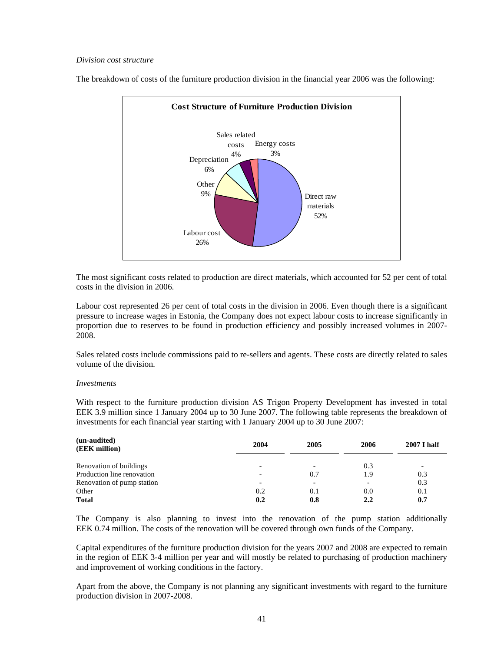## *Division cost structure*



The breakdown of costs of the furniture production division in the financial year 2006 was the following:

The most significant costs related to production are direct materials, which accounted for 52 per cent of total costs in the division in 2006.

Labour cost represented 26 per cent of total costs in the division in 2006. Even though there is a significant pressure to increase wages in Estonia, the Company does not expect labour costs to increase significantly in proportion due to reserves to be found in production efficiency and possibly increased volumes in 2007- 2008.

Sales related costs include commissions paid to re-sellers and agents. These costs are directly related to sales volume of the division.

### *Investments*

With respect to the furniture production division AS Trigon Property Development has invested in total EEK 3.9 million since 1 January 2004 up to 30 June 2007. The following table represents the breakdown of investments for each financial year starting with 1 January 2004 up to 30 June 2007:

| (un-audited)<br>(EEK million) | 2004                     | 2005                     | 2006 | <b>2007 I half</b> |
|-------------------------------|--------------------------|--------------------------|------|--------------------|
| Renovation of buildings       | -                        | -                        | 0.3  |                    |
| Production line renovation    | $\overline{\phantom{a}}$ | 0.7                      | 1.9  | 0.3                |
| Renovation of pump station    | -                        | $\overline{\phantom{0}}$ |      | 0.3                |
| Other                         | 0.2                      | 0.1                      | 0.0  | 0.1                |
| <b>Total</b>                  | 0.2                      | 0.8                      | 2.2  | 0.7                |

The Company is also planning to invest into the renovation of the pump station additionally EEK 0.74 million. The costs of the renovation will be covered through own funds of the Company.

Capital expenditures of the furniture production division for the years 2007 and 2008 are expected to remain in the region of EEK 3-4 million per year and will mostly be related to purchasing of production machinery and improvement of working conditions in the factory.

Apart from the above, the Company is not planning any significant investments with regard to the furniture production division in 2007-2008.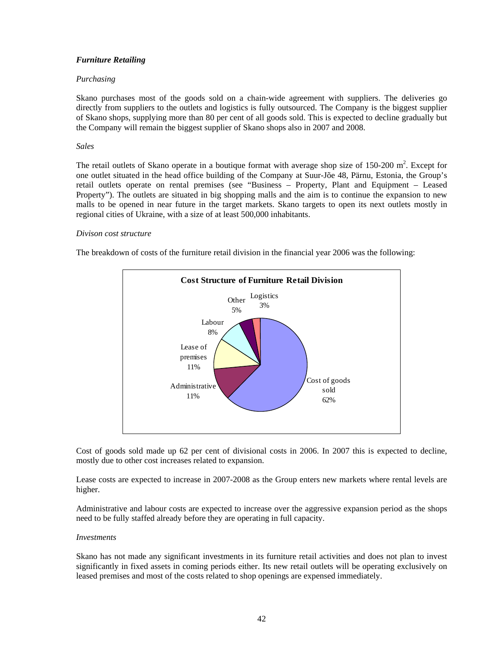# *Furniture Retailing*

# *Purchasing*

Skano purchases most of the goods sold on a chain-wide agreement with suppliers. The deliveries go directly from suppliers to the outlets and logistics is fully outsourced. The Company is the biggest supplier of Skano shops, supplying more than 80 per cent of all goods sold. This is expected to decline gradually but the Company will remain the biggest supplier of Skano shops also in 2007 and 2008.

## *Sales*

The retail outlets of Skano operate in a boutique format with average shop size of  $150-200$  m<sup>2</sup>. Except for one outlet situated in the head office building of the Company at Suur-Jõe 48, Pärnu, Estonia, the Group's retail outlets operate on rental premises (see "Business – Property, Plant and Equipment – Leased Property"). The outlets are situated in big shopping malls and the aim is to continue the expansion to new malls to be opened in near future in the target markets. Skano targets to open its next outlets mostly in regional cities of Ukraine, with a size of at least 500,000 inhabitants.

## *Divison cost structure*

The breakdown of costs of the furniture retail division in the financial year 2006 was the following:



Cost of goods sold made up 62 per cent of divisional costs in 2006. In 2007 this is expected to decline, mostly due to other cost increases related to expansion.

Lease costs are expected to increase in 2007-2008 as the Group enters new markets where rental levels are higher.

Administrative and labour costs are expected to increase over the aggressive expansion period as the shops need to be fully staffed already before they are operating in full capacity.

### *Investments*

Skano has not made any significant investments in its furniture retail activities and does not plan to invest significantly in fixed assets in coming periods either. Its new retail outlets will be operating exclusively on leased premises and most of the costs related to shop openings are expensed immediately.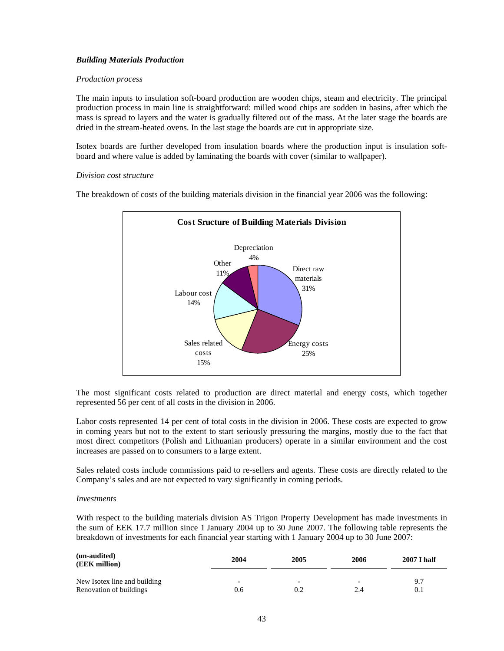# *Building Materials Production*

# *Production process*

The main inputs to insulation soft-board production are wooden chips, steam and electricity. The principal production process in main line is straightforward: milled wood chips are sodden in basins, after which the mass is spread to layers and the water is gradually filtered out of the mass. At the later stage the boards are dried in the stream-heated ovens. In the last stage the boards are cut in appropriate size.

Isotex boards are further developed from insulation boards where the production input is insulation softboard and where value is added by laminating the boards with cover (similar to wallpaper).

### *Division cost structure*

The breakdown of costs of the building materials division in the financial year 2006 was the following:



The most significant costs related to production are direct material and energy costs, which together represented 56 per cent of all costs in the division in 2006.

Labor costs represented 14 per cent of total costs in the division in 2006. These costs are expected to grow in coming years but not to the extent to start seriously pressuring the margins, mostly due to the fact that most direct competitors (Polish and Lithuanian producers) operate in a similar environment and the cost increases are passed on to consumers to a large extent.

Sales related costs include commissions paid to re-sellers and agents. These costs are directly related to the Company's sales and are not expected to vary significantly in coming periods.

# *Investments*

With respect to the building materials division AS Trigon Property Development has made investments in the sum of EEK 17.7 million since 1 January 2004 up to 30 June 2007. The following table represents the breakdown of investments for each financial year starting with 1 January 2004 up to 30 June 2007:

| (un-audited)<br>(EEK million) | 2004                     | 2005 | 2006 | <b>2007 I half</b> |
|-------------------------------|--------------------------|------|------|--------------------|
| New Isotex line and building  | $\overline{\phantom{0}}$ | -    | 2.4  | 9.7                |
| Renovation of buildings       | 0.6                      | 0.2  |      | 0.1                |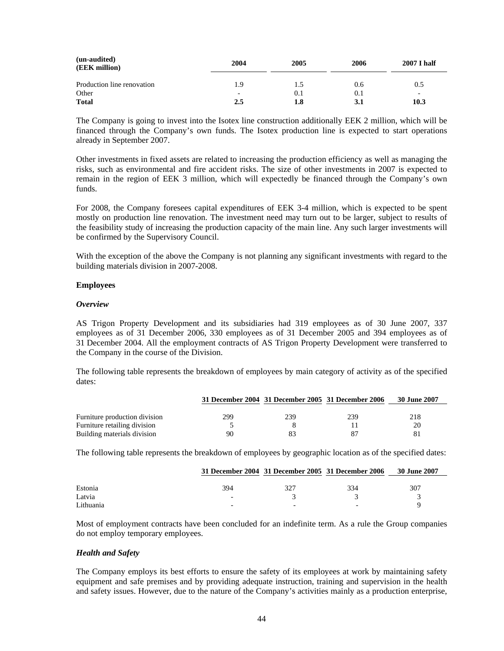| (un-audited)<br>(EEK million) | 2004 | 2005 | 2006 | 2007 I half              |
|-------------------------------|------|------|------|--------------------------|
| Production line renovation    | 1.9  | 1.5  | 0.6  | 0.5                      |
| Other                         | -    | 0.1  | 0.1  | $\overline{\phantom{0}}$ |
| <b>Total</b>                  | 2.5  | 1.8  | 3.1  | 10.3                     |

The Company is going to invest into the Isotex line construction additionally EEK 2 million, which will be financed through the Company's own funds. The Isotex production line is expected to start operations already in September 2007.

Other investments in fixed assets are related to increasing the production efficiency as well as managing the risks, such as environmental and fire accident risks. The size of other investments in 2007 is expected to remain in the region of EEK 3 million, which will expectedly be financed through the Company's own funds.

For 2008, the Company foresees capital expenditures of EEK 3-4 million, which is expected to be spent mostly on production line renovation. The investment need may turn out to be larger, subject to results of the feasibility study of increasing the production capacity of the main line. Any such larger investments will be confirmed by the Supervisory Council.

With the exception of the above the Company is not planning any significant investments with regard to the building materials division in 2007-2008.

## **Employees**

### *Overview*

AS Trigon Property Development and its subsidiaries had 319 employees as of 30 June 2007, 337 employees as of 31 December 2006, 330 employees as of 31 December 2005 and 394 employees as of 31 December 2004. All the employment contracts of AS Trigon Property Development were transferred to the Company in the course of the Division.

The following table represents the breakdown of employees by main category of activity as of the specified dates:

|                               |     |     | 31 December 2004 31 December 2005 31 December 2006 | 30 June 2007 |
|-------------------------------|-----|-----|----------------------------------------------------|--------------|
| Furniture production division | 299 | 239 | 239                                                | 218          |
| Furniture retailing division  |     |     |                                                    | 20           |
| Building materials division   | 90  |     | 87                                                 |              |

The following table represents the breakdown of employees by geographic location as of the specified dates:

|           |     | 31 December 2004 31 December 2005 31 December 2006 |     | 30 June 2007 |
|-----------|-----|----------------------------------------------------|-----|--------------|
|           |     |                                                    |     |              |
| Estonia   | 394 | 327                                                | 334 | 307          |
| Latvia    |     |                                                    |     |              |
| Lithuania |     | -                                                  |     |              |

Most of employment contracts have been concluded for an indefinite term. As a rule the Group companies do not employ temporary employees.

# *Health and Safety*

The Company employs its best efforts to ensure the safety of its employees at work by maintaining safety equipment and safe premises and by providing adequate instruction, training and supervision in the health and safety issues. However, due to the nature of the Company's activities mainly as a production enterprise,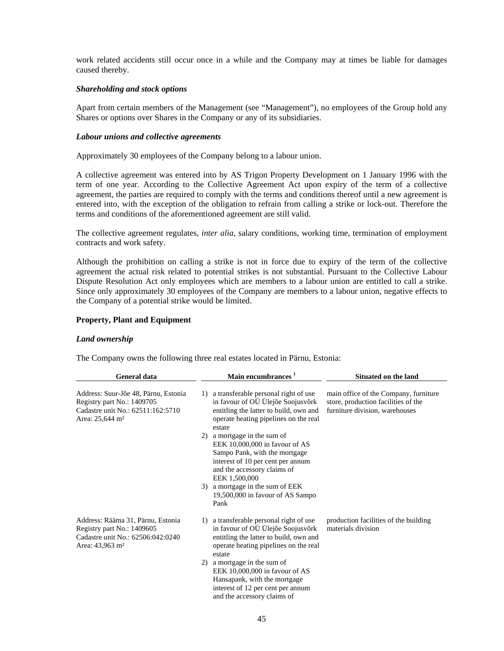work related accidents still occur once in a while and the Company may at times be liable for damages caused thereby.

## *Shareholding and stock options*

Apart from certain members of the Management (see "Management"), no employees of the Group hold any Shares or options over Shares in the Company or any of its subsidiaries.

## *Labour unions and collective agreements*

Approximately 30 employees of the Company belong to a labour union.

A collective agreement was entered into by AS Trigon Property Development on 1 January 1996 with the term of one year. According to the Collective Agreement Act upon expiry of the term of a collective agreement, the parties are required to comply with the terms and conditions thereof until a new agreement is entered into, with the exception of the obligation to refrain from calling a strike or lock-out. Therefore the terms and conditions of the aforementioned agreement are still valid.

The collective agreement regulates, *inter alia*, salary conditions, working time, termination of employment contracts and work safety.

Although the prohibition on calling a strike is not in force due to expiry of the term of the collective agreement the actual risk related to potential strikes is not substantial. Pursuant to the Collective Labour Dispute Resolution Act only employees which are members to a labour union are entitled to call a strike. Since only approximately 30 employees of the Company are members to a labour union, negative effects to the Company of a potential strike would be limited.

## **Property, Plant and Equipment**

## *Land ownership*

The Company owns the following three real estates located in Pärnu, Estonia:

| <b>General data</b>                                                                                                                    | <b>Main encumbrances</b>                                                                                                                                                               | Situated on the land                                                                                           |  |  |
|----------------------------------------------------------------------------------------------------------------------------------------|----------------------------------------------------------------------------------------------------------------------------------------------------------------------------------------|----------------------------------------------------------------------------------------------------------------|--|--|
| Address: Suur-Jõe 48, Pärnu, Estonia<br>Registry part No.: 1409705<br>Cadastre unit No.: 62511:162:5710<br>Area: 25,644 m <sup>2</sup> | a transferable personal right of use<br>1)<br>in favour of OÜ Ülejõe Soojusvõrk<br>entitling the latter to build, own and<br>operate heating pipelines on the real<br>estate           | main office of the Company, furniture<br>store, production facilities of the<br>furniture division, warehouses |  |  |
|                                                                                                                                        | a mortgage in the sum of<br>2)<br>EEK 10,000,000 in favour of AS<br>Sampo Pank, with the mortgage<br>interest of 10 per cent per annum<br>and the accessory claims of<br>EEK 1,500,000 |                                                                                                                |  |  |
|                                                                                                                                        | 3) a mortgage in the sum of EEK<br>19,500,000 in favour of AS Sampo<br>Pank                                                                                                            |                                                                                                                |  |  |
| Address: Rääma 31, Pärnu, Estonia<br>Registry part No.: 1409605<br>Cadastre unit No.: 62506:042:0240<br>Area: 43,963 m <sup>2</sup>    | a transferable personal right of use<br>1)<br>in favour of OÜ Ülejõe Soojusvõrk<br>entitling the latter to build, own and<br>operate heating pipelines on the real<br>estate           | production facilities of the building<br>materials division                                                    |  |  |
|                                                                                                                                        | a mortgage in the sum of<br>2)<br>EEK 10,000,000 in favour of AS<br>Hansapank, with the mortgage<br>interest of 12 per cent per annum<br>and the accessory claims of                   |                                                                                                                |  |  |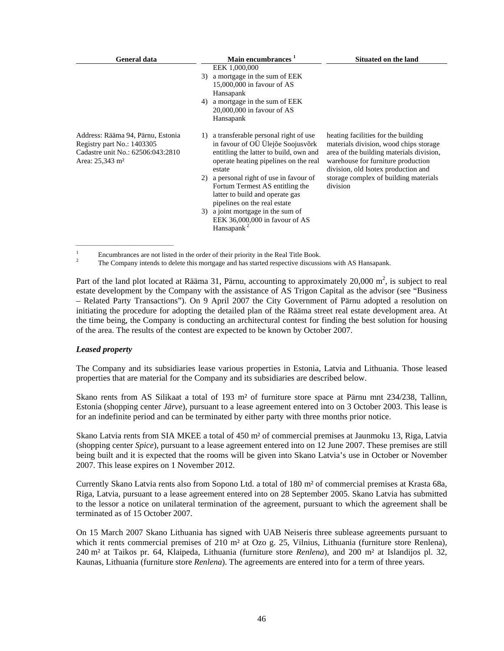| <b>General data</b>                                                                                                                 | Main encumbrances <sup>1</sup>                                                                                                                                                                                                                                | <b>Situated on the land</b>                                                                                                                                                                                                                                 |
|-------------------------------------------------------------------------------------------------------------------------------------|---------------------------------------------------------------------------------------------------------------------------------------------------------------------------------------------------------------------------------------------------------------|-------------------------------------------------------------------------------------------------------------------------------------------------------------------------------------------------------------------------------------------------------------|
|                                                                                                                                     | EEK 1,000,000<br>a mortgage in the sum of EEK<br>3)<br>15,000,000 in favour of AS<br>Hansapank<br>a mortgage in the sum of EEK<br>4)<br>$20,000,000$ in favour of AS<br>Hansapank                                                                             |                                                                                                                                                                                                                                                             |
| Address: Rääma 94, Pärnu, Estonia<br>Registry part No.: 1403305<br>Cadastre unit No.: 62506:043:2810<br>Area: 25,343 m <sup>2</sup> | a transferable personal right of use<br>1)<br>in favour of OÜ Ülejõe Soojusvõrk<br>entitling the latter to build, own and<br>operate heating pipelines on the real<br>estate<br>a personal right of use in favour of<br>2)<br>Fortum Termest AS entitling the | heating facilities for the building<br>materials division, wood chips storage<br>area of the building materials division,<br>warehouse for furniture production<br>division, old Isotex production and<br>storage complex of building materials<br>division |
|                                                                                                                                     | latter to build and operate gas<br>pipelines on the real estate<br>3) a joint mortgage in the sum of<br>EEK $36,000,000$ in favour of AS<br>Hansapank <sup>2</sup>                                                                                            |                                                                                                                                                                                                                                                             |

 $\frac{1}{2}$  Encumbrances are not listed in the order of their priority in the Real Title Book.

The Company intends to delete this mortgage and has started respective discussions with AS Hansapank.

Part of the land plot located at Rääma 31, Pärnu, accounting to approximately  $20,000$  m<sup>2</sup>, is subject to real estate development by the Company with the assistance of AS Trigon Capital as the advisor (see "Business – Related Party Transactions"). On 9 April 2007 the City Government of Pärnu adopted a resolution on initiating the procedure for adopting the detailed plan of the Rääma street real estate development area. At the time being, the Company is conducting an architectural contest for finding the best solution for housing of the area. The results of the contest are expected to be known by October 2007.

# *Leased property*

The Company and its subsidiaries lease various properties in Estonia, Latvia and Lithuania. Those leased properties that are material for the Company and its subsidiaries are described below.

Skano rents from AS Silikaat a total of 193 m² of furniture store space at Pärnu mnt 234/238, Tallinn, Estonia (shopping center *Järve*), pursuant to a lease agreement entered into on 3 October 2003. This lease is for an indefinite period and can be terminated by either party with three months prior notice.

Skano Latvia rents from SIA MKEE a total of 450 m² of commercial premises at Jaunmoku 13, Riga, Latvia (shopping center *Spice*), pursuant to a lease agreement entered into on 12 June 2007. These premises are still being built and it is expected that the rooms will be given into Skano Latvia's use in October or November 2007. This lease expires on 1 November 2012.

Currently Skano Latvia rents also from Sopono Ltd. a total of 180 m² of commercial premises at Krasta 68a, Riga, Latvia, pursuant to a lease agreement entered into on 28 September 2005. Skano Latvia has submitted to the lessor a notice on unilateral termination of the agreement, pursuant to which the agreement shall be terminated as of 15 October 2007.

On 15 March 2007 Skano Lithuania has signed with UAB Neiseris three sublease agreements pursuant to which it rents commercial premises of 210 m<sup>2</sup> at Ozo g. 25, Vilnius, Lithuania (furniture store Renlena), 240 m² at Taikos pr. 64, Klaipeda, Lithuania (furniture store *Renlena*), and 200 m² at Islandijos pl. 32, Kaunas, Lithuania (furniture store *Renlena*). The agreements are entered into for a term of three years.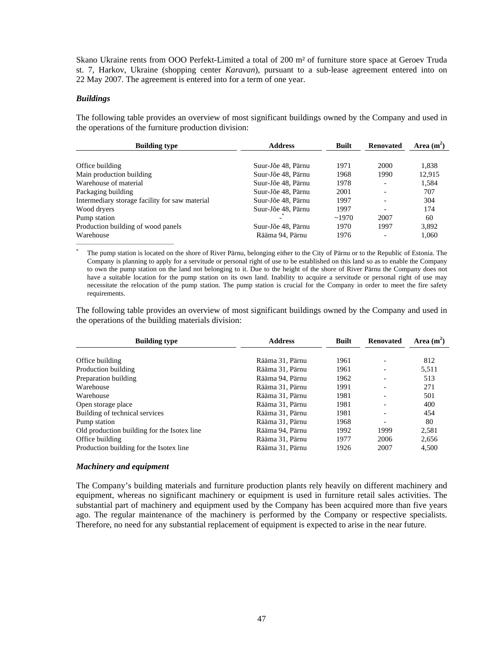Skano Ukraine rents from OOO Perfekt-Limited a total of 200 m² of furniture store space at Geroev Truda st. 7, Harkov, Ukraine (shopping center *Karavan*), pursuant to a sub-lease agreement entered into on 22 May 2007. The agreement is entered into for a term of one year.

# *Buildings*

The following table provides an overview of most significant buildings owned by the Company and used in the operations of the furniture production division:

| <b>Building type</b>                           | <b>Address</b>     | <b>Built</b> | <b>Renovated</b>         | Area $(m^2)$ |
|------------------------------------------------|--------------------|--------------|--------------------------|--------------|
| Office building                                | Suur-Jõe 48, Pärnu | 1971         | 2000                     | 1,838        |
| Main production building                       | Suur-Jõe 48, Pärnu | 1968         | 1990                     | 12,915       |
| Warehouse of material                          | Suur-Jõe 48, Pärnu | 1978         |                          | 1,584        |
| Packaging building                             | Suur-Jõe 48, Pärnu | 2001         |                          | 707          |
| Intermediary storage facility for saw material | Suur-Jõe 48, Pärnu | 1997         |                          | 304          |
| Wood dryers                                    | Suur-Jõe 48, Pärnu | 1997         |                          | 174          |
| Pump station                                   |                    | ~1970        | 2007                     | 60           |
| Production building of wood panels             | Suur-Jõe 48, Pärnu | 1970         | 1997                     | 3,892        |
| Warehouse                                      | Rääma 94, Pärnu    | 1976         | $\overline{\phantom{0}}$ | 1,060        |

The pump station is located on the shore of River Pärnu, belonging either to the City of Pärnu or to the Republic of Estonia. The Company is planning to apply for a servitude or personal right of use to be established on this land so as to enable the Company to own the pump station on the land not belonging to it. Due to the height of the shore of River Pärnu the Company does not have a suitable location for the pump station on its own land. Inability to acquire a servitude or personal right of use may necessitate the relocation of the pump station. The pump station is crucial for the Company in order to meet the fire safety requirements.

The following table provides an overview of most significant buildings owned by the Company and used in the operations of the building materials division:

| <b>Building type</b>                        | <b>Address</b>  | <b>Built</b> | <b>Renovated</b>         | Area $(m^2)$ |
|---------------------------------------------|-----------------|--------------|--------------------------|--------------|
| Office building                             | Rääma 31, Pärnu | 1961         |                          | 812          |
| Production building                         | Rääma 31. Pärnu | 1961         |                          | 5,511        |
| Preparation building                        | Rääma 94. Pärnu | 1962         | $\overline{\phantom{a}}$ | 513          |
| Warehouse                                   | Rääma 31, Pärnu | 1991         |                          | 271          |
| Warehouse                                   | Rääma 31, Pärnu | 1981         |                          | 501          |
| Open storage place                          | Rääma 31, Pärnu | 1981         |                          | 400          |
| Building of technical services              | Rääma 31. Pärnu | 1981         |                          | 454          |
| Pump station                                | Rääma 31. Pärnu | 1968         |                          | 80           |
| Old production building for the Isotex line | Rääma 94, Pärnu | 1992         | 1999                     | 2,581        |
| Office building                             | Rääma 31, Pärnu | 1977         | 2006                     | 2,656        |
| Production building for the Isotex line     | Rääma 31. Pärnu | 1926         | 2007                     | 4.500        |

## *Machinery and equipment*

The Company's building materials and furniture production plants rely heavily on different machinery and equipment, whereas no significant machinery or equipment is used in furniture retail sales activities. The substantial part of machinery and equipment used by the Company has been acquired more than five years ago. The regular maintenance of the machinery is performed by the Company or respective specialists. Therefore, no need for any substantial replacement of equipment is expected to arise in the near future.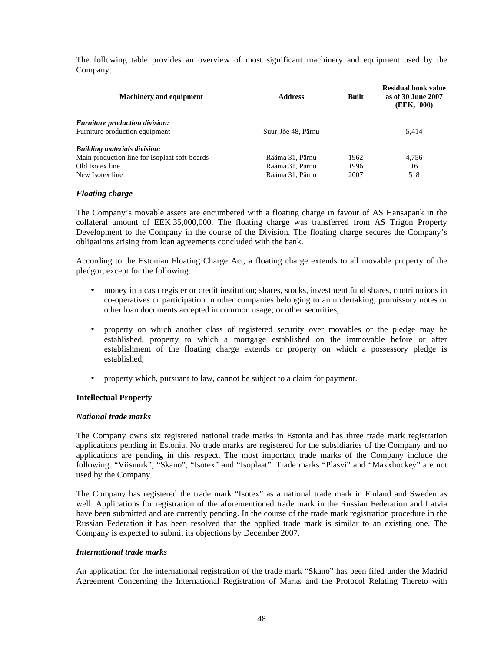The following table provides an overview of most significant machinery and equipment used by the Company:

| <b>Machinery and equipment</b>                | <b>Address</b>     | <b>Built</b> | Residual book value<br>as of 30 June 2007<br>(EEK, '000) |
|-----------------------------------------------|--------------------|--------------|----------------------------------------------------------|
| <b>Furniture production division:</b>         |                    |              |                                                          |
| Furniture production equipment                | Suur-Jõe 48. Pärnu |              | 5,414                                                    |
| <b>Building materials division:</b>           |                    |              |                                                          |
| Main production line for Isoplaat soft-boards | Rääma 31, Pärnu    | 1962         | 4,756                                                    |
| Old Isotex line                               | Rääma 31, Pärnu    | 1996         | 16                                                       |
| New Isotex line                               | Rääma 31, Pärnu    | 2007         | 518                                                      |

# *Floating charge*

The Company's movable assets are encumbered with a floating charge in favour of AS Hansapank in the collateral amount of EEK 35,000,000. The floating charge was transferred from AS Trigon Property Development to the Company in the course of the Division. The floating charge secures the Company's obligations arising from loan agreements concluded with the bank.

According to the Estonian Floating Charge Act, a floating charge extends to all movable property of the pledgor, except for the following:

- money in a cash register or credit institution; shares, stocks, investment fund shares, contributions in co-operatives or participation in other companies belonging to an undertaking; promissory notes or other loan documents accepted in common usage; or other securities;
- property on which another class of registered security over movables or the pledge may be established, property to which a mortgage established on the immovable before or after establishment of the floating charge extends or property on which a possessory pledge is established;
- property which, pursuant to law, cannot be subject to a claim for payment.

# **Intellectual Property**

### *National trade marks*

The Company owns six registered national trade marks in Estonia and has three trade mark registration applications pending in Estonia. No trade marks are registered for the subsidiaries of the Company and no applications are pending in this respect. The most important trade marks of the Company include the following: "Viisnurk", "Skano", "Isotex" and "Isoplaat". Trade marks "Plasvi" and "Maxxhockey" are not used by the Company.

The Company has registered the trade mark "Isotex" as a national trade mark in Finland and Sweden as well. Applications for registration of the aforementioned trade mark in the Russian Federation and Latvia have been submitted and are currently pending. In the course of the trade mark registration procedure in the Russian Federation it has been resolved that the applied trade mark is similar to an existing one. The Company is expected to submit its objections by December 2007.

### *International trade marks*

An application for the international registration of the trade mark "Skano" has been filed under the Madrid Agreement Concerning the International Registration of Marks and the Protocol Relating Thereto with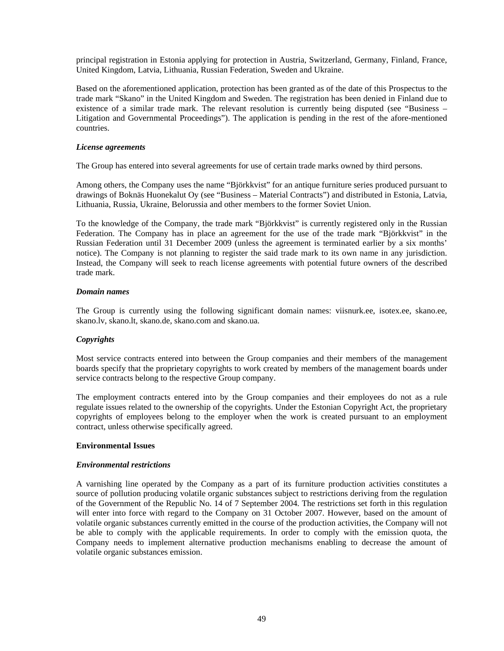principal registration in Estonia applying for protection in Austria, Switzerland, Germany, Finland, France, United Kingdom, Latvia, Lithuania, Russian Federation, Sweden and Ukraine.

Based on the aforementioned application, protection has been granted as of the date of this Prospectus to the trade mark "Skano" in the United Kingdom and Sweden. The registration has been denied in Finland due to existence of a similar trade mark. The relevant resolution is currently being disputed (see "Business – Litigation and Governmental Proceedings"). The application is pending in the rest of the afore-mentioned countries.

# *License agreements*

The Group has entered into several agreements for use of certain trade marks owned by third persons.

Among others, the Company uses the name "Björkkvist" for an antique furniture series produced pursuant to drawings of Boknäs Huonekalut Oy (see "Business – Material Contracts") and distributed in Estonia, Latvia, Lithuania, Russia, Ukraine, Belorussia and other members to the former Soviet Union.

To the knowledge of the Company, the trade mark "Björkkvist" is currently registered only in the Russian Federation. The Company has in place an agreement for the use of the trade mark "Björkkvist" in the Russian Federation until 31 December 2009 (unless the agreement is terminated earlier by a six months' notice). The Company is not planning to register the said trade mark to its own name in any jurisdiction. Instead, the Company will seek to reach license agreements with potential future owners of the described trade mark.

## *Domain names*

The Group is currently using the following significant domain names: viisnurk.ee, isotex.ee, skano.ee, skano.lv, skano.lt, skano.de, skano.com and skano.ua.

# *Copyrights*

Most service contracts entered into between the Group companies and their members of the management boards specify that the proprietary copyrights to work created by members of the management boards under service contracts belong to the respective Group company.

The employment contracts entered into by the Group companies and their employees do not as a rule regulate issues related to the ownership of the copyrights. Under the Estonian Copyright Act, the proprietary copyrights of employees belong to the employer when the work is created pursuant to an employment contract, unless otherwise specifically agreed.

### **Environmental Issues**

### *Environmental restrictions*

A varnishing line operated by the Company as a part of its furniture production activities constitutes a source of pollution producing volatile organic substances subject to restrictions deriving from the regulation of the Government of the Republic No. 14 of 7 September 2004. The restrictions set forth in this regulation will enter into force with regard to the Company on 31 October 2007. However, based on the amount of volatile organic substances currently emitted in the course of the production activities, the Company will not be able to comply with the applicable requirements. In order to comply with the emission quota, the Company needs to implement alternative production mechanisms enabling to decrease the amount of volatile organic substances emission.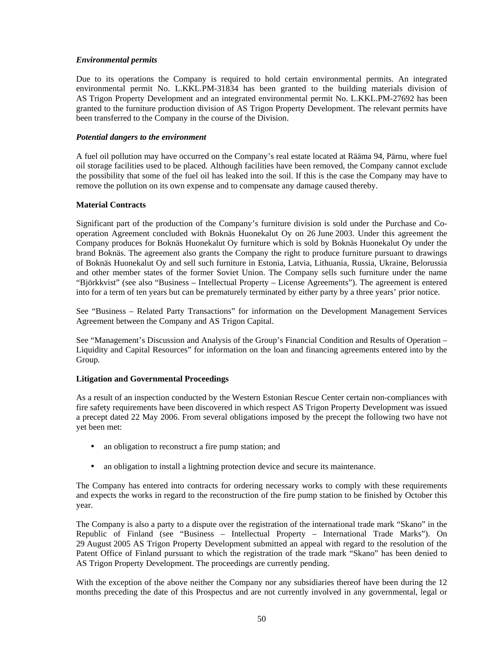# *Environmental permits*

Due to its operations the Company is required to hold certain environmental permits. An integrated environmental permit No. L.KKL.PM-31834 has been granted to the building materials division of AS Trigon Property Development and an integrated environmental permit No. L.KKL.PM-27692 has been granted to the furniture production division of AS Trigon Property Development. The relevant permits have been transferred to the Company in the course of the Division.

# *Potential dangers to the environment*

A fuel oil pollution may have occurred on the Company's real estate located at Rääma 94, Pärnu, where fuel oil storage facilities used to be placed. Although facilities have been removed, the Company cannot exclude the possibility that some of the fuel oil has leaked into the soil. If this is the case the Company may have to remove the pollution on its own expense and to compensate any damage caused thereby.

# **Material Contracts**

Significant part of the production of the Company's furniture division is sold under the Purchase and Cooperation Agreement concluded with Boknäs Huonekalut Oy on 26 June 2003. Under this agreement the Company produces for Boknäs Huonekalut Oy furniture which is sold by Boknäs Huonekalut Oy under the brand Boknäs. The agreement also grants the Company the right to produce furniture pursuant to drawings of Boknäs Huonekalut Oy and sell such furniture in Estonia, Latvia, Lithuania, Russia, Ukraine, Belorussia and other member states of the former Soviet Union. The Company sells such furniture under the name "Björkkvist" (see also "Business – Intellectual Property – License Agreements"). The agreement is entered into for a term of ten years but can be prematurely terminated by either party by a three years' prior notice.

See "Business – Related Party Transactions" for information on the Development Management Services Agreement between the Company and AS Trigon Capital.

See "Management's Discussion and Analysis of the Group's Financial Condition and Results of Operation – Liquidity and Capital Resources" for information on the loan and financing agreements entered into by the Group.

# **Litigation and Governmental Proceedings**

As a result of an inspection conducted by the Western Estonian Rescue Center certain non-compliances with fire safety requirements have been discovered in which respect AS Trigon Property Development was issued a precept dated 22 May 2006. From several obligations imposed by the precept the following two have not yet been met:

- an obligation to reconstruct a fire pump station; and
- an obligation to install a lightning protection device and secure its maintenance.

The Company has entered into contracts for ordering necessary works to comply with these requirements and expects the works in regard to the reconstruction of the fire pump station to be finished by October this year.

The Company is also a party to a dispute over the registration of the international trade mark "Skano" in the Republic of Finland (see "Business – Intellectual Property – International Trade Marks"). On 29 August 2005 AS Trigon Property Development submitted an appeal with regard to the resolution of the Patent Office of Finland pursuant to which the registration of the trade mark "Skano" has been denied to AS Trigon Property Development. The proceedings are currently pending.

With the exception of the above neither the Company nor any subsidiaries thereof have been during the 12 months preceding the date of this Prospectus and are not currently involved in any governmental, legal or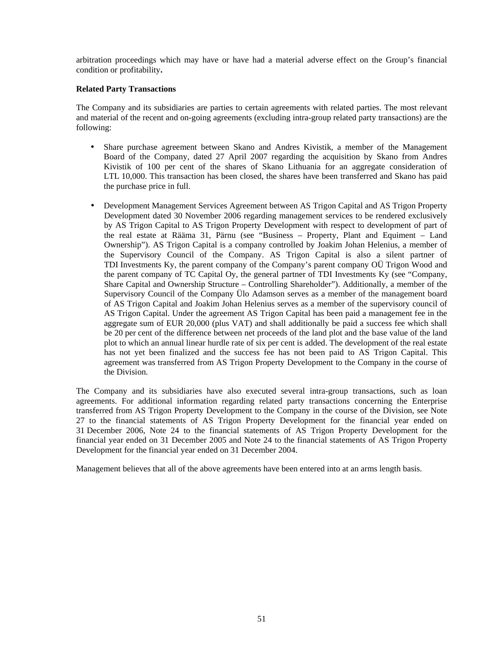arbitration proceedings which may have or have had a material adverse effect on the Group's financial condition or profitability**.**

# **Related Party Transactions**

The Company and its subsidiaries are parties to certain agreements with related parties. The most relevant and material of the recent and on-going agreements (excluding intra-group related party transactions) are the following:

- Share purchase agreement between Skano and Andres Kivistik, a member of the Management Board of the Company, dated 27 April 2007 regarding the acquisition by Skano from Andres Kivistik of 100 per cent of the shares of Skano Lithuania for an aggregate consideration of LTL 10,000. This transaction has been closed, the shares have been transferred and Skano has paid the purchase price in full.
- Development Management Services Agreement between AS Trigon Capital and AS Trigon Property Development dated 30 November 2006 regarding management services to be rendered exclusively by AS Trigon Capital to AS Trigon Property Development with respect to development of part of the real estate at Rääma 31, Pärnu (see "Business – Property, Plant and Equiment – Land Ownership"). AS Trigon Capital is a company controlled by Joakim Johan Helenius, a member of the Supervisory Council of the Company. AS Trigon Capital is also a silent partner of TDI Investments Ky, the parent company of the Company's parent company OÜ Trigon Wood and the parent company of TC Capital Oy, the general partner of TDI Investments Ky (see "Company, Share Capital and Ownership Structure – Controlling Shareholder"). Additionally, a member of the Supervisory Council of the Company Ülo Adamson serves as a member of the management board of AS Trigon Capital and Joakim Johan Helenius serves as a member of the supervisory council of AS Trigon Capital. Under the agreement AS Trigon Capital has been paid a management fee in the aggregate sum of EUR 20,000 (plus VAT) and shall additionally be paid a success fee which shall be 20 per cent of the difference between net proceeds of the land plot and the base value of the land plot to which an annual linear hurdle rate of six per cent is added. The development of the real estate has not yet been finalized and the success fee has not been paid to AS Trigon Capital. This agreement was transferred from AS Trigon Property Development to the Company in the course of the Division.

The Company and its subsidiaries have also executed several intra-group transactions, such as loan agreements. For additional information regarding related party transactions concerning the Enterprise transferred from AS Trigon Property Development to the Company in the course of the Division, see Note 27 to the financial statements of AS Trigon Property Development for the financial year ended on 31 December 2006, Note 24 to the financial statements of AS Trigon Property Development for the financial year ended on 31 December 2005 and Note 24 to the financial statements of AS Trigon Property Development for the financial year ended on 31 December 2004.

Management believes that all of the above agreements have been entered into at an arms length basis.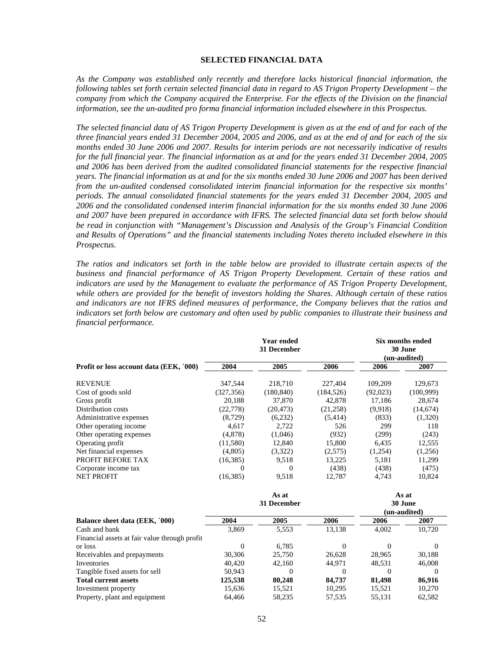## **SELECTED FINANCIAL DATA**

*As the Company was established only recently and therefore lacks historical financial information, the following tables set forth certain selected financial data in regard to AS Trigon Property Development – the company from which the Company acquired the Enterprise. For the effects of the Division on the financial information, see the un-audited pro forma financial information included elsewhere in this Prospectus.*

*The selected financial data of AS Trigon Property Development is given as at the end of and for each of the three financial years ended 31 December 2004, 2005 and 2006, and as at the end of and for each of the six months ended 30 June 2006 and 2007. Results for interim periods are not necessarily indicative of results for the full financial year. The financial information as at and for the years ended 31 December 2004, 2005 and 2006 has been derived from the audited consolidated financial statements for the respective financial years. The financial information as at and for the six months ended 30 June 2006 and 2007 has been derived from the un-audited condensed consolidated interim financial information for the respective six months' periods. The annual consolidated financial statements for the years ended 31 December 2004, 2005 and 2006 and the consolidated condensed interim financial information for the six months ended 30 June 2006 and 2007 have been prepared in accordance with IFRS. The selected financial data set forth below should be read in conjunction with "Management's Discussion and Analysis of the Group's Financial Condition and Results of Operations" and the financial statements including Notes thereto included elsewhere in this Prospectus.* 

*The ratios and indicators set forth in the table below are provided to illustrate certain aspects of the business and financial performance of AS Trigon Property Development. Certain of these ratios and indicators are used by the Management to evaluate the performance of AS Trigon Property Development, while others are provided for the benefit of investors holding the Shares. Although certain of these ratios and indicators are not IFRS defined measures of performance, the Company believes that the ratios and indicators set forth below are customary and often used by public companies to illustrate their business and financial performance.* 

|                                               |            | <b>Year ended</b><br>31 December | <b>Six months ended</b><br>30 June<br>(un-audited) |          |              |
|-----------------------------------------------|------------|----------------------------------|----------------------------------------------------|----------|--------------|
| Profit or loss account data (EEK, '000)       | 2004       | 2005                             | 2006                                               | 2006     | 2007         |
| <b>REVENUE</b>                                | 347,544    | 218,710                          | 227,404                                            | 109,209  | 129,673      |
| Cost of goods sold                            | (327, 356) | (180, 840)                       | (184, 526)                                         | (92,023) | (100,999)    |
| Gross profit                                  | 20,188     | 37,870                           | 42,878                                             | 17,186   | 28,674       |
| Distribution costs                            | (22, 778)  | (20, 473)                        | (21, 258)                                          | (9.918)  | (14,674)     |
| Administrative expenses                       | (8, 729)   | (6,232)                          | (5,414)                                            | (833)    | (1,320)      |
| Other operating income                        | 4,617      | 2,722                            | 526                                                | 299      | 118          |
| Other operating expenses                      | (4,878)    | (1,046)                          | (932)                                              | (299)    | (243)        |
| Operating profit                              | (11,580)   | 12,840                           | 15,800                                             | 6,435    | 12,555       |
| Net financial expenses                        | (4,805)    | (3,322)                          | (2,575)                                            | (1,254)  | (1,256)      |
| PROFIT BEFORE TAX                             | (16, 385)  | 9,518                            | 13,225                                             | 5,181    | 11,299       |
| Corporate income tax                          | 0          | $\Omega$                         | (438)                                              | (438)    | (475)        |
| <b>NET PROFIT</b>                             | (16, 385)  | 9,518                            | 12,787                                             | 4,743    | 10,824       |
|                                               |            | As at                            |                                                    |          | As at        |
|                                               |            | 31 December                      |                                                    |          | 30 June      |
|                                               |            |                                  |                                                    |          | (un-audited) |
| Balance sheet data (EEK, '000)                | 2004       | 2005                             | 2006                                               | 2006     | 2007         |
| Cash and bank                                 | 3,869      | 5,553                            | 13,138                                             | 4,002    | 10,720       |
| Financial assets at fair value through profit |            |                                  |                                                    |          |              |
| or loss                                       | $\theta$   | 6,785                            | $\Omega$                                           | 0        | $\theta$     |
| Receivables and prepayments                   | 30,306     | 25,750                           | 26,628                                             | 28,965   | 30,188       |
| Inventories                                   | 40,420     | 42,160                           | 44,971                                             | 48,531   | 46,008       |
| Tangible fixed assets for sell                | 50,943     | $\theta$                         | $\Omega$                                           | $\Omega$ | $\Omega$     |
| <b>Total current assets</b>                   | 125,538    | 80,248                           | 84,737                                             | 81,498   | 86,916       |
| Investment property                           | 15,636     | 15,521                           | 10,295                                             | 15,521   | 10,270       |
| Property, plant and equipment                 | 64,466     | 58,235                           | 57,535                                             | 55,131   | 62,582       |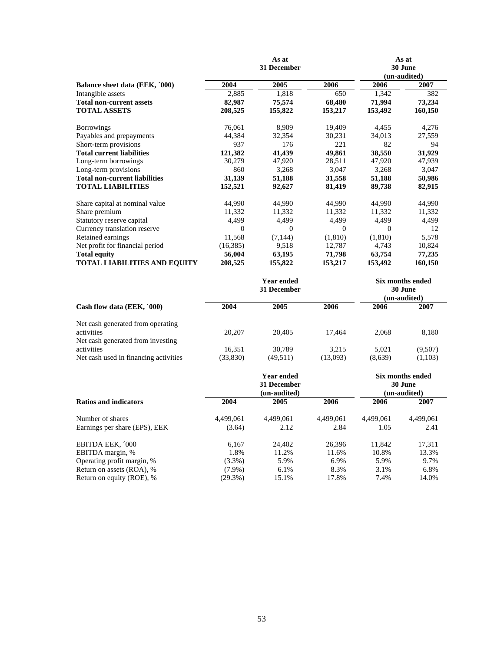|                                      |          | As at       | As at    |         |              |  |
|--------------------------------------|----------|-------------|----------|---------|--------------|--|
|                                      |          | 31 December |          | 30 June |              |  |
|                                      |          |             |          |         | (un-audited) |  |
| Balance sheet data (EEK, '000)       | 2004     | 2005        | 2006     | 2006    | 2007         |  |
| Intangible assets                    | 2,885    | 1,818       | 650      | 1,342   | 382          |  |
| <b>Total non-current assets</b>      | 82,987   | 75,574      | 68,480   | 71,994  | 73,234       |  |
| <b>TOTAL ASSETS</b>                  | 208,525  | 155,822     | 153,217  | 153,492 | 160,150      |  |
| <b>Borrowings</b>                    | 76,061   | 8,909       | 19,409   | 4,455   | 4,276        |  |
| Payables and prepayments             | 44,384   | 32,354      | 30,231   | 34,013  | 27,559       |  |
| Short-term provisions                | 937      | 176         | 221      | 82      | 94           |  |
| <b>Total current liabilities</b>     | 121,382  | 41,439      | 49,861   | 38,550  | 31,929       |  |
| Long-term borrowings                 | 30,279   | 47,920      | 28,511   | 47,920  | 47,939       |  |
| Long-term provisions                 | 860      | 3,268       | 3,047    | 3,268   | 3,047        |  |
| <b>Total non-current liabilities</b> | 31,139   | 51,188      | 31,558   | 51,188  | 50,986       |  |
| <b>TOTAL LIABILITIES</b>             | 152,521  | 92,627      | 81,419   | 89,738  | 82,915       |  |
| Share capital at nominal value       | 44,990   | 44,990      | 44,990   | 44,990  | 44,990       |  |
| Share premium                        | 11,332   | 11,332      | 11,332   | 11,332  | 11,332       |  |
| Statutory reserve capital            | 4,499    | 4,499       | 4,499    | 4,499   | 4,499        |  |
| Currency translation reserve         | $\Omega$ | $\Omega$    | $\Omega$ | 0       | 12           |  |
| Retained earnings                    | 11,568   | (7, 144)    | (1,810)  | (1,810) | 5,578        |  |
| Net profit for financial period      | (16,385) | 9,518       | 12,787   | 4,743   | 10,824       |  |
| <b>Total equity</b>                  | 56,004   | 63,195      | 71,798   | 63,754  | 77,235       |  |
| <b>TOTAL LIABILITIES AND EQUITY</b>  | 208,525  | 155,822     | 153,217  | 153,492 | 160,150      |  |

|                                                                                      |                     | Year ended<br>31 December | Six months ended<br>30 June<br>(un-audited) |                  |                    |
|--------------------------------------------------------------------------------------|---------------------|---------------------------|---------------------------------------------|------------------|--------------------|
| Cash flow data (EEK, '000)                                                           | 2004                | 2005                      | 2006                                        | 2006             | 2007               |
| Net cash generated from operating<br>activities<br>Net cash generated from investing | 20.207              | 20,405                    | 17.464                                      | 2.068            | 8,180              |
| activities<br>Net cash used in financing activities                                  | 16.351<br>(33, 830) | 30.789<br>(49, 511)       | 3.215<br>(13,093)                           | 5.021<br>(8,639) | (9,507)<br>(1,103) |

|                               |            | Year ended<br>31 December<br>(un-audited) | Six months ended<br>30 June<br>(un-audited) |           |           |
|-------------------------------|------------|-------------------------------------------|---------------------------------------------|-----------|-----------|
| Ratios and indicators         | 2004       | 2005                                      | 2006                                        | 2006      | 2007      |
| Number of shares              | 4,499,061  | 4,499,061                                 | 4.499.061                                   | 4,499,061 | 4,499,061 |
| Earnings per share (EPS), EEK | (3.64)     | 2.12                                      | 2.84                                        | 1.05      | 2.41      |
| EBITDA EEK, '000              | 6,167      | 24,402                                    | 26.396                                      | 11,842    | 17,311    |
| EBITDA margin, %              | 1.8%       | 11.2%                                     | 11.6%                                       | 10.8%     | 13.3%     |
| Operating profit margin, %    | $(3.3\%)$  | 5.9%                                      | 6.9%                                        | 5.9%      | 9.7%      |
| Return on assets (ROA), %     | $(7.9\%)$  | 6.1%                                      | 8.3%                                        | 3.1%      | 6.8%      |
| Return on equity (ROE), %     | $(29.3\%)$ | 15.1%                                     | 17.8%                                       | 7.4%      | 14.0%     |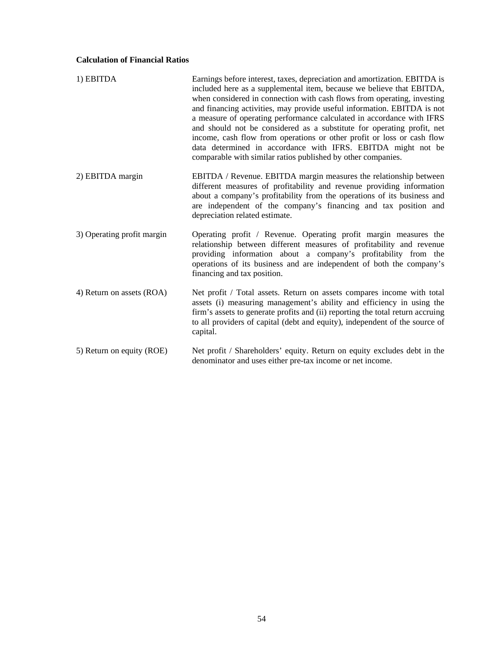# **Calculation of Financial Ratios**

| 1) EBITDA                  | Earnings before interest, taxes, depreciation and amortization. EBITDA is<br>included here as a supplemental item, because we believe that EBITDA,<br>when considered in connection with cash flows from operating, investing<br>and financing activities, may provide useful information. EBITDA is not<br>a measure of operating performance calculated in accordance with IFRS<br>and should not be considered as a substitute for operating profit, net<br>income, cash flow from operations or other profit or loss or cash flow<br>data determined in accordance with IFRS. EBITDA might not be<br>comparable with similar ratios published by other companies. |
|----------------------------|-----------------------------------------------------------------------------------------------------------------------------------------------------------------------------------------------------------------------------------------------------------------------------------------------------------------------------------------------------------------------------------------------------------------------------------------------------------------------------------------------------------------------------------------------------------------------------------------------------------------------------------------------------------------------|
| 2) EBITDA margin           | EBITDA / Revenue. EBITDA margin measures the relationship between<br>different measures of profitability and revenue providing information<br>about a company's profitability from the operations of its business and<br>are independent of the company's financing and tax position and<br>depreciation related estimate.                                                                                                                                                                                                                                                                                                                                            |
| 3) Operating profit margin | Operating profit / Revenue. Operating profit margin measures the<br>relationship between different measures of profitability and revenue<br>providing information about a company's profitability from the<br>operations of its business and are independent of both the company's<br>financing and tax position.                                                                                                                                                                                                                                                                                                                                                     |
| 4) Return on assets (ROA)  | Net profit / Total assets. Return on assets compares income with total<br>assets (i) measuring management's ability and efficiency in using the<br>firm's assets to generate profits and (ii) reporting the total return accruing<br>to all providers of capital (debt and equity), independent of the source of<br>capital.                                                                                                                                                                                                                                                                                                                                          |
| 5) Return on equity (ROE)  | Net profit / Shareholders' equity. Return on equity excludes debt in the<br>denominator and uses either pre-tax income or net income.                                                                                                                                                                                                                                                                                                                                                                                                                                                                                                                                 |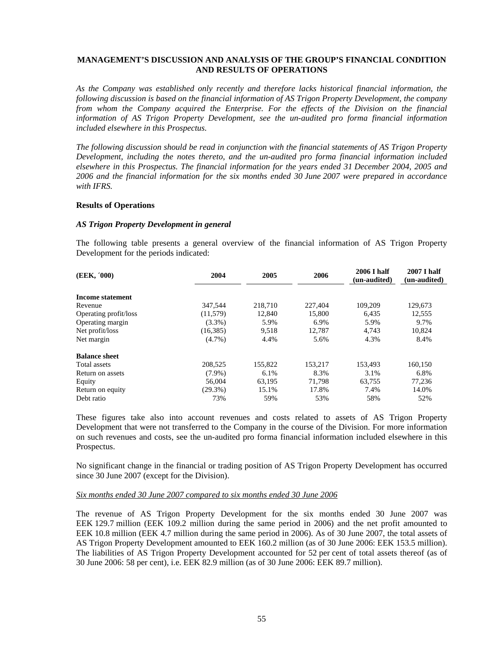# **MANAGEMENT'S DISCUSSION AND ANALYSIS OF THE GROUP'S FINANCIAL CONDITION AND RESULTS OF OPERATIONS**

*As the Company was established only recently and therefore lacks historical financial information, the following discussion is based on the financial information of AS Trigon Property Development, the company from whom the Company acquired the Enterprise. For the effects of the Division on the financial information of AS Trigon Property Development, see the un-audited pro forma financial information included elsewhere in this Prospectus.* 

*The following discussion should be read in conjunction with the financial statements of AS Trigon Property Development, including the notes thereto, and the un-audited pro forma financial information included elsewhere in this Prospectus. The financial information for the years ended 31 December 2004, 2005 and 2006 and the financial information for the six months ended 30 June 2007 were prepared in accordance with IFRS.* 

### **Results of Operations**

## *AS Trigon Property Development in general*

The following table presents a general overview of the financial information of AS Trigon Property Development for the periods indicated:

| (EEK, '000)           | 2004<br>2006<br>2005 |         |         | <b>2006 I half</b><br>(un-audited) | 2007 I half<br>(un-audited) |
|-----------------------|----------------------|---------|---------|------------------------------------|-----------------------------|
| Income statement      |                      |         |         |                                    |                             |
| Revenue               | 347,544              | 218,710 | 227,404 | 109,209                            | 129,673                     |
| Operating profit/loss | (11,579)             | 12,840  | 15,800  | 6,435                              | 12,555                      |
| Operating margin      | $(3.3\%)$            | 5.9%    | 6.9%    | 5.9%                               | 9.7%                        |
| Net profit/loss       | (16, 385)            | 9,518   | 12.787  | 4,743                              | 10,824                      |
| Net margin            | $(4.7\%)$            | 4.4%    | 5.6%    | 4.3%                               | 8.4%                        |
| <b>Balance sheet</b>  |                      |         |         |                                    |                             |
| Total assets          | 208,525              | 155,822 | 153.217 | 153.493                            | 160.150                     |
| Return on assets      | $(7.9\%)$            | 6.1%    | 8.3%    | 3.1%                               | 6.8%                        |
| Equity                | 56,004               | 63,195  | 71,798  | 63,755                             | 77,236                      |
| Return on equity      | $(29.3\%)$           | 15.1%   | 17.8%   | 7.4%                               | 14.0%                       |
| Debt ratio            | 73%                  | 59%     | 53%     | 58%                                | 52%                         |

These figures take also into account revenues and costs related to assets of AS Trigon Property Development that were not transferred to the Company in the course of the Division. For more information on such revenues and costs, see the un-audited pro forma financial information included elsewhere in this Prospectus.

No significant change in the financial or trading position of AS Trigon Property Development has occurred since 30 June 2007 (except for the Division).

### *Six months ended 30 June 2007 compared to six months ended 30 June 2006*

The revenue of AS Trigon Property Development for the six months ended 30 June 2007 was EEK 129.7 million (EEK 109.2 million during the same period in 2006) and the net profit amounted to EEK 10.8 million (EEK 4.7 million during the same period in 2006). As of 30 June 2007, the total assets of AS Trigon Property Development amounted to EEK 160.2 million (as of 30 June 2006: EEK 153.5 million). The liabilities of AS Trigon Property Development accounted for 52 per cent of total assets thereof (as of 30 June 2006: 58 per cent), i.e. EEK 82.9 million (as of 30 June 2006: EEK 89.7 million).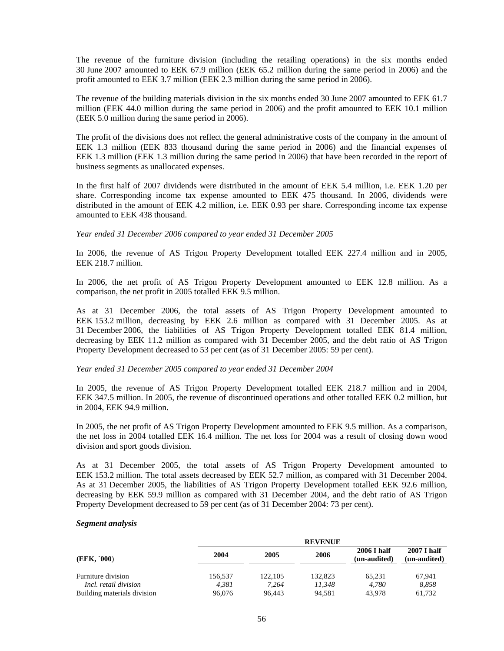The revenue of the furniture division (including the retailing operations) in the six months ended 30 June 2007 amounted to EEK 67.9 million (EEK 65.2 million during the same period in 2006) and the profit amounted to EEK 3.7 million (EEK 2.3 million during the same period in 2006).

The revenue of the building materials division in the six months ended 30 June 2007 amounted to EEK 61.7 million (EEK 44.0 million during the same period in 2006) and the profit amounted to EEK 10.1 million (EEK 5.0 million during the same period in 2006).

The profit of the divisions does not reflect the general administrative costs of the company in the amount of EEK 1.3 million (EEK 833 thousand during the same period in 2006) and the financial expenses of EEK 1.3 million (EEK 1.3 million during the same period in 2006) that have been recorded in the report of business segments as unallocated expenses.

In the first half of 2007 dividends were distributed in the amount of EEK 5.4 million, i.e. EEK 1.20 per share. Corresponding income tax expense amounted to EEK 475 thousand. In 2006, dividends were distributed in the amount of EEK 4.2 million, i.e. EEK 0.93 per share. Corresponding income tax expense amounted to EEK 438 thousand.

### *Year ended 31 December 2006 compared to year ended 31 December 2005*

In 2006, the revenue of AS Trigon Property Development totalled EEK 227.4 million and in 2005, EEK 218.7 million.

In 2006, the net profit of AS Trigon Property Development amounted to EEK 12.8 million. As a comparison, the net profit in 2005 totalled EEK 9.5 million.

As at 31 December 2006, the total assets of AS Trigon Property Development amounted to EEK 153.2 million, decreasing by EEK 2.6 million as compared with 31 December 2005. As at 31 December 2006, the liabilities of AS Trigon Property Development totalled EEK 81.4 million, decreasing by EEK 11.2 million as compared with 31 December 2005, and the debt ratio of AS Trigon Property Development decreased to 53 per cent (as of 31 December 2005: 59 per cent).

### *Year ended 31 December 2005 compared to year ended 31 December 2004*

In 2005, the revenue of AS Trigon Property Development totalled EEK 218.7 million and in 2004, EEK 347.5 million. In 2005, the revenue of discontinued operations and other totalled EEK 0.2 million, but in 2004, EEK 94.9 million.

In 2005, the net profit of AS Trigon Property Development amounted to EEK 9.5 million. As a comparison, the net loss in 2004 totalled EEK 16.4 million. The net loss for 2004 was a result of closing down wood division and sport goods division.

As at 31 December 2005, the total assets of AS Trigon Property Development amounted to EEK 153.2 million. The total assets decreased by EEK 52.7 million, as compared with 31 December 2004. As at 31 December 2005, the liabilities of AS Trigon Property Development totalled EEK 92.6 million, decreasing by EEK 59.9 million as compared with 31 December 2004, and the debt ratio of AS Trigon Property Development decreased to 59 per cent (as of 31 December 2004: 73 per cent).

### *Segment analysis*

|                                                    |                  |                  | <b>REVENUE</b>    |                                    |                                    |  |
|----------------------------------------------------|------------------|------------------|-------------------|------------------------------------|------------------------------------|--|
| (EEK, '000)                                        | 2004             | 2005             | 2006              | <b>2006 I half</b><br>(un-audited) | <b>2007 I half</b><br>(un-audited) |  |
| Furniture division<br><i>Incl. retail division</i> | 156,537<br>4.381 | 122,105<br>7.264 | 132,823<br>11.348 | 65.231<br>4.780                    | 67.941<br>8.858                    |  |
| Building materials division                        | 96,076           | 96.443           | 94.581            | 43,978                             | 61,732                             |  |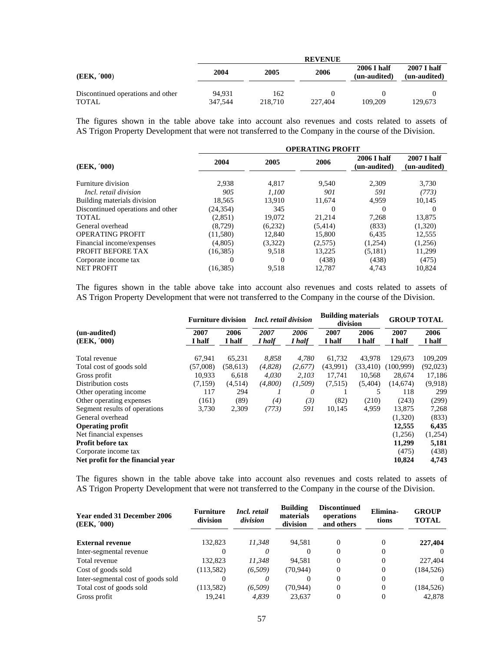|                                                   |                   |                | <b>REVENUE</b> |                                    |                                    |
|---------------------------------------------------|-------------------|----------------|----------------|------------------------------------|------------------------------------|
| (EEK, '000)                                       | 2004              | 2005           | 2006           | <b>2006 I half</b><br>(un-audited) | <b>2007 I half</b><br>(un-audited) |
| Discontinued operations and other<br><b>TOTAL</b> | 94.931<br>347,544 | 162<br>218,710 | 227,404        | 109.209                            | 129,673                            |

The figures shown in the table above take into account also revenues and costs related to assets of AS Trigon Property Development that were not transferred to the Company in the course of the Division.

|                                   | <b>OPERATING PROFIT</b> |         |                             |                             |          |  |  |  |
|-----------------------------------|-------------------------|---------|-----------------------------|-----------------------------|----------|--|--|--|
| (EEK, '000)                       | 2004<br>2005<br>2006    |         | 2006 I half<br>(un-audited) | 2007 I half<br>(un-audited) |          |  |  |  |
| Furniture division                | 2.938                   | 4.817   | 9.540                       | 2.309                       | 3.730    |  |  |  |
| Incl. retail division             | 905                     | 1,100   | 901                         | 591                         | (773)    |  |  |  |
| Building materials division       | 18.565                  | 13.910  | 11.674                      | 4.959                       | 10.145   |  |  |  |
| Discontinued operations and other | (24, 354)               | 345     |                             | 0                           | $\theta$ |  |  |  |
| TOTAL                             | (2,851)                 | 19,072  | 21,214                      | 7.268                       | 13,875   |  |  |  |
| General overhead                  | (8.729)                 | (6,232) | (5,414)                     | (833)                       | (1,320)  |  |  |  |
| <b>OPERATING PROFIT</b>           | (11,580)                | 12,840  | 15,800                      | 6,435                       | 12,555   |  |  |  |
| Financial income/expenses         | (4,805)                 | (3,322) | (2,575)                     | (1,254)                     | (1,256)  |  |  |  |
| PROFIT BEFORE TAX                 | (16, 385)               | 9,518   | 13,225                      | (5,181)                     | 11,299   |  |  |  |
| Corporate income tax              | 0                       | 0       | (438)                       | (438)                       | (475)    |  |  |  |
| <b>NET PROFIT</b>                 | (16, 385)               | 9,518   | 12,787                      | 4,743                       | 10,824   |  |  |  |

The figures shown in the table above take into account also revenues and costs related to assets of AS Trigon Property Development that were not transferred to the Company in the course of the Division.

|                                   | <b>Furniture division</b> |           | <i>Incl. retail division</i> |         | <b>Building materials</b><br>division |           | <b>GROUP TOTAL</b> |          |
|-----------------------------------|---------------------------|-----------|------------------------------|---------|---------------------------------------|-----------|--------------------|----------|
| (un-audited)                      | 2007                      | 2006      | 2007                         | 2006    | 2007                                  | 2006      | 2007               | 2006     |
| (EEK, '000)                       | I half                    | I half    | I half                       | I half  | I half                                | I half    | I half             | I half   |
| Total revenue                     | 67,941                    | 65,231    | 8,858                        | 4,780   | 61,732                                | 43,978    | 129,673            | 109,209  |
| Total cost of goods sold          | (57,008)                  | (58, 613) | (4,828)                      | (2,677) | (43,991)                              | (33, 410) | (100.999)          | (92,023) |
| Gross profit                      | 10.933                    | 6.618     | 4,030                        | 2.103   | 17.741                                | 10,568    | 28,674             | 17,186   |
| Distribution costs                | (7,159)                   | (4,514)   | (4,800)                      | (1,509) | (7,515)                               | (5,404)   | (14,674)           | (9,918)  |
| Other operating income.           | 117                       | 294       |                              | 0       |                                       | 5         | 118                | 299      |
| Other operating expenses          | (161)                     | (89)      | (4)                          | (3)     | (82)                                  | (210)     | (243)              | (299)    |
| Segment results of operations     | 3,730                     | 2,309     | (773)                        | 591     | 10,145                                | 4,959     | 13,875             | 7,268    |
| General overhead                  |                           |           |                              |         |                                       |           | (1,320)            | (833)    |
| <b>Operating profit</b>           |                           |           |                              |         |                                       |           | 12,555             | 6,435    |
| Net financial expenses            |                           |           |                              |         |                                       |           | (1,256)            | (1,254)  |
| <b>Profit before tax</b>          |                           |           |                              |         |                                       |           | 11,299             | 5,181    |
| Corporate income tax              |                           |           |                              |         |                                       |           | (475)              | (438)    |
| Net profit for the financial year |                           |           |                              |         |                                       |           | 10,824             | 4,743    |

The figures shown in the table above take into account also revenues and costs related to assets of AS Trigon Property Development that were not transferred to the Company in the course of the Division.

| <b>Year ended 31 December 2006</b><br>(EEK, '000) | <b>Furniture</b><br>division | Incl. retail<br>division | <b>Building</b><br>materials<br>division | <b>Discontinued</b><br>operations<br>and others | Elimina-<br>tions | <b>GROUP</b><br><b>TOTAL</b> |
|---------------------------------------------------|------------------------------|--------------------------|------------------------------------------|-------------------------------------------------|-------------------|------------------------------|
| <b>External revenue</b>                           | 132,823                      | 11.348                   | 94.581                                   |                                                 | $\theta$          | 227,404                      |
| Inter-segmental revenue                           |                              | 0                        |                                          |                                                 | $\theta$          |                              |
| Total revenue                                     | 132,823                      | 11.348                   | 94.581                                   |                                                 | 0                 | 227,404                      |
| Cost of goods sold                                | (113, 582)                   | (6,509)                  | (70.944)                                 |                                                 | $\Omega$          | (184, 526)                   |
| Inter-segmental cost of goods sold                |                              | 0                        |                                          |                                                 | 0                 |                              |
| Total cost of goods sold                          | (113, 582)                   | (6.509)                  | (70, 944)                                |                                                 | $\Omega$          | (184, 526)                   |
| Gross profit                                      | 19.241                       | 4.839                    | 23.637                                   |                                                 | 0                 | 42,878                       |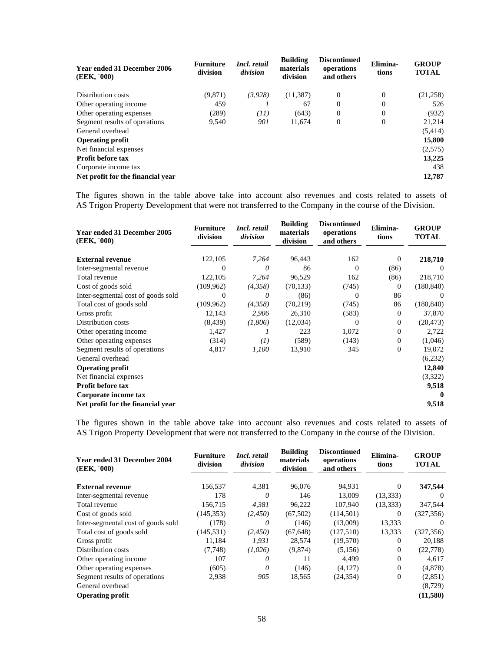| <b>Year ended 31 December 2006</b><br>(EEK, '000) | <b>Furniture</b><br>division | Incl. retail<br>division | <b>Building</b><br>materials<br>division | <b>Discontinued</b><br>operations<br>and others | Elimina-<br>tions | <b>GROUP</b><br><b>TOTAL</b> |
|---------------------------------------------------|------------------------------|--------------------------|------------------------------------------|-------------------------------------------------|-------------------|------------------------------|
| Distribution costs                                | (9,871)                      | (3,928)                  | (11, 387)                                | $\overline{0}$                                  | 0                 | (21,258)                     |
| Other operating income.                           | 459                          |                          | 67                                       | $\Omega$                                        | 0                 | 526                          |
| Other operating expenses                          | (289)                        | (11)                     | (643)                                    | $\overline{0}$                                  | 0                 | (932)                        |
| Segment results of operations                     | 9.540                        | 901                      | 11.674                                   | $\overline{0}$                                  | $\overline{0}$    | 21,214                       |
| General overhead                                  |                              |                          |                                          |                                                 |                   | (5, 414)                     |
| <b>Operating profit</b>                           |                              |                          |                                          |                                                 |                   | 15,800                       |
| Net financial expenses                            |                              |                          |                                          |                                                 |                   | (2,575)                      |
| <b>Profit before tax</b>                          |                              |                          |                                          |                                                 |                   | 13,225                       |
| Corporate income tax                              |                              |                          |                                          |                                                 |                   | 438                          |
| Net profit for the financial year                 |                              |                          |                                          |                                                 |                   | 12,787                       |

The figures shown in the table above take into account also revenues and costs related to assets of AS Trigon Property Development that were not transferred to the Company in the course of the Division.

| <b>Year ended 31 December 2005</b><br>(EEK, '000) | <b>Furniture</b><br>division | Incl. retail<br>division | <b>Building</b><br>materials<br>division | <b>Discontinued</b><br>operations<br>and others | Elimina-<br>tions | <b>GROUP</b><br><b>TOTAL</b> |
|---------------------------------------------------|------------------------------|--------------------------|------------------------------------------|-------------------------------------------------|-------------------|------------------------------|
| <b>External revenue</b>                           | 122,105                      | 7,264                    | 96,443                                   | 162                                             | 0                 | 218,710                      |
| Inter-segmental revenue                           | $\Omega$                     | 0                        | 86                                       | $\Omega$                                        | (86)              | $\Omega$                     |
| Total revenue                                     | 122,105                      | 7,264                    | 96,529                                   | 162                                             | (86)              | 218,710                      |
| Cost of goods sold                                | (109, 962)                   | (4,358)                  | (70, 133)                                | (745)                                           | $\mathbf{0}$      | (180, 840)                   |
| Inter-segmental cost of goods sold                | $\Omega$                     | 0                        | (86)                                     | 0                                               | 86                | -0                           |
| Total cost of goods sold                          | (109, 962)                   | (4,358)                  | (70, 219)                                | (745)                                           | 86                | (180, 840)                   |
| Gross profit                                      | 12,143                       | 2,906                    | 26,310                                   | (583)                                           | 0                 | 37,870                       |
| Distribution costs                                | (8, 439)                     | (1,806)                  | (12,034)                                 | $\Omega$                                        | 0                 | (20, 473)                    |
| Other operating income                            | 1,427                        | $\prime$                 | 223                                      | 1,072                                           | 0                 | 2,722                        |
| Other operating expenses                          | (314)                        | (I)                      | (589)                                    | (143)                                           | 0                 | (1,046)                      |
| Segment results of operations                     | 4,817                        | 1,100                    | 13,910                                   | 345                                             | 0                 | 19,072                       |
| General overhead                                  |                              |                          |                                          |                                                 |                   | (6,232)                      |
| <b>Operating profit</b>                           |                              |                          |                                          |                                                 |                   | 12,840                       |
| Net financial expenses                            |                              |                          |                                          |                                                 |                   | (3,322)                      |
| <b>Profit before tax</b>                          |                              |                          |                                          |                                                 |                   | 9,518                        |
| Corporate income tax                              |                              |                          |                                          |                                                 |                   | $\mathbf 0$                  |
| Net profit for the financial year                 |                              |                          |                                          |                                                 |                   | 9,518                        |

The figures shown in the table above take into account also revenues and costs related to assets of AS Trigon Property Development that were not transferred to the Company in the course of the Division.

| Year ended 31 December 2004<br>(EEK, '000) | <b>Furniture</b><br>division | Incl. retail<br>division | <b>Building</b><br>materials<br>division | <b>Discontinued</b><br>operations<br>and others | Elimina-<br>tions | <b>GROUP</b><br><b>TOTAL</b> |
|--------------------------------------------|------------------------------|--------------------------|------------------------------------------|-------------------------------------------------|-------------------|------------------------------|
|                                            |                              |                          |                                          |                                                 |                   |                              |
| <b>External revenue</b>                    | 156,537                      | 4,381                    | 96,076                                   | 94,931                                          | $\Omega$          | 347,544                      |
| Inter-segmental revenue                    | 178                          | 0                        | 146                                      | 13,009                                          | (13, 333)         | $\Omega$                     |
| Total revenue                              | 156,715                      | 4,381                    | 96,222                                   | 107,940                                         | (13, 333)         | 347,544                      |
| Cost of goods sold                         | (145, 353)                   | (2,450)                  | (67, 502)                                | (114,501)                                       | $\Omega$          | (327, 356)                   |
| Inter-segmental cost of goods sold         | (178)                        | 0                        | (146)                                    | (13,009)                                        | 13,333            | $\Omega$                     |
| Total cost of goods sold                   | (145, 531)                   | (2,450)                  | (67, 648)                                | (127,510)                                       | 13,333            | (327, 356)                   |
| Gross profit                               | 11,184                       | 1,931                    | 28,574                                   | (19,570)                                        | $\Omega$          | 20,188                       |
| Distribution costs                         | (7,748)                      | (1,026)                  | (9,874)                                  | (5,156)                                         | $\Omega$          | (22, 778)                    |
| Other operating income                     | 107                          | 0                        | 11                                       | 4,499                                           | $\Omega$          | 4,617                        |
| Other operating expenses                   | (605)                        | 0                        | (146)                                    | (4,127)                                         | $\mathbf{0}$      | (4,878)                      |
| Segment results of operations              | 2,938                        | 905                      | 18,565                                   | (24, 354)                                       | $\mathbf{0}$      | (2,851)                      |
| General overhead                           |                              |                          |                                          |                                                 |                   | (8,729)                      |
| <b>Operating profit</b>                    |                              |                          |                                          |                                                 |                   | (11,580)                     |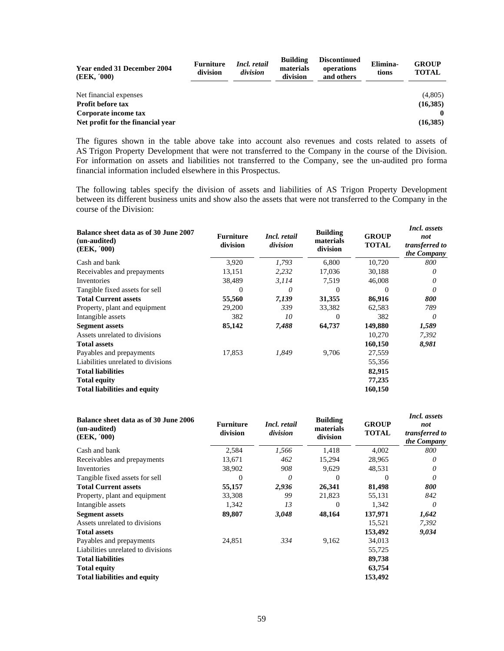| <b>Year ended 31 December 2004</b><br>(EEK, '000) | <b>Furniture</b><br>division | Incl. retail<br>division | <b>Building</b><br>materials<br>division | <b>Discontinued</b><br>operations<br>and others | Elimina-<br>tions | <b>GROUP</b><br><b>TOTAL</b> |
|---------------------------------------------------|------------------------------|--------------------------|------------------------------------------|-------------------------------------------------|-------------------|------------------------------|
| Net financial expenses                            |                              |                          |                                          |                                                 |                   | (4,805)                      |
| <b>Profit before tax</b>                          |                              |                          |                                          |                                                 |                   | (16,385)                     |
| Corporate income tax                              |                              |                          |                                          |                                                 |                   |                              |
| Net profit for the financial year                 |                              |                          |                                          |                                                 |                   | (16,385)                     |

The figures shown in the table above take into account also revenues and costs related to assets of AS Trigon Property Development that were not transferred to the Company in the course of the Division. For information on assets and liabilities not transferred to the Company, see the un-audited pro forma financial information included elsewhere in this Prospectus.

The following tables specify the division of assets and liabilities of AS Trigon Property Development between its different business units and show also the assets that were not transferred to the Company in the course of the Division:

| Balance sheet data as of 30 June 2007<br>(un-audited)<br>(EEK, '000) | <b>Furniture</b><br>division | Incl. retail<br>division | <b>Building</b><br>materials<br>division | <b>GROUP</b><br>TOTAL | Incl. assets<br>not<br>transferred to<br>the Company |
|----------------------------------------------------------------------|------------------------------|--------------------------|------------------------------------------|-----------------------|------------------------------------------------------|
| Cash and bank                                                        | 3,920                        | 1,793                    | 6,800                                    | 10,720                | 800                                                  |
| Receivables and prepayments                                          | 13,151                       | 2,232                    | 17,036                                   | 30,188                | 0                                                    |
| <b>Inventories</b>                                                   | 38,489                       | 3, 114                   | 7,519                                    | 46,008                | 0                                                    |
| Tangible fixed assets for sell                                       | 0                            | 0                        | 0                                        | $\Omega$              | 0                                                    |
| <b>Total Current assets</b>                                          | 55,560                       | 7,139                    | 31,355                                   | 86,916                | 800                                                  |
| Property, plant and equipment                                        | 29,200                       | 339                      | 33,382                                   | 62,583                | 789                                                  |
| Intangible assets                                                    | 382                          | 10                       | 0                                        | 382                   | 0                                                    |
| <b>Segment assets</b>                                                | 85,142                       | 7,488                    | 64,737                                   | 149,880               | 1,589                                                |
| Assets unrelated to divisions                                        |                              |                          |                                          | 10,270                | 7,392                                                |
| <b>Total assets</b>                                                  |                              |                          |                                          | 160,150               | 8,981                                                |
| Payables and prepayments                                             | 17,853                       | 1,849                    | 9,706                                    | 27,559                |                                                      |
| Liabilities unrelated to divisions                                   |                              |                          |                                          | 55,356                |                                                      |
| <b>Total liabilities</b>                                             |                              |                          |                                          | 82,915                |                                                      |
| <b>Total equity</b>                                                  |                              |                          |                                          | 77,235                |                                                      |
| <b>Total liabilities and equity</b>                                  |                              |                          |                                          | 160,150               |                                                      |

| Balance sheet data as of 30 June 2006<br>(un-audited)<br>(EEK, '000) | <b>Furniture</b><br>division | Incl. retail<br>division | <b>Building</b><br>materials<br>division | <b>GROUP</b><br><b>TOTAL</b> | Incl. assets<br>not<br>transferred to<br>the Company |
|----------------------------------------------------------------------|------------------------------|--------------------------|------------------------------------------|------------------------------|------------------------------------------------------|
| Cash and bank                                                        | 2,584                        | 1,566                    | 1,418                                    | 4,002                        | 800                                                  |
| Receivables and prepayments                                          | 13,671                       | 462                      | 15,294                                   | 28,965                       | $\theta$                                             |
| Inventories                                                          | 38,902                       | 908                      | 9.629                                    | 48,531                       | 0                                                    |
| Tangible fixed assets for sell                                       | $\Omega$                     | 0                        | $\Omega$                                 | $\Omega$                     | 0                                                    |
| <b>Total Current assets</b>                                          | 55,157                       | 2,936                    | 26,341                                   | 81,498                       | 800                                                  |
| Property, plant and equipment                                        | 33,308                       | 99                       | 21,823                                   | 55,131                       | 842                                                  |
| Intangible assets                                                    | 1,342                        | 13                       | $\Omega$                                 | 1,342                        | 0                                                    |
| <b>Segment assets</b>                                                | 89,807                       | 3,048                    | 48,164                                   | 137,971                      | 1,642                                                |
| Assets unrelated to divisions                                        |                              |                          |                                          | 15,521                       | 7,392                                                |
| <b>Total assets</b>                                                  |                              |                          |                                          | 153,492                      | 9,034                                                |
| Payables and prepayments                                             | 24,851                       | 334                      | 9,162                                    | 34,013                       |                                                      |
| Liabilities unrelated to divisions                                   |                              |                          |                                          | 55,725                       |                                                      |
| <b>Total liabilities</b>                                             |                              |                          |                                          | 89,738                       |                                                      |
| <b>Total equity</b>                                                  |                              |                          |                                          | 63,754                       |                                                      |
| <b>Total liabilities and equity</b>                                  |                              |                          |                                          | 153,492                      |                                                      |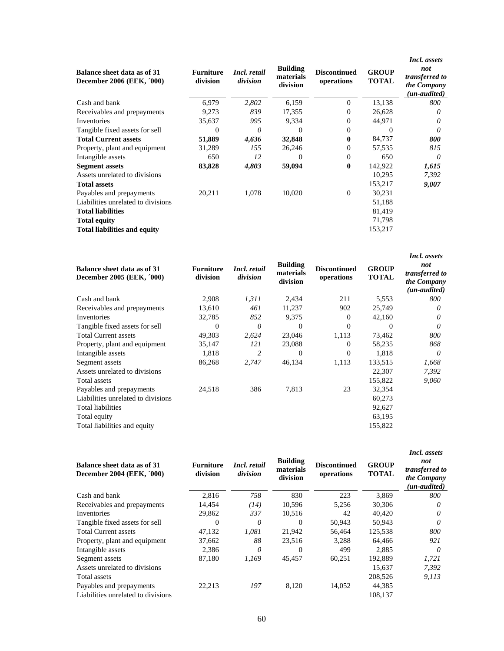| Balance sheet data as of 31<br>December 2006 (EEK, '000) | <b>Furniture</b><br>division | Incl. retail<br>division | <b>Building</b><br>materials<br>division | <b>Discontinued</b><br>operations | <b>GROUP</b><br><b>TOTAL</b> | <i>Incl. assets</i><br>not<br>transferred to<br>the Company<br>(un-audited) |
|----------------------------------------------------------|------------------------------|--------------------------|------------------------------------------|-----------------------------------|------------------------------|-----------------------------------------------------------------------------|
| Cash and bank                                            | 6,979                        | 2,802                    | 6,159                                    | $\Omega$                          | 13,138                       | 800                                                                         |
| Receivables and prepayments                              | 9,273                        | 839                      | 17,355                                   | $\Omega$                          | 26,628                       | 0                                                                           |
| Inventories                                              | 35,637                       | 995                      | 9,334                                    | $\Omega$                          | 44,971                       | $\theta$                                                                    |
| Tangible fixed assets for sell                           | $\boldsymbol{0}$             | 0                        | 0                                        | $\Omega$                          | $\theta$                     | 0                                                                           |
| <b>Total Current assets</b>                              | 51,889                       | 4,636                    | 32,848                                   | $\mathbf{0}$                      | 84,737                       | 800                                                                         |
| Property, plant and equipment                            | 31,289                       | 155                      | 26,246                                   | $\Omega$                          | 57,535                       | 815                                                                         |
| Intangible assets                                        | 650                          | 12                       | $\Omega$                                 | $\Omega$                          | 650                          | $\theta$                                                                    |
| <b>Segment assets</b>                                    | 83,828                       | 4,803                    | 59,094                                   | $\mathbf{0}$                      | 142,922                      | 1,615                                                                       |
| Assets unrelated to divisions                            |                              |                          |                                          |                                   | 10,295                       | 7,392                                                                       |
| <b>Total assets</b>                                      |                              |                          |                                          |                                   | 153,217                      | 9,007                                                                       |
| Payables and prepayments                                 | 20,211                       | 1.078                    | 10,020                                   | $\Omega$                          | 30,231                       |                                                                             |
| Liabilities unrelated to divisions                       |                              |                          |                                          |                                   | 51,188                       |                                                                             |
| <b>Total liabilities</b>                                 |                              |                          |                                          |                                   | 81,419                       |                                                                             |
| <b>Total equity</b>                                      |                              |                          |                                          |                                   | 71,798                       |                                                                             |
| <b>Total liabilities and equity</b>                      |                              |                          |                                          |                                   | 153,217                      |                                                                             |

| Balance sheet data as of 31<br>December 2005 (EEK, '000) | <b>Furniture</b><br>division | Incl. retail<br>division | <b>Building</b><br>materials<br>division | <b>Discontinued</b><br>operations | <b>GROUP</b><br><b>TOTAL</b> | Incl. assets<br>not<br>transferred to<br>the Company<br>(un-audited) |
|----------------------------------------------------------|------------------------------|--------------------------|------------------------------------------|-----------------------------------|------------------------------|----------------------------------------------------------------------|
| Cash and bank                                            | 2,908                        | 1,311                    | 2,434                                    | 211                               | 5,553                        | 800                                                                  |
| Receivables and prepayments                              | 13,610                       | 461                      | 11,237                                   | 902                               | 25,749                       | 0                                                                    |
| Inventories                                              | 32,785                       | 852                      | 9,375                                    | $\Omega$                          | 42,160                       | 0                                                                    |
| Tangible fixed assets for sell                           | $\boldsymbol{0}$             | $\theta$                 | 0                                        | $\Omega$                          | $\Omega$                     | 0                                                                    |
| <b>Total Current assets</b>                              | 49,303                       | 2,624                    | 23,046                                   | 1,113                             | 73,462                       | 800                                                                  |
| Property, plant and equipment                            | 35,147                       | 121                      | 23,088                                   | $\Omega$                          | 58,235                       | 868                                                                  |
| Intangible assets                                        | 1,818                        | 2                        | 0                                        | $\Omega$                          | 1,818                        | 0                                                                    |
| Segment assets                                           | 86,268                       | 2,747                    | 46,134                                   | 1,113                             | 133,515                      | 1,668                                                                |
| Assets unrelated to divisions                            |                              |                          |                                          |                                   | 22,307                       | 7,392                                                                |
| Total assets                                             |                              |                          |                                          |                                   | 155,822                      | 9,060                                                                |
| Payables and prepayments                                 | 24,518                       | 386                      | 7,813                                    | 23                                | 32,354                       |                                                                      |
| Liabilities unrelated to divisions                       |                              |                          |                                          |                                   | 60,273                       |                                                                      |
| Total liabilities                                        |                              |                          |                                          |                                   | 92,627                       |                                                                      |
| Total equity                                             |                              |                          |                                          |                                   | 63,195                       |                                                                      |
| Total liabilities and equity                             |                              |                          |                                          |                                   | 155,822                      |                                                                      |

| Balance sheet data as of 31<br>December 2004 (EEK, '000) | <b>Furniture</b><br>division | Incl. retail<br>division | <b>Building</b><br>materials<br>division | Discontinued<br>operations | <b>GROUP</b><br><b>TOTAL</b> | <i>Incl. assets</i><br>not<br>transferred to<br>the Company<br>(un-audited) |
|----------------------------------------------------------|------------------------------|--------------------------|------------------------------------------|----------------------------|------------------------------|-----------------------------------------------------------------------------|
| Cash and bank                                            | 2,816                        | 758                      | 830                                      | 223                        | 3.869                        | 800                                                                         |
| Receivables and prepayments                              | 14,454                       | (14)                     | 10.596                                   | 5.256                      | 30,306                       | 0                                                                           |
| <b>Inventories</b>                                       | 29,862                       | 337                      | 10,516                                   | 42                         | 40.420                       | 0                                                                           |
| Tangible fixed assets for sell                           | $\Omega$                     | $\theta$                 | 0                                        | 50,943                     | 50,943                       | $\theta$                                                                    |
| <b>Total Current assets</b>                              | 47,132                       | 1,081                    | 21,942                                   | 56.464                     | 125,538                      | 800                                                                         |
| Property, plant and equipment                            | 37,662                       | 88                       | 23.516                                   | 3.288                      | 64.466                       | 921                                                                         |
| Intangible assets                                        | 2,386                        | 0                        | $\Omega$                                 | 499                        | 2.885                        | $\theta$                                                                    |
| Segment assets                                           | 87,180                       | 1.169                    | 45,457                                   | 60.251                     | 192,889                      | 1,721                                                                       |
| Assets unrelated to divisions                            |                              |                          |                                          |                            | 15.637                       | 7.392                                                                       |
| Total assets                                             |                              |                          |                                          |                            | 208,526                      | 9,113                                                                       |
| Payables and prepayments                                 | 22,213                       | 197                      | 8,120                                    | 14,052                     | 44,385                       |                                                                             |
| Liabilities unrelated to divisions                       |                              |                          |                                          |                            | 108.137                      |                                                                             |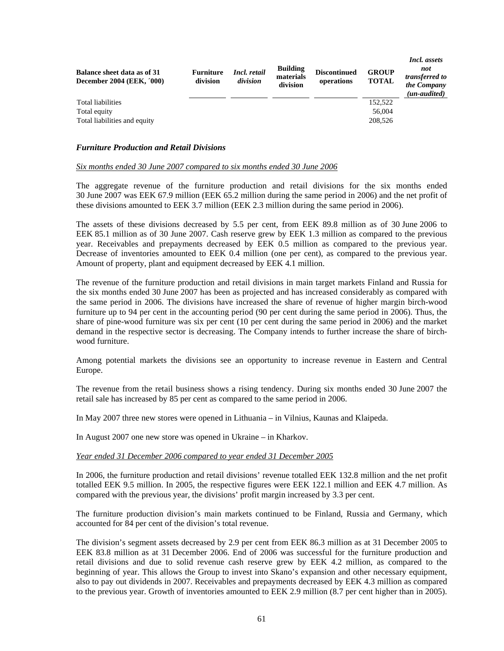| Balance sheet data as of 31<br><b>December 2004 (EEK, '000)</b> | <b>Furniture</b><br>division | Incl. retail<br>division | <b>Building</b><br>materials<br>division | <b>Discontinued</b><br>operations | <b>GROUP</b><br><b>TOTAL</b> | Incl. assets<br>not<br>transferred to<br>the Company<br>(un-audited) |
|-----------------------------------------------------------------|------------------------------|--------------------------|------------------------------------------|-----------------------------------|------------------------------|----------------------------------------------------------------------|
| Total liabilities                                               |                              |                          |                                          |                                   | 152,522                      |                                                                      |
| Total equity                                                    |                              |                          |                                          |                                   | 56,004                       |                                                                      |
| Total liabilities and equity                                    |                              |                          |                                          |                                   | 208,526                      |                                                                      |

## *Furniture Production and Retail Divisions*

# *Six months ended 30 June 2007 compared to six months ended 30 June 2006*

The aggregate revenue of the furniture production and retail divisions for the six months ended 30 June 2007 was EEK 67.9 million (EEK 65.2 million during the same period in 2006) and the net profit of these divisions amounted to EEK 3.7 million (EEK 2.3 million during the same period in 2006).

The assets of these divisions decreased by 5.5 per cent, from EEK 89.8 million as of 30 June 2006 to EEK 85.1 million as of 30 June 2007. Cash reserve grew by EEK 1.3 million as compared to the previous year. Receivables and prepayments decreased by EEK 0.5 million as compared to the previous year. Decrease of inventories amounted to EEK 0.4 million (one per cent), as compared to the previous year. Amount of property, plant and equipment decreased by EEK 4.1 million.

The revenue of the furniture production and retail divisions in main target markets Finland and Russia for the six months ended 30 June 2007 has been as projected and has increased considerably as compared with the same period in 2006. The divisions have increased the share of revenue of higher margin birch-wood furniture up to 94 per cent in the accounting period (90 per cent during the same period in 2006). Thus, the share of pine-wood furniture was six per cent (10 per cent during the same period in 2006) and the market demand in the respective sector is decreasing. The Company intends to further increase the share of birchwood furniture.

Among potential markets the divisions see an opportunity to increase revenue in Eastern and Central Europe.

The revenue from the retail business shows a rising tendency. During six months ended 30 June 2007 the retail sale has increased by 85 per cent as compared to the same period in 2006.

In May 2007 three new stores were opened in Lithuania – in Vilnius, Kaunas and Klaipeda.

In August 2007 one new store was opened in Ukraine – in Kharkov.

## *Year ended 31 December 2006 compared to year ended 31 December 2005*

In 2006, the furniture production and retail divisions' revenue totalled EEK 132.8 million and the net profit totalled EEK 9.5 million. In 2005, the respective figures were EEK 122.1 million and EEK 4.7 million. As compared with the previous year, the divisions' profit margin increased by 3.3 per cent.

The furniture production division's main markets continued to be Finland, Russia and Germany, which accounted for 84 per cent of the division's total revenue.

The division's segment assets decreased by 2.9 per cent from EEK 86.3 million as at 31 December 2005 to EEK 83.8 million as at 31 December 2006. End of 2006 was successful for the furniture production and retail divisions and due to solid revenue cash reserve grew by EEK 4.2 million, as compared to the beginning of year. This allows the Group to invest into Skano's expansion and other necessary equipment, also to pay out dividends in 2007. Receivables and prepayments decreased by EEK 4.3 million as compared to the previous year. Growth of inventories amounted to EEK 2.9 million (8.7 per cent higher than in 2005).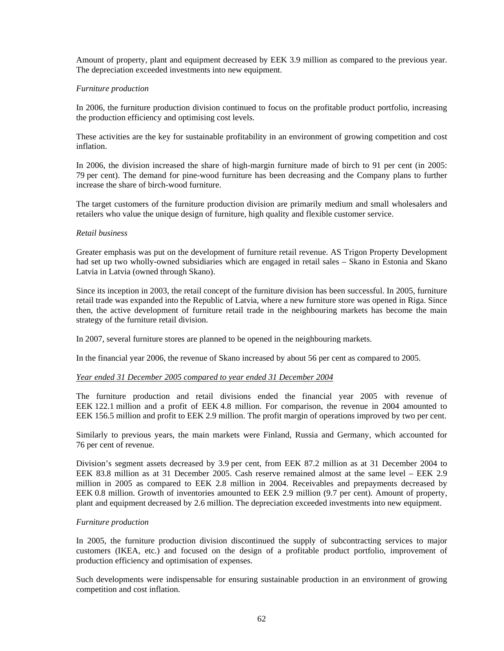Amount of property, plant and equipment decreased by EEK 3.9 million as compared to the previous year. The depreciation exceeded investments into new equipment.

## *Furniture production*

In 2006, the furniture production division continued to focus on the profitable product portfolio, increasing the production efficiency and optimising cost levels.

These activities are the key for sustainable profitability in an environment of growing competition and cost inflation.

In 2006, the division increased the share of high-margin furniture made of birch to 91 per cent (in 2005: 79 per cent). The demand for pine-wood furniture has been decreasing and the Company plans to further increase the share of birch-wood furniture.

The target customers of the furniture production division are primarily medium and small wholesalers and retailers who value the unique design of furniture, high quality and flexible customer service.

## *Retail business*

Greater emphasis was put on the development of furniture retail revenue. AS Trigon Property Development had set up two wholly-owned subsidiaries which are engaged in retail sales – Skano in Estonia and Skano Latvia in Latvia (owned through Skano).

Since its inception in 2003, the retail concept of the furniture division has been successful. In 2005, furniture retail trade was expanded into the Republic of Latvia, where a new furniture store was opened in Riga. Since then, the active development of furniture retail trade in the neighbouring markets has become the main strategy of the furniture retail division.

In 2007, several furniture stores are planned to be opened in the neighbouring markets.

In the financial year 2006, the revenue of Skano increased by about 56 per cent as compared to 2005.

### *Year ended 31 December 2005 compared to year ended 31 December 2004*

The furniture production and retail divisions ended the financial year 2005 with revenue of EEK 122.1 million and a profit of EEK 4.8 million. For comparison, the revenue in 2004 amounted to EEK 156.5 million and profit to EEK 2.9 million. The profit margin of operations improved by two per cent.

Similarly to previous years, the main markets were Finland, Russia and Germany, which accounted for 76 per cent of revenue.

Division's segment assets decreased by 3.9 per cent, from EEK 87.2 million as at 31 December 2004 to EEK 83.8 million as at 31 December 2005. Cash reserve remained almost at the same level – EEK 2.9 million in 2005 as compared to EEK 2.8 million in 2004. Receivables and prepayments decreased by EEK 0.8 million. Growth of inventories amounted to EEK 2.9 million (9.7 per cent). Amount of property, plant and equipment decreased by 2.6 million. The depreciation exceeded investments into new equipment.

### *Furniture production*

In 2005, the furniture production division discontinued the supply of subcontracting services to major customers (IKEA, etc.) and focused on the design of a profitable product portfolio, improvement of production efficiency and optimisation of expenses.

Such developments were indispensable for ensuring sustainable production in an environment of growing competition and cost inflation.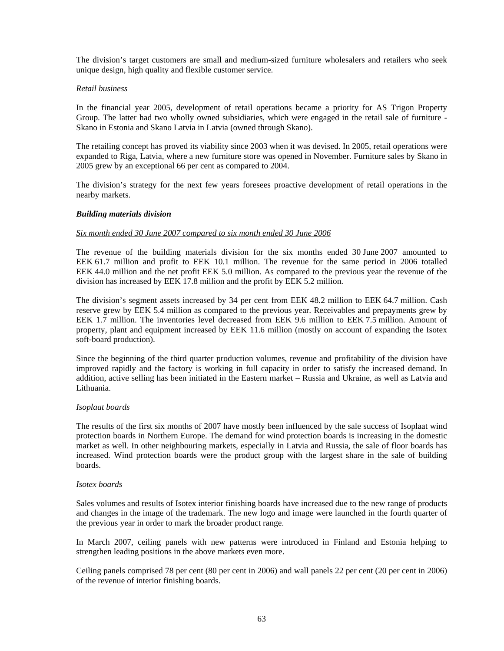The division's target customers are small and medium-sized furniture wholesalers and retailers who seek unique design, high quality and flexible customer service.

## *Retail business*

In the financial year 2005, development of retail operations became a priority for AS Trigon Property Group. The latter had two wholly owned subsidiaries, which were engaged in the retail sale of furniture - Skano in Estonia and Skano Latvia in Latvia (owned through Skano).

The retailing concept has proved its viability since 2003 when it was devised. In 2005, retail operations were expanded to Riga, Latvia, where a new furniture store was opened in November. Furniture sales by Skano in 2005 grew by an exceptional 66 per cent as compared to 2004.

The division's strategy for the next few years foresees proactive development of retail operations in the nearby markets.

## *Building materials division*

## *Six month ended 30 June 2007 compared to six month ended 30 June 2006*

The revenue of the building materials division for the six months ended 30 June 2007 amounted to EEK 61.7 million and profit to EEK 10.1 million. The revenue for the same period in 2006 totalled EEK 44.0 million and the net profit EEK 5.0 million. As compared to the previous year the revenue of the division has increased by EEK 17.8 million and the profit by EEK 5.2 million.

The division's segment assets increased by 34 per cent from EEK 48.2 million to EEK 64.7 million. Cash reserve grew by EEK 5.4 million as compared to the previous year. Receivables and prepayments grew by EEK 1.7 million. The inventories level decreased from EEK 9.6 million to EEK 7.5 million. Amount of property, plant and equipment increased by EEK 11.6 million (mostly on account of expanding the Isotex soft-board production).

Since the beginning of the third quarter production volumes, revenue and profitability of the division have improved rapidly and the factory is working in full capacity in order to satisfy the increased demand. In addition, active selling has been initiated in the Eastern market – Russia and Ukraine, as well as Latvia and Lithuania.

### *Isoplaat boards*

The results of the first six months of 2007 have mostly been influenced by the sale success of Isoplaat wind protection boards in Northern Europe. The demand for wind protection boards is increasing in the domestic market as well. In other neighbouring markets, especially in Latvia and Russia, the sale of floor boards has increased. Wind protection boards were the product group with the largest share in the sale of building boards.

### *Isotex boards*

Sales volumes and results of Isotex interior finishing boards have increased due to the new range of products and changes in the image of the trademark. The new logo and image were launched in the fourth quarter of the previous year in order to mark the broader product range.

In March 2007, ceiling panels with new patterns were introduced in Finland and Estonia helping to strengthen leading positions in the above markets even more.

Ceiling panels comprised 78 per cent (80 per cent in 2006) and wall panels 22 per cent (20 per cent in 2006) of the revenue of interior finishing boards.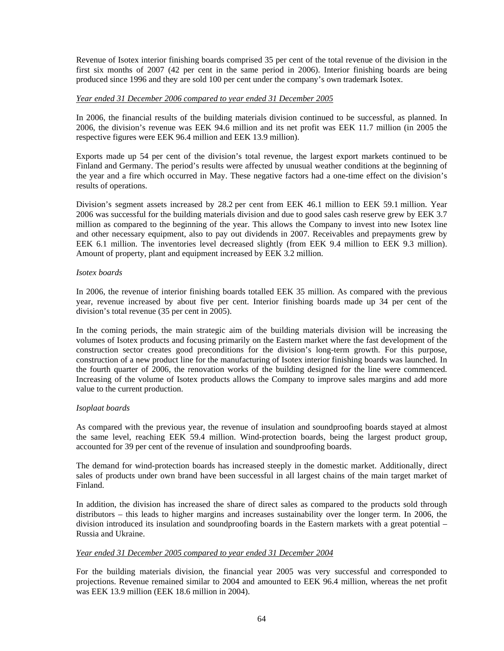Revenue of Isotex interior finishing boards comprised 35 per cent of the total revenue of the division in the first six months of 2007 (42 per cent in the same period in 2006). Interior finishing boards are being produced since 1996 and they are sold 100 per cent under the company's own trademark Isotex.

# *Year ended 31 December 2006 compared to year ended 31 December 2005*

In 2006, the financial results of the building materials division continued to be successful, as planned. In 2006, the division's revenue was EEK 94.6 million and its net profit was EEK 11.7 million (in 2005 the respective figures were EEK 96.4 million and EEK 13.9 million).

Exports made up 54 per cent of the division's total revenue, the largest export markets continued to be Finland and Germany. The period's results were affected by unusual weather conditions at the beginning of the year and a fire which occurred in May. These negative factors had a one-time effect on the division's results of operations.

Division's segment assets increased by 28.2 per cent from EEK 46.1 million to EEK 59.1 million. Year 2006 was successful for the building materials division and due to good sales cash reserve grew by EEK 3.7 million as compared to the beginning of the year. This allows the Company to invest into new Isotex line and other necessary equipment, also to pay out dividends in 2007. Receivables and prepayments grew by EEK 6.1 million. The inventories level decreased slightly (from EEK 9.4 million to EEK 9.3 million). Amount of property, plant and equipment increased by EEK 3.2 million.

## *Isotex boards*

In 2006, the revenue of interior finishing boards totalled EEK 35 million. As compared with the previous year, revenue increased by about five per cent. Interior finishing boards made up 34 per cent of the division's total revenue (35 per cent in 2005).

In the coming periods, the main strategic aim of the building materials division will be increasing the volumes of Isotex products and focusing primarily on the Eastern market where the fast development of the construction sector creates good preconditions for the division's long-term growth. For this purpose, construction of a new product line for the manufacturing of Isotex interior finishing boards was launched. In the fourth quarter of 2006, the renovation works of the building designed for the line were commenced. Increasing of the volume of Isotex products allows the Company to improve sales margins and add more value to the current production.

# *Isoplaat boards*

As compared with the previous year, the revenue of insulation and soundproofing boards stayed at almost the same level, reaching EEK 59.4 million. Wind-protection boards, being the largest product group, accounted for 39 per cent of the revenue of insulation and soundproofing boards.

The demand for wind-protection boards has increased steeply in the domestic market. Additionally, direct sales of products under own brand have been successful in all largest chains of the main target market of Finland.

In addition, the division has increased the share of direct sales as compared to the products sold through distributors – this leads to higher margins and increases sustainability over the longer term. In 2006, the division introduced its insulation and soundproofing boards in the Eastern markets with a great potential – Russia and Ukraine.

### *Year ended 31 December 2005 compared to year ended 31 December 2004*

For the building materials division, the financial year 2005 was very successful and corresponded to projections. Revenue remained similar to 2004 and amounted to EEK 96.4 million, whereas the net profit was EEK 13.9 million (EEK 18.6 million in 2004).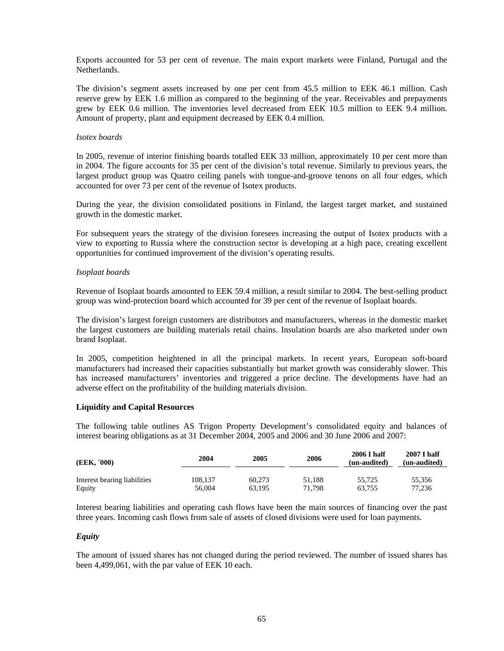Exports accounted for 53 per cent of revenue. The main export markets were Finland, Portugal and the Netherlands.

The division's segment assets increased by one per cent from 45.5 million to EEK 46.1 million. Cash reserve grew by EEK 1.6 million as compared to the beginning of the year. Receivables and prepayments grew by EEK 0.6 million. The inventories level decreased from EEK 10.5 million to EEK 9.4 million. Amount of property, plant and equipment decreased by EEK 0.4 million.

## *Isotex boards*

In 2005, revenue of interior finishing boards totalled EEK 33 million, approximately 10 per cent more than in 2004. The figure accounts for 35 per cent of the division's total revenue. Similarly to previous years, the largest product group was Quatro ceiling panels with tongue-and-groove tenons on all four edges, which accounted for over 73 per cent of the revenue of Isotex products.

During the year, the division consolidated positions in Finland, the largest target market, and sustained growth in the domestic market.

For subsequent years the strategy of the division foresees increasing the output of Isotex products with a view to exporting to Russia where the construction sector is developing at a high pace, creating excellent opportunities for continued improvement of the division's operating results.

## *Isoplaat boards*

Revenue of Isoplaat boards amounted to EEK 59.4 million, a result similar to 2004. The best-selling product group was wind-protection board which accounted for 39 per cent of the revenue of Isoplaat boards.

The division's largest foreign customers are distributors and manufacturers, whereas in the domestic market the largest customers are building materials retail chains. Insulation boards are also marketed under own brand Isoplaat.

In 2005, competition heightened in all the principal markets. In recent years, European soft-board manufacturers had increased their capacities substantially but market growth was considerably slower. This has increased manufacturers' inventories and triggered a price decline. The developments have had an adverse effect on the profitability of the building materials division.

## **Liquidity and Capital Resources**

The following table outlines AS Trigon Property Development's consolidated equity and balances of interest bearing obligations as at 31 December 2004, 2005 and 2006 and 30 June 2006 and 2007:

| (EEK, '000)                  | 2004    | 2005   | 2006   | 2006 I half<br>(un-audited) | <b>2007 I half</b><br>(un-audited) |
|------------------------------|---------|--------|--------|-----------------------------|------------------------------------|
| Interest bearing liabilities | 108.137 | 60.273 | 51.188 | 55.725                      | 55,356                             |
| Equity                       | 56.004  | 63.195 | 71.798 | 63.755                      | 77.236                             |

Interest bearing liabilities and operating cash flows have been the main sources of financing over the past three years. Incoming cash flows from sale of assets of closed divisions were used for loan payments.

### *Equity*

The amount of issued shares has not changed during the period reviewed. The number of issued shares has been 4,499,061, with the par value of EEK 10 each.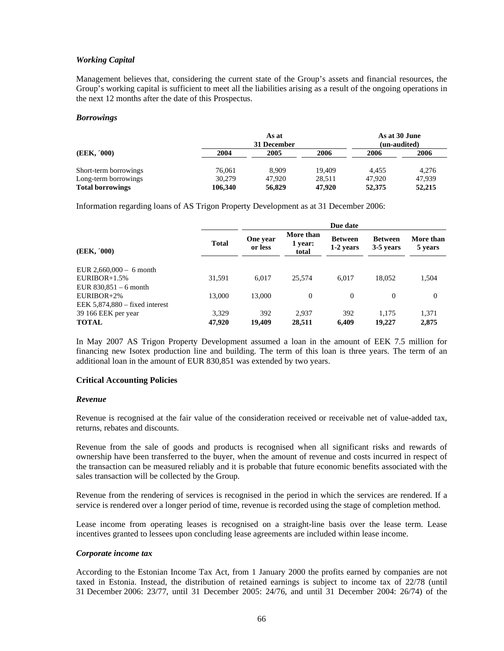## *Working Capital*

Management believes that, considering the current state of the Group's assets and financial resources, the Group's working capital is sufficient to meet all the liabilities arising as a result of the ongoing operations in the next 12 months after the date of this Prospectus.

## *Borrowings*

|                         |         | As at<br>31 December |        | As at 30 June<br>(un-audited) |        |
|-------------------------|---------|----------------------|--------|-------------------------------|--------|
| (EEK, '000)             | 2004    | 2005                 | 2006   | 2006                          | 2006   |
| Short-term borrowings   | 76,061  | 8.909                | 19.409 | 4.455                         | 4.276  |
| Long-term borrowings    | 30.279  | 47.920               | 28.511 | 47,920                        | 47.939 |
| <b>Total borrowings</b> | 106.340 | 56,829               | 47.920 | 52,375                        | 52,215 |

Information regarding loans of AS Trigon Property Development as at 31 December 2006:

| (EEK, '000)                      |              | Due date            |                               |                             |                             |                      |
|----------------------------------|--------------|---------------------|-------------------------------|-----------------------------|-----------------------------|----------------------|
|                                  | <b>Total</b> | One year<br>or less | More than<br>1 year:<br>total | <b>Between</b><br>1-2 years | <b>Between</b><br>3-5 years | More than<br>5 years |
| EUR $2,660,000 - 6$ month        |              |                     |                               |                             |                             |                      |
| $EURIBOR+1.5%$                   | 31,591       | 6.017               | 25.574                        | 6.017                       | 18,052                      | 1,504                |
| EUR $830,851 - 6$ month          |              |                     |                               |                             |                             |                      |
| $EURIBOR+2\%$                    | 13,000       | 13,000              | $\Omega$                      | $\Omega$                    | $\Omega$                    | 0                    |
| EEK $5,874,880$ – fixed interest |              |                     |                               |                             |                             |                      |
| 39 166 EEK per year              | 3,329        | 392                 | 2.937                         | 392                         | 1.175                       | 1,371                |
| <b>TOTAL</b>                     | 47,920       | 19.409              | 28.511                        | 6.409                       | 19,227                      | 2,875                |

In May 2007 AS Trigon Property Development assumed a loan in the amount of EEK 7.5 million for financing new Isotex production line and building. The term of this loan is three years. The term of an additional loan in the amount of EUR 830,851 was extended by two years.

### **Critical Accounting Policies**

### *Revenue*

Revenue is recognised at the fair value of the consideration received or receivable net of value-added tax, returns, rebates and discounts.

Revenue from the sale of goods and products is recognised when all significant risks and rewards of ownership have been transferred to the buyer, when the amount of revenue and costs incurred in respect of the transaction can be measured reliably and it is probable that future economic benefits associated with the sales transaction will be collected by the Group.

Revenue from the rendering of services is recognised in the period in which the services are rendered. If a service is rendered over a longer period of time, revenue is recorded using the stage of completion method.

Lease income from operating leases is recognised on a straight-line basis over the lease term. Lease incentives granted to lessees upon concluding lease agreements are included within lease income.

### *Corporate income tax*

According to the Estonian Income Tax Act, from 1 January 2000 the profits earned by companies are not taxed in Estonia. Instead, the distribution of retained earnings is subject to income tax of 22/78 (until 31 December 2006: 23/77, until 31 December 2005: 24/76, and until 31 December 2004: 26/74) of the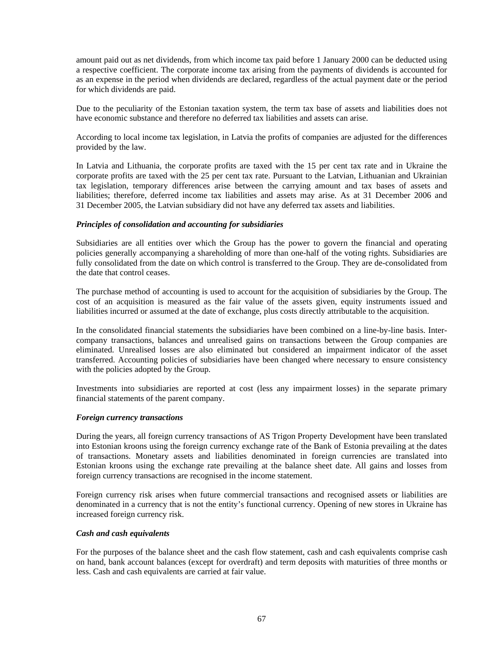amount paid out as net dividends, from which income tax paid before 1 January 2000 can be deducted using a respective coefficient. The corporate income tax arising from the payments of dividends is accounted for as an expense in the period when dividends are declared, regardless of the actual payment date or the period for which dividends are paid.

Due to the peculiarity of the Estonian taxation system, the term tax base of assets and liabilities does not have economic substance and therefore no deferred tax liabilities and assets can arise.

According to local income tax legislation, in Latvia the profits of companies are adjusted for the differences provided by the law.

In Latvia and Lithuania, the corporate profits are taxed with the 15 per cent tax rate and in Ukraine the corporate profits are taxed with the 25 per cent tax rate. Pursuant to the Latvian, Lithuanian and Ukrainian tax legislation, temporary differences arise between the carrying amount and tax bases of assets and liabilities; therefore, deferred income tax liabilities and assets may arise. As at 31 December 2006 and 31 December 2005, the Latvian subsidiary did not have any deferred tax assets and liabilities.

## *Principles of consolidation and accounting for subsidiaries*

Subsidiaries are all entities over which the Group has the power to govern the financial and operating policies generally accompanying a shareholding of more than one-half of the voting rights. Subsidiaries are fully consolidated from the date on which control is transferred to the Group. They are de-consolidated from the date that control ceases.

The purchase method of accounting is used to account for the acquisition of subsidiaries by the Group. The cost of an acquisition is measured as the fair value of the assets given, equity instruments issued and liabilities incurred or assumed at the date of exchange, plus costs directly attributable to the acquisition.

In the consolidated financial statements the subsidiaries have been combined on a line-by-line basis. Intercompany transactions, balances and unrealised gains on transactions between the Group companies are eliminated. Unrealised losses are also eliminated but considered an impairment indicator of the asset transferred. Accounting policies of subsidiaries have been changed where necessary to ensure consistency with the policies adopted by the Group.

Investments into subsidiaries are reported at cost (less any impairment losses) in the separate primary financial statements of the parent company.

### *Foreign currency transactions*

During the years, all foreign currency transactions of AS Trigon Property Development have been translated into Estonian kroons using the foreign currency exchange rate of the Bank of Estonia prevailing at the dates of transactions. Monetary assets and liabilities denominated in foreign currencies are translated into Estonian kroons using the exchange rate prevailing at the balance sheet date. All gains and losses from foreign currency transactions are recognised in the income statement.

Foreign currency risk arises when future commercial transactions and recognised assets or liabilities are denominated in a currency that is not the entity's functional currency. Opening of new stores in Ukraine has increased foreign currency risk.

## *Cash and cash equivalents*

For the purposes of the balance sheet and the cash flow statement, cash and cash equivalents comprise cash on hand, bank account balances (except for overdraft) and term deposits with maturities of three months or less. Cash and cash equivalents are carried at fair value.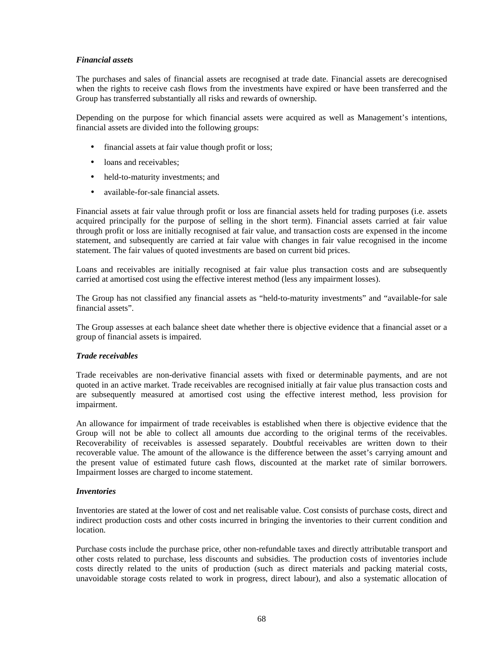# *Financial assets*

The purchases and sales of financial assets are recognised at trade date. Financial assets are derecognised when the rights to receive cash flows from the investments have expired or have been transferred and the Group has transferred substantially all risks and rewards of ownership.

Depending on the purpose for which financial assets were acquired as well as Management's intentions, financial assets are divided into the following groups:

- financial assets at fair value though profit or loss;
- loans and receivables;
- held-to-maturity investments; and
- available-for-sale financial assets*.*

Financial assets at fair value through profit or loss are financial assets held for trading purposes (i.e. assets acquired principally for the purpose of selling in the short term). Financial assets carried at fair value through profit or loss are initially recognised at fair value, and transaction costs are expensed in the income statement, and subsequently are carried at fair value with changes in fair value recognised in the income statement. The fair values of quoted investments are based on current bid prices.

Loans and receivables are initially recognised at fair value plus transaction costs and are subsequently carried at amortised cost using the effective interest method (less any impairment losses).

The Group has not classified any financial assets as "held-to-maturity investments" and "available-for sale financial assets".

The Group assesses at each balance sheet date whether there is objective evidence that a financial asset or a group of financial assets is impaired.

### *Trade receivables*

Trade receivables are non-derivative financial assets with fixed or determinable payments, and are not quoted in an active market. Trade receivables are recognised initially at fair value plus transaction costs and are subsequently measured at amortised cost using the effective interest method, less provision for impairment.

An allowance for impairment of trade receivables is established when there is objective evidence that the Group will not be able to collect all amounts due according to the original terms of the receivables. Recoverability of receivables is assessed separately. Doubtful receivables are written down to their recoverable value. The amount of the allowance is the difference between the asset's carrying amount and the present value of estimated future cash flows, discounted at the market rate of similar borrowers. Impairment losses are charged to income statement.

### *Inventories*

Inventories are stated at the lower of cost and net realisable value. Cost consists of purchase costs, direct and indirect production costs and other costs incurred in bringing the inventories to their current condition and location.

Purchase costs include the purchase price, other non-refundable taxes and directly attributable transport and other costs related to purchase, less discounts and subsidies. The production costs of inventories include costs directly related to the units of production (such as direct materials and packing material costs, unavoidable storage costs related to work in progress, direct labour), and also a systematic allocation of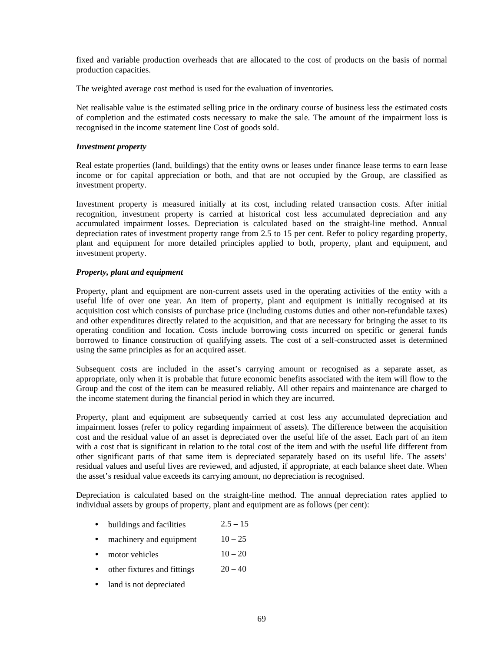fixed and variable production overheads that are allocated to the cost of products on the basis of normal production capacities.

The weighted average cost method is used for the evaluation of inventories.

Net realisable value is the estimated selling price in the ordinary course of business less the estimated costs of completion and the estimated costs necessary to make the sale. The amount of the impairment loss is recognised in the income statement line Cost of goods sold.

## *Investment property*

Real estate properties (land, buildings) that the entity owns or leases under finance lease terms to earn lease income or for capital appreciation or both, and that are not occupied by the Group, are classified as investment property.

Investment property is measured initially at its cost, including related transaction costs. After initial recognition, investment property is carried at historical cost less accumulated depreciation and any accumulated impairment losses. Depreciation is calculated based on the straight-line method. Annual depreciation rates of investment property range from 2.5 to 15 per cent. Refer to policy regarding property, plant and equipment for more detailed principles applied to both, property, plant and equipment, and investment property.

# *Property, plant and equipment*

Property, plant and equipment are non-current assets used in the operating activities of the entity with a useful life of over one year. An item of property, plant and equipment is initially recognised at its acquisition cost which consists of purchase price (including customs duties and other non-refundable taxes) and other expenditures directly related to the acquisition, and that are necessary for bringing the asset to its operating condition and location. Costs include borrowing costs incurred on specific or general funds borrowed to finance construction of qualifying assets. The cost of a self-constructed asset is determined using the same principles as for an acquired asset.

Subsequent costs are included in the asset's carrying amount or recognised as a separate asset, as appropriate, only when it is probable that future economic benefits associated with the item will flow to the Group and the cost of the item can be measured reliably. All other repairs and maintenance are charged to the income statement during the financial period in which they are incurred.

Property, plant and equipment are subsequently carried at cost less any accumulated depreciation and impairment losses (refer to policy regarding impairment of assets). The difference between the acquisition cost and the residual value of an asset is depreciated over the useful life of the asset. Each part of an item with a cost that is significant in relation to the total cost of the item and with the useful life different from other significant parts of that same item is depreciated separately based on its useful life. The assets' residual values and useful lives are reviewed, and adjusted, if appropriate, at each balance sheet date. When the asset's residual value exceeds its carrying amount, no depreciation is recognised.

Depreciation is calculated based on the straight-line method. The annual depreciation rates applied to individual assets by groups of property, plant and equipment are as follows (per cent):

- buildings and facilities  $2.5 15$
- machinery and equipment  $10 25$
- motor vehicles  $10-20$
- other fixtures and fittings  $20 40$
- land is not depreciated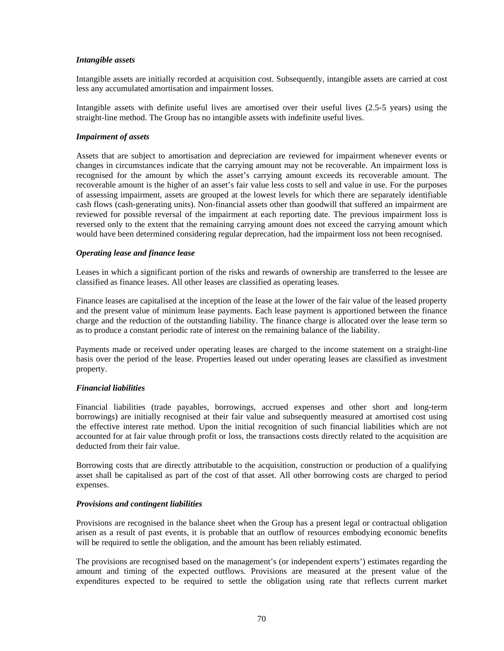# *Intangible assets*

Intangible assets are initially recorded at acquisition cost. Subsequently, intangible assets are carried at cost less any accumulated amortisation and impairment losses.

Intangible assets with definite useful lives are amortised over their useful lives (2.5-5 years) using the straight-line method. The Group has no intangible assets with indefinite useful lives.

## *Impairment of assets*

Assets that are subject to amortisation and depreciation are reviewed for impairment whenever events or changes in circumstances indicate that the carrying amount may not be recoverable. An impairment loss is recognised for the amount by which the asset's carrying amount exceeds its recoverable amount. The recoverable amount is the higher of an asset's fair value less costs to sell and value in use. For the purposes of assessing impairment, assets are grouped at the lowest levels for which there are separately identifiable cash flows (cash-generating units). Non-financial assets other than goodwill that suffered an impairment are reviewed for possible reversal of the impairment at each reporting date. The previous impairment loss is reversed only to the extent that the remaining carrying amount does not exceed the carrying amount which would have been determined considering regular deprecation, had the impairment loss not been recognised.

## *Operating lease and finance lease*

Leases in which a significant portion of the risks and rewards of ownership are transferred to the lessee are classified as finance leases. All other leases are classified as operating leases.

Finance leases are capitalised at the inception of the lease at the lower of the fair value of the leased property and the present value of minimum lease payments. Each lease payment is apportioned between the finance charge and the reduction of the outstanding liability. The finance charge is allocated over the lease term so as to produce a constant periodic rate of interest on the remaining balance of the liability.

Payments made or received under operating leases are charged to the income statement on a straight-line basis over the period of the lease. Properties leased out under operating leases are classified as investment property.

### *Financial liabilities*

Financial liabilities (trade payables, borrowings, accrued expenses and other short and long-term borrowings) are initially recognised at their fair value and subsequently measured at amortised cost using the effective interest rate method. Upon the initial recognition of such financial liabilities which are not accounted for at fair value through profit or loss, the transactions costs directly related to the acquisition are deducted from their fair value.

Borrowing costs that are directly attributable to the acquisition, construction or production of a qualifying asset shall be capitalised as part of the cost of that asset. All other borrowing costs are charged to period expenses.

### *Provisions and contingent liabilities*

Provisions are recognised in the balance sheet when the Group has a present legal or contractual obligation arisen as a result of past events, it is probable that an outflow of resources embodying economic benefits will be required to settle the obligation, and the amount has been reliably estimated.

The provisions are recognised based on the management's (or independent experts') estimates regarding the amount and timing of the expected outflows. Provisions are measured at the present value of the expenditures expected to be required to settle the obligation using rate that reflects current market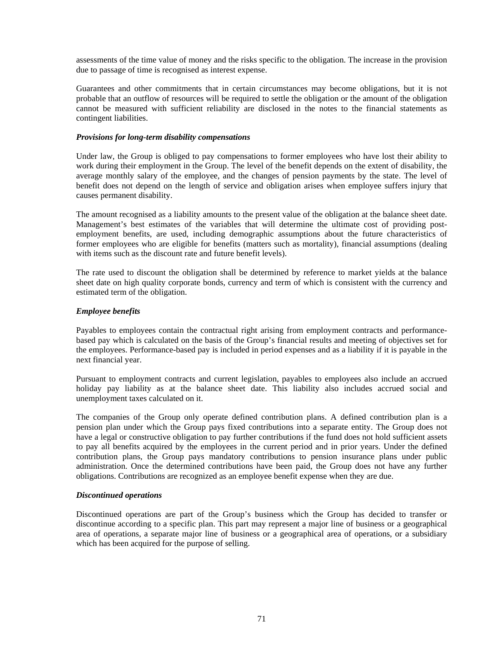assessments of the time value of money and the risks specific to the obligation. The increase in the provision due to passage of time is recognised as interest expense.

Guarantees and other commitments that in certain circumstances may become obligations, but it is not probable that an outflow of resources will be required to settle the obligation or the amount of the obligation cannot be measured with sufficient reliability are disclosed in the notes to the financial statements as contingent liabilities.

## *Provisions for long-term disability compensations*

Under law, the Group is obliged to pay compensations to former employees who have lost their ability to work during their employment in the Group. The level of the benefit depends on the extent of disability, the average monthly salary of the employee, and the changes of pension payments by the state. The level of benefit does not depend on the length of service and obligation arises when employee suffers injury that causes permanent disability.

The amount recognised as a liability amounts to the present value of the obligation at the balance sheet date. Management's best estimates of the variables that will determine the ultimate cost of providing postemployment benefits, are used, including demographic assumptions about the future characteristics of former employees who are eligible for benefits (matters such as mortality), financial assumptions (dealing with items such as the discount rate and future benefit levels).

The rate used to discount the obligation shall be determined by reference to market yields at the balance sheet date on high quality corporate bonds, currency and term of which is consistent with the currency and estimated term of the obligation.

# *Employee benefits*

Payables to employees contain the contractual right arising from employment contracts and performancebased pay which is calculated on the basis of the Group's financial results and meeting of objectives set for the employees. Performance-based pay is included in period expenses and as a liability if it is payable in the next financial year.

Pursuant to employment contracts and current legislation, payables to employees also include an accrued holiday pay liability as at the balance sheet date. This liability also includes accrued social and unemployment taxes calculated on it.

The companies of the Group only operate defined contribution plans. A defined contribution plan is a pension plan under which the Group pays fixed contributions into a separate entity. The Group does not have a legal or constructive obligation to pay further contributions if the fund does not hold sufficient assets to pay all benefits acquired by the employees in the current period and in prior years. Under the defined contribution plans, the Group pays mandatory contributions to pension insurance plans under public administration. Once the determined contributions have been paid, the Group does not have any further obligations. Contributions are recognized as an employee benefit expense when they are due.

## *Discontinued operations*

Discontinued operations are part of the Group's business which the Group has decided to transfer or discontinue according to a specific plan. This part may represent a major line of business or a geographical area of operations, a separate major line of business or a geographical area of operations, or a subsidiary which has been acquired for the purpose of selling.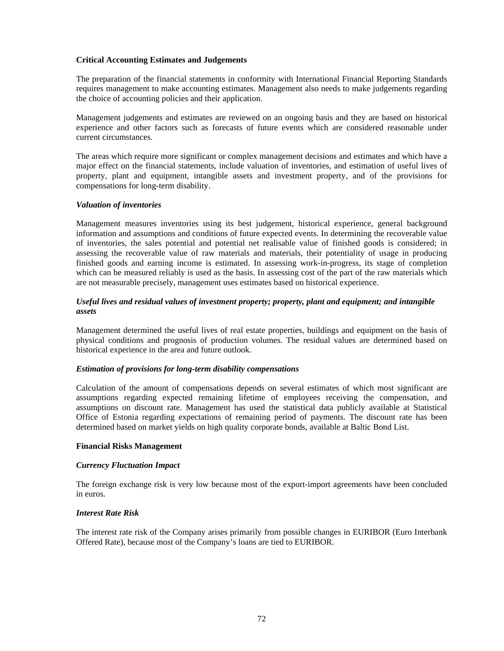## **Critical Accounting Estimates and Judgements**

The preparation of the financial statements in conformity with International Financial Reporting Standards requires management to make accounting estimates. Management also needs to make judgements regarding the choice of accounting policies and their application.

Management judgements and estimates are reviewed on an ongoing basis and they are based on historical experience and other factors such as forecasts of future events which are considered reasonable under current circumstances.

The areas which require more significant or complex management decisions and estimates and which have a major effect on the financial statements, include valuation of inventories, and estimation of useful lives of property, plant and equipment, intangible assets and investment property, and of the provisions for compensations for long-term disability.

## *Valuation of inventories*

Management measures inventories using its best judgement, historical experience, general background information and assumptions and conditions of future expected events. In determining the recoverable value of inventories, the sales potential and potential net realisable value of finished goods is considered; in assessing the recoverable value of raw materials and materials, their potentiality of usage in producing finished goods and earning income is estimated. In assessing work-in-progress, its stage of completion which can be measured reliably is used as the basis. In assessing cost of the part of the raw materials which are not measurable precisely, management uses estimates based on historical experience.

# *Useful lives and residual values of investment property; property, plant and equipment; and intangible assets*

Management determined the useful lives of real estate properties, buildings and equipment on the basis of physical conditions and prognosis of production volumes. The residual values are determined based on historical experience in the area and future outlook.

### *Estimation of provisions for long-term disability compensations*

Calculation of the amount of compensations depends on several estimates of which most significant are assumptions regarding expected remaining lifetime of employees receiving the compensation, and assumptions on discount rate. Management has used the statistical data publicly available at Statistical Office of Estonia regarding expectations of remaining period of payments. The discount rate has been determined based on market yields on high quality corporate bonds, available at Baltic Bond List.

### **Financial Risks Management**

## *Currency Fluctuation Impact*

The foreign exchange risk is very low because most of the export-import agreements have been concluded in euros.

# *Interest Rate Risk*

The interest rate risk of the Company arises primarily from possible changes in EURIBOR (Euro Interbank Offered Rate), because most of the Company's loans are tied to EURIBOR.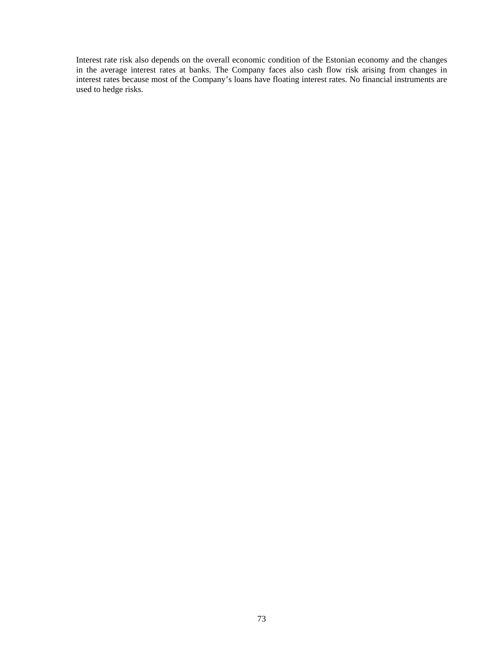Interest rate risk also depends on the overall economic condition of the Estonian economy and the changes in the average interest rates at banks. The Company faces also cash flow risk arising from changes in interest rates because most of the Company's loans have floating interest rates. No financial instruments are used to hedge risks.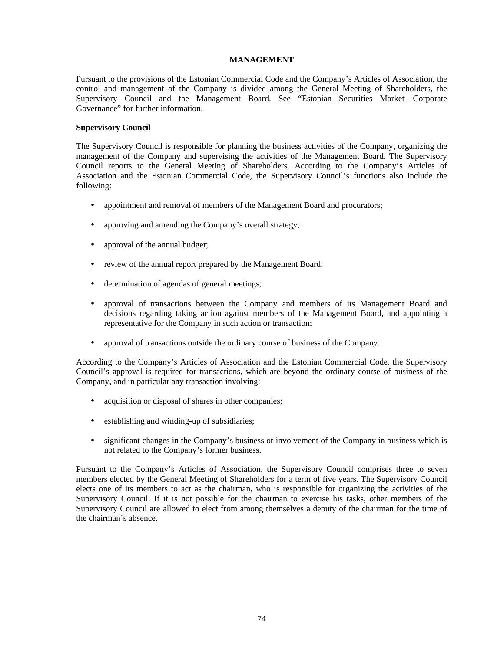## **MANAGEMENT**

Pursuant to the provisions of the Estonian Commercial Code and the Company's Articles of Association, the control and management of the Company is divided among the General Meeting of Shareholders, the Supervisory Council and the Management Board. See "Estonian Securities Market – Corporate Governance" for further information.

## **Supervisory Council**

The Supervisory Council is responsible for planning the business activities of the Company, organizing the management of the Company and supervising the activities of the Management Board. The Supervisory Council reports to the General Meeting of Shareholders. According to the Company's Articles of Association and the Estonian Commercial Code, the Supervisory Council's functions also include the following:

- appointment and removal of members of the Management Board and procurators;
- approving and amending the Company's overall strategy;
- approval of the annual budget;
- review of the annual report prepared by the Management Board;
- determination of agendas of general meetings;
- approval of transactions between the Company and members of its Management Board and decisions regarding taking action against members of the Management Board, and appointing a representative for the Company in such action or transaction;
- approval of transactions outside the ordinary course of business of the Company.

According to the Company's Articles of Association and the Estonian Commercial Code, the Supervisory Council's approval is required for transactions, which are beyond the ordinary course of business of the Company, and in particular any transaction involving:

- acquisition or disposal of shares in other companies;
- establishing and winding-up of subsidiaries;
- significant changes in the Company's business or involvement of the Company in business which is not related to the Company's former business.

Pursuant to the Company's Articles of Association, the Supervisory Council comprises three to seven members elected by the General Meeting of Shareholders for a term of five years. The Supervisory Council elects one of its members to act as the chairman, who is responsible for organizing the activities of the Supervisory Council. If it is not possible for the chairman to exercise his tasks, other members of the Supervisory Council are allowed to elect from among themselves a deputy of the chairman for the time of the chairman's absence.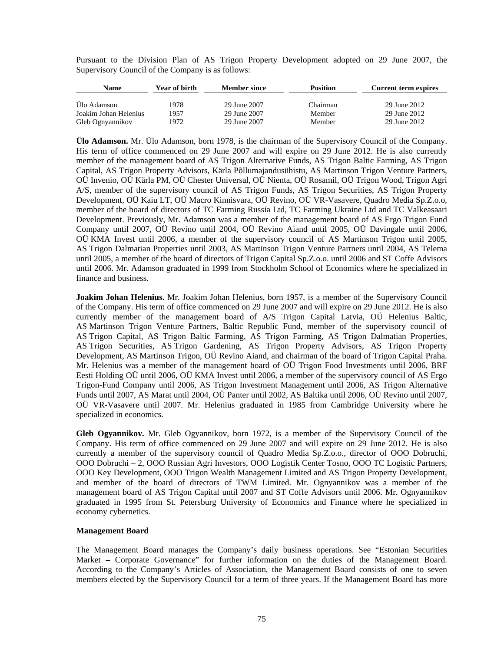Pursuant to the Division Plan of AS Trigon Property Development adopted on 29 June 2007, the Supervisory Council of the Company is as follows:

| Name                  | Year of birth | <b>Member since</b> | <b>Position</b> | <b>Current term expires</b> |
|-----------------------|---------------|---------------------|-----------------|-----------------------------|
|                       |               |                     |                 |                             |
| Ülo Adamson           | 1978          | 29 June 2007        | Chairman        | 29 June 2012                |
| Joakim Johan Helenius | 1957          | 29 June 2007        | Member          | 29 June 2012                |
| Gleb Ognyannikov      | 1972          | 29 June 2007        | Member          | 29 June 2012                |

**Ülo Adamson.** Mr. Ülo Adamson, born 1978, is the chairman of the Supervisory Council of the Company. His term of office commenced on 29 June 2007 and will expire on 29 June 2012. He is also currently member of the management board of AS Trigon Alternative Funds, AS Trigon Baltic Farming, AS Trigon Capital, AS Trigon Property Advisors, Kärla Põllumajandusühistu, AS Martinson Trigon Venture Partners, OÜ Invenio, OÜ Kärla PM, OÜ Chester Universal, OÜ Nienta, OÜ Rosamil, OÜ Trigon Wood, Trigon Agri A/S, member of the supervisory council of AS Trigon Funds, AS Trigon Securities, AS Trigon Property Development, OÜ Kaiu LT, OÜ Macro Kinnisvara, OÜ Revino, OÜ VR-Vasavere, Quadro Media Sp.Z.o.o, member of the board of directors of TC Farming Russia Ltd, TC Farming Ukraine Ltd and TC Valkeasaari Development. Previously, Mr. Adamson was a member of the management board of AS Ergo Trigon Fund Company until 2007, OÜ Revino until 2004, OÜ Revino Aiand until 2005, OÜ Davingale until 2006, OÜ KMA Invest until 2006, a member of the supervisory council of AS Martinson Trigon until 2005, AS Trigon Dalmatian Properties until 2003, AS Martinson Trigon Venture Partners until 2004, AS Telema until 2005, a member of the board of directors of Trigon Capital Sp.Z.o.o. until 2006 and ST Coffe Advisors until 2006. Mr. Adamson graduated in 1999 from Stockholm School of Economics where he specialized in finance and business.

**Joakim Johan Helenius.** Mr. Joakim Johan Helenius, born 1957, is a member of the Supervisory Council of the Company. His term of office commenced on 29 June 2007 and will expire on 29 June 2012. He is also currently member of the management board of A/S Trigon Capital Latvia, OÜ Helenius Baltic, AS Martinson Trigon Venture Partners, Baltic Republic Fund, member of the supervisory council of AS Trigon Capital, AS Trigon Baltic Farming, AS Trigon Farming, AS Trigon Dalmatian Properties, AS Trigon Securities, AS Trigon Gardening, AS Trigon Property Advisors, AS Trigon Property Development, AS Martinson Trigon, OÜ Revino Aiand, and chairman of the board of Trigon Capital Praha. Mr. Helenius was a member of the management board of OÜ Trigon Food Investments until 2006, BRF Eesti Holding OÜ until 2006, OÜ KMA Invest until 2006, a member of the supervisory council of AS Ergo Trigon-Fund Company until 2006, AS Trigon Investment Management until 2006, AS Trigon Alternative Funds until 2007, AS Marat until 2004, OÜ Panter until 2002, AS Baltika until 2006, OÜ Revino until 2007, OÜ VR-Vasavere until 2007. Mr. Helenius graduated in 1985 from Cambridge University where he specialized in economics.

**Gleb Ogyannikov.** Mr. Gleb Ogyannikov, born 1972, is a member of the Supervisory Council of the Company. His term of office commenced on 29 June 2007 and will expire on 29 June 2012. He is also currently a member of the supervisory council of Quadro Media Sp.Z.o.o., director of OOO Dobruchi, OOO Dobruchi – 2, OOO Russian Agri Investors, OOO Logistik Center Tosno, OOO TC Logistic Partners, OOO Key Development, OOO Trigon Wealth Management Limited and AS Trigon Property Development, and member of the board of directors of TWM Limited. Mr. Ognyannikov was a member of the management board of AS Trigon Capital until 2007 and ST Coffe Advisors until 2006. Mr. Ognyannikov graduated in 1995 from St. Petersburg University of Economics and Finance where he specialized in economy cybernetics.

## **Management Board**

The Management Board manages the Company's daily business operations. See "Estonian Securities Market – Corporate Governance" for further information on the duties of the Management Board. According to the Company's Articles of Association, the Management Board consists of one to seven members elected by the Supervisory Council for a term of three years. If the Management Board has more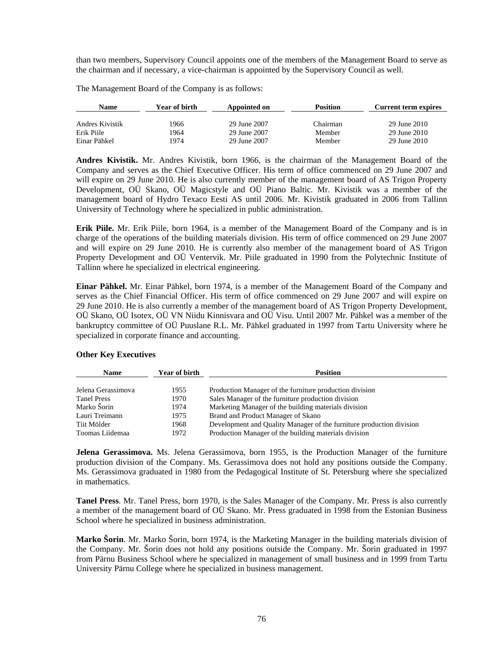than two members, Supervisory Council appoints one of the members of the Management Board to serve as the chairman and if necessary, a vice-chairman is appointed by the Supervisory Council as well.

The Management Board of the Company is as follows:

| Name            | Year of birth | Appointed on | <b>Position</b> | Current term expires |
|-----------------|---------------|--------------|-----------------|----------------------|
|                 |               |              |                 |                      |
| Andres Kivistik | 1966          | 29 June 2007 | Chairman        | 29 June 2010         |
| Erik Piile      | 1964          | 29 June 2007 | Member          | 29 June 2010         |
| Einar Pähkel    | 1974          | 29 June 2007 | Member          | 29 June 2010         |

**Andres Kivistik.** Mr. Andres Kivistik, born 1966, is the chairman of the Management Board of the Company and serves as the Chief Executive Officer. His term of office commenced on 29 June 2007 and will expire on 29 June 2010. He is also currently member of the management board of AS Trigon Property Development, OÜ Skano, OÜ Magicstyle and OÜ Piano Baltic. Mr. Kivistik was a member of the management board of Hydro Texaco Eesti AS until 2006. Mr. Kivistik graduated in 2006 from Tallinn University of Technology where he specialized in public administration.

**Erik Piile.** Mr. Erik Piile, born 1964, is a member of the Management Board of the Company and is in charge of the operations of the building materials division. His term of office commenced on 29 June 2007 and will expire on 29 June 2010. He is currently also member of the management board of AS Trigon Property Development and OÜ Ventervik. Mr. Piile graduated in 1990 from the Polytechnic Institute of Tallinn where he specialized in electrical engineering.

**Einar Pähkel.** Mr. Einar Pähkel, born 1974, is a member of the Management Board of the Company and serves as the Chief Financial Officer. His term of office commenced on 29 June 2007 and will expire on 29 June 2010. He is also currently a member of the management board of AS Trigon Property Development, OÜ Skano, OÜ Isotex, OÜ VN Niidu Kinnisvara and OÜ Visu. Until 2007 Mr. Pähkel was a member of the bankruptcy committee of OÜ Puuslane R.L. Mr. Pähkel graduated in 1997 from Tartu University where he specialized in corporate finance and accounting.

| <b>Name</b>        | Year of birth | <b>Position</b>                                                      |
|--------------------|---------------|----------------------------------------------------------------------|
|                    |               |                                                                      |
| Jelena Gerassimova | 1955          | Production Manager of the furniture production division              |
| <b>Tanel Press</b> | 1970          | Sales Manager of the furniture production division                   |
| Marko Šorin        | 1974          | Marketing Manager of the building materials division                 |
| Lauri Treimann     | 1975          | Brand and Product Manager of Skano                                   |
| Tiit Mölder        | 1968          | Development and Quality Manager of the furniture production division |
| Toomas Liidemaa    | 1972          | Production Manager of the building materials division                |

## **Other Key Executives**

**Jelena Gerassimova.** Ms. Jelena Gerassimova, born 1955, is the Production Manager of the furniture production division of the Company. Ms. Gerassimova does not hold any positions outside the Company. Ms. Gerassimova graduated in 1980 from the Pedagogical Institute of St. Petersburg where she specialized in mathematics.

**Tanel Press**. Mr. Tanel Press, born 1970, is the Sales Manager of the Company. Mr. Press is also currently a member of the management board of OÜ Skano. Mr. Press graduated in 1998 from the Estonian Business School where he specialized in business administration.

**Marko Šorin**. Mr. Marko Šorin, born 1974, is the Marketing Manager in the building materials division of the Company. Mr. Šorin does not hold any positions outside the Company. Mr. Šorin graduated in 1997 from Pärnu Business School where he specialized in management of small business and in 1999 from Tartu University Pärnu College where he specialized in business management.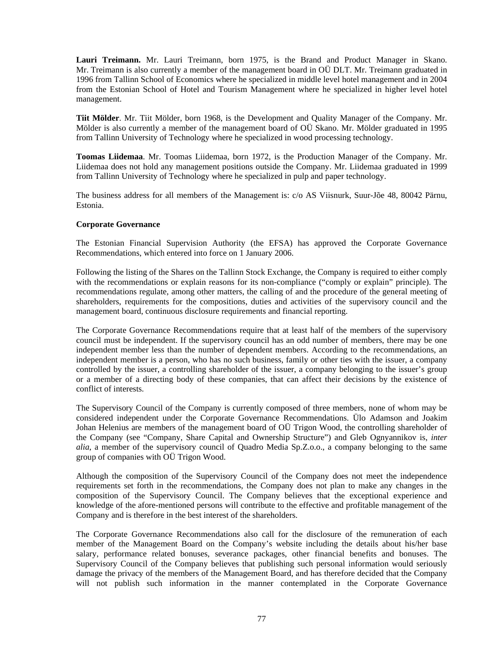**Lauri Treimann.** Mr. Lauri Treimann, born 1975, is the Brand and Product Manager in Skano. Mr. Treimann is also currently a member of the management board in OÜ DLT. Mr. Treimann graduated in 1996 from Tallinn School of Economics where he specialized in middle level hotel management and in 2004 from the Estonian School of Hotel and Tourism Management where he specialized in higher level hotel management.

**Tiit Mölder**. Mr. Tiit Mölder, born 1968, is the Development and Quality Manager of the Company. Mr. Mölder is also currently a member of the management board of OÜ Skano. Mr. Mölder graduated in 1995 from Tallinn University of Technology where he specialized in wood processing technology.

**Toomas Liidemaa**. Mr. Toomas Liidemaa, born 1972, is the Production Manager of the Company. Mr. Liidemaa does not hold any management positions outside the Company. Mr. Liidemaa graduated in 1999 from Tallinn University of Technology where he specialized in pulp and paper technology.

The business address for all members of the Management is: c/o AS Viisnurk, Suur-Jõe 48, 80042 Pärnu, Estonia.

### **Corporate Governance**

The Estonian Financial Supervision Authority (the EFSA) has approved the Corporate Governance Recommendations, which entered into force on 1 January 2006.

Following the listing of the Shares on the Tallinn Stock Exchange, the Company is required to either comply with the recommendations or explain reasons for its non-compliance ("comply or explain" principle). The recommendations regulate, among other matters, the calling of and the procedure of the general meeting of shareholders, requirements for the compositions, duties and activities of the supervisory council and the management board, continuous disclosure requirements and financial reporting.

The Corporate Governance Recommendations require that at least half of the members of the supervisory council must be independent. If the supervisory council has an odd number of members, there may be one independent member less than the number of dependent members. According to the recommendations, an independent member is a person, who has no such business, family or other ties with the issuer, a company controlled by the issuer, a controlling shareholder of the issuer, a company belonging to the issuer's group or a member of a directing body of these companies, that can affect their decisions by the existence of conflict of interests.

The Supervisory Council of the Company is currently composed of three members, none of whom may be considered independent under the Corporate Governance Recommendations. Ülo Adamson and Joakim Johan Helenius are members of the management board of OÜ Trigon Wood, the controlling shareholder of the Company (see "Company, Share Capital and Ownership Structure") and Gleb Ognyannikov is, *inter alia*, a member of the supervisory council of Quadro Media Sp.Z.o.o., a company belonging to the same group of companies with OÜ Trigon Wood.

Although the composition of the Supervisory Council of the Company does not meet the independence requirements set forth in the recommendations, the Company does not plan to make any changes in the composition of the Supervisory Council. The Company believes that the exceptional experience and knowledge of the afore-mentioned persons will contribute to the effective and profitable management of the Company and is therefore in the best interest of the shareholders.

The Corporate Governance Recommendations also call for the disclosure of the remuneration of each member of the Management Board on the Company's website including the details about his/her base salary, performance related bonuses, severance packages, other financial benefits and bonuses. The Supervisory Council of the Company believes that publishing such personal information would seriously damage the privacy of the members of the Management Board, and has therefore decided that the Company will not publish such information in the manner contemplated in the Corporate Governance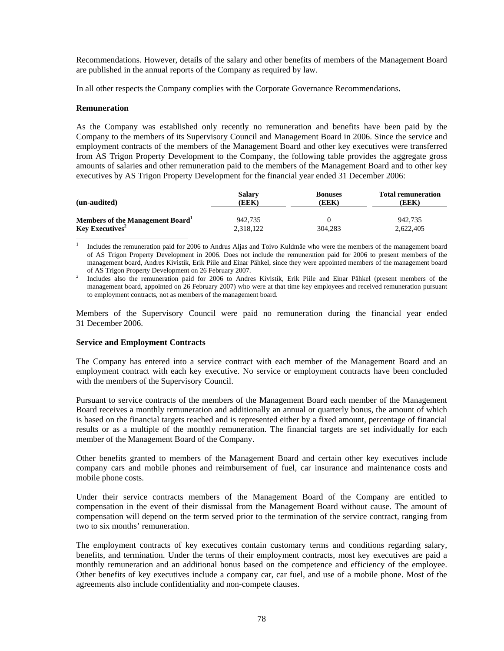Recommendations. However, details of the salary and other benefits of members of the Management Board are published in the annual reports of the Company as required by law.

In all other respects the Company complies with the Corporate Governance Recommendations.

### **Remuneration**

As the Company was established only recently no remuneration and benefits have been paid by the Company to the members of its Supervisory Council and Management Board in 2006. Since the service and employment contracts of the members of the Management Board and other key executives were transferred from AS Trigon Property Development to the Company, the following table provides the aggregate gross amounts of salaries and other remuneration paid to the members of the Management Board and to other key executives by AS Trigon Property Development for the financial year ended 31 December 2006:

| (un-audited)                                 | Salarv    | <b>Bonuses</b> | <b>Total remuneration</b> |
|----------------------------------------------|-----------|----------------|---------------------------|
|                                              | (EEK)     | (EEK)          | (EEK)                     |
| Members of the Management Board <sup>1</sup> | 942.735   | 304.283        | 942,735                   |
| Key Executives <sup>2</sup>                  | 2.318.122 |                | 2.622.405                 |

 $\frac{1}{1}$  Includes the remuneration paid for 2006 to Andrus Aljas and Toivo Kuldmäe who were the members of the management board of AS Trigon Property Development in 2006. Does not include the remuneration paid for 2006 to present members of the management board, Andres Kivistik, Erik Piile and Einar Pähkel, since they were appointed members of the management board of AS Trigon Property Development on 26 February 2007.

2 Includes also the remuneration paid for 2006 to Andres Kivistik, Erik Piile and Einar Pähkel (present members of the management board, appointed on 26 February 2007) who were at that time key employees and received remuneration pursuant to employment contracts, not as members of the management board.

Members of the Supervisory Council were paid no remuneration during the financial year ended 31 December 2006.

#### **Service and Employment Contracts**

The Company has entered into a service contract with each member of the Management Board and an employment contract with each key executive. No service or employment contracts have been concluded with the members of the Supervisory Council.

Pursuant to service contracts of the members of the Management Board each member of the Management Board receives a monthly remuneration and additionally an annual or quarterly bonus, the amount of which is based on the financial targets reached and is represented either by a fixed amount, percentage of financial results or as a multiple of the monthly remuneration. The financial targets are set individually for each member of the Management Board of the Company.

Other benefits granted to members of the Management Board and certain other key executives include company cars and mobile phones and reimbursement of fuel, car insurance and maintenance costs and mobile phone costs.

Under their service contracts members of the Management Board of the Company are entitled to compensation in the event of their dismissal from the Management Board without cause. The amount of compensation will depend on the term served prior to the termination of the service contract, ranging from two to six months' remuneration.

The employment contracts of key executives contain customary terms and conditions regarding salary, benefits, and termination. Under the terms of their employment contracts, most key executives are paid a monthly remuneration and an additional bonus based on the competence and efficiency of the employee. Other benefits of key executives include a company car, car fuel, and use of a mobile phone. Most of the agreements also include confidentiality and non-compete clauses.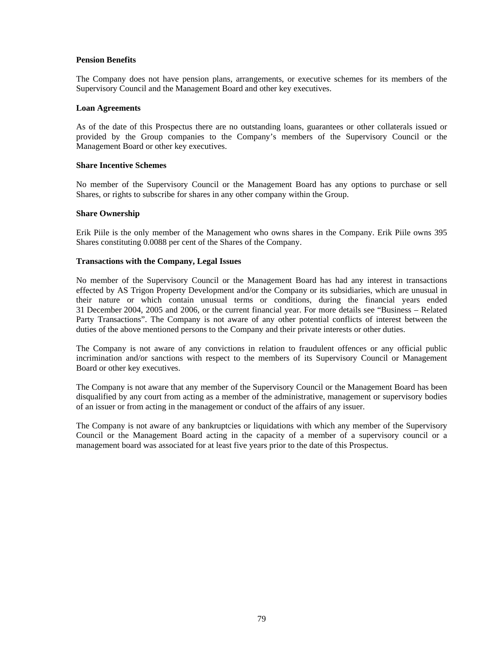## **Pension Benefits**

The Company does not have pension plans, arrangements, or executive schemes for its members of the Supervisory Council and the Management Board and other key executives.

### **Loan Agreements**

As of the date of this Prospectus there are no outstanding loans, guarantees or other collaterals issued or provided by the Group companies to the Company's members of the Supervisory Council or the Management Board or other key executives.

#### **Share Incentive Schemes**

No member of the Supervisory Council or the Management Board has any options to purchase or sell Shares, or rights to subscribe for shares in any other company within the Group.

### **Share Ownership**

Erik Piile is the only member of the Management who owns shares in the Company. Erik Piile owns 395 Shares constituting 0.0088 per cent of the Shares of the Company.

### **Transactions with the Company, Legal Issues**

No member of the Supervisory Council or the Management Board has had any interest in transactions effected by AS Trigon Property Development and/or the Company or its subsidiaries, which are unusual in their nature or which contain unusual terms or conditions, during the financial years ended 31 December 2004, 2005 and 2006, or the current financial year. For more details see "Business – Related Party Transactions". The Company is not aware of any other potential conflicts of interest between the duties of the above mentioned persons to the Company and their private interests or other duties.

The Company is not aware of any convictions in relation to fraudulent offences or any official public incrimination and/or sanctions with respect to the members of its Supervisory Council or Management Board or other key executives.

The Company is not aware that any member of the Supervisory Council or the Management Board has been disqualified by any court from acting as a member of the administrative, management or supervisory bodies of an issuer or from acting in the management or conduct of the affairs of any issuer.

The Company is not aware of any bankruptcies or liquidations with which any member of the Supervisory Council or the Management Board acting in the capacity of a member of a supervisory council or a management board was associated for at least five years prior to the date of this Prospectus.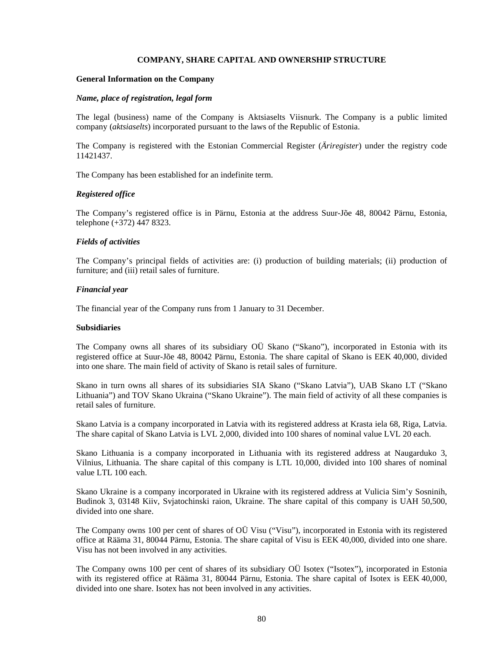#### **COMPANY, SHARE CAPITAL AND OWNERSHIP STRUCTURE**

#### **General Information on the Company**

#### *Name, place of registration, legal form*

The legal (business) name of the Company is Aktsiaselts Viisnurk. The Company is a public limited company (*aktsiaselts*) incorporated pursuant to the laws of the Republic of Estonia.

The Company is registered with the Estonian Commercial Register (*Äriregister*) under the registry code 11421437.

The Company has been established for an indefinite term.

#### *Registered office*

The Company's registered office is in Pärnu, Estonia at the address Suur-Jõe 48, 80042 Pärnu, Estonia, telephone (+372) 447 8323.

#### *Fields of activities*

The Company's principal fields of activities are: (i) production of building materials; (ii) production of furniture; and (iii) retail sales of furniture.

#### *Financial year*

The financial year of the Company runs from 1 January to 31 December.

#### **Subsidiaries**

The Company owns all shares of its subsidiary OÜ Skano ("Skano"), incorporated in Estonia with its registered office at Suur-Jõe 48, 80042 Pärnu, Estonia. The share capital of Skano is EEK 40,000, divided into one share. The main field of activity of Skano is retail sales of furniture.

Skano in turn owns all shares of its subsidiaries SIA Skano ("Skano Latvia"), UAB Skano LT ("Skano Lithuania") and TOV Skano Ukraina ("Skano Ukraine"). The main field of activity of all these companies is retail sales of furniture.

Skano Latvia is a company incorporated in Latvia with its registered address at Krasta iela 68, Riga, Latvia. The share capital of Skano Latvia is LVL 2,000, divided into 100 shares of nominal value LVL 20 each.

Skano Lithuania is a company incorporated in Lithuania with its registered address at Naugarduko 3, Vilnius, Lithuania. The share capital of this company is LTL 10,000, divided into 100 shares of nominal value LTL 100 each.

Skano Ukraine is a company incorporated in Ukraine with its registered address at Vulicia Sim'y Sosninih, Budinok 3, 03148 Kiiv, Svjatochinski raion, Ukraine. The share capital of this company is UAH 50,500, divided into one share.

The Company owns 100 per cent of shares of OÜ Visu ("Visu"), incorporated in Estonia with its registered office at Rääma 31, 80044 Pärnu, Estonia. The share capital of Visu is EEK 40,000, divided into one share. Visu has not been involved in any activities.

The Company owns 100 per cent of shares of its subsidiary OÜ Isotex ("Isotex"), incorporated in Estonia with its registered office at Rääma 31, 80044 Pärnu, Estonia. The share capital of Isotex is EEK 40,000, divided into one share. Isotex has not been involved in any activities.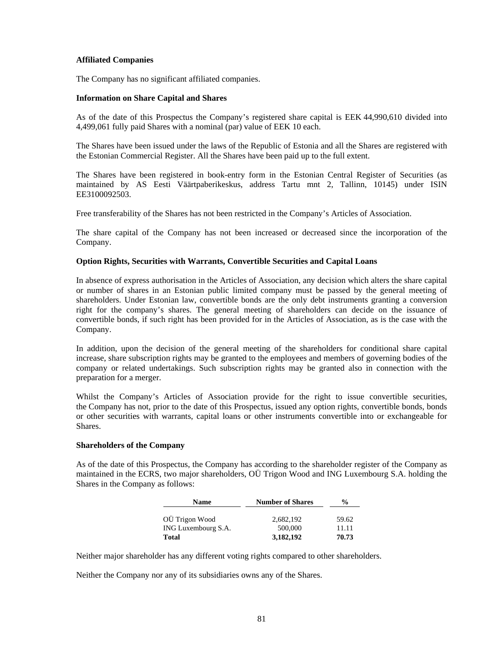## **Affiliated Companies**

The Company has no significant affiliated companies.

#### **Information on Share Capital and Shares**

As of the date of this Prospectus the Company's registered share capital is EEK 44,990,610 divided into 4,499,061 fully paid Shares with a nominal (par) value of EEK 10 each.

The Shares have been issued under the laws of the Republic of Estonia and all the Shares are registered with the Estonian Commercial Register. All the Shares have been paid up to the full extent.

The Shares have been registered in book-entry form in the Estonian Central Register of Securities (as maintained by AS Eesti Väärtpaberikeskus, address Tartu mnt 2, Tallinn, 10145) under ISIN EE3100092503.

Free transferability of the Shares has not been restricted in the Company's Articles of Association.

The share capital of the Company has not been increased or decreased since the incorporation of the Company.

### **Option Rights, Securities with Warrants, Convertible Securities and Capital Loans**

In absence of express authorisation in the Articles of Association, any decision which alters the share capital or number of shares in an Estonian public limited company must be passed by the general meeting of shareholders. Under Estonian law, convertible bonds are the only debt instruments granting a conversion right for the company's shares. The general meeting of shareholders can decide on the issuance of convertible bonds, if such right has been provided for in the Articles of Association, as is the case with the Company.

In addition, upon the decision of the general meeting of the shareholders for conditional share capital increase, share subscription rights may be granted to the employees and members of governing bodies of the company or related undertakings. Such subscription rights may be granted also in connection with the preparation for a merger.

Whilst the Company's Articles of Association provide for the right to issue convertible securities, the Company has not, prior to the date of this Prospectus, issued any option rights, convertible bonds, bonds or other securities with warrants, capital loans or other instruments convertible into or exchangeable for Shares.

## **Shareholders of the Company**

As of the date of this Prospectus, the Company has according to the shareholder register of the Company as maintained in the ECRS, two major shareholders, OÜ Trigon Wood and ING Luxembourg S.A. holding the Shares in the Company as follows:

| <b>Name</b>         | <b>Number of Shares</b> | $\frac{0}{0}$ |
|---------------------|-------------------------|---------------|
| OÜ Trigon Wood      | 2.682.192               | 59.62         |
| ING Luxembourg S.A. | 500,000                 | 11.11         |
| <b>Total</b>        | 3,182,192               | 70.73         |

Neither major shareholder has any different voting rights compared to other shareholders.

Neither the Company nor any of its subsidiaries owns any of the Shares.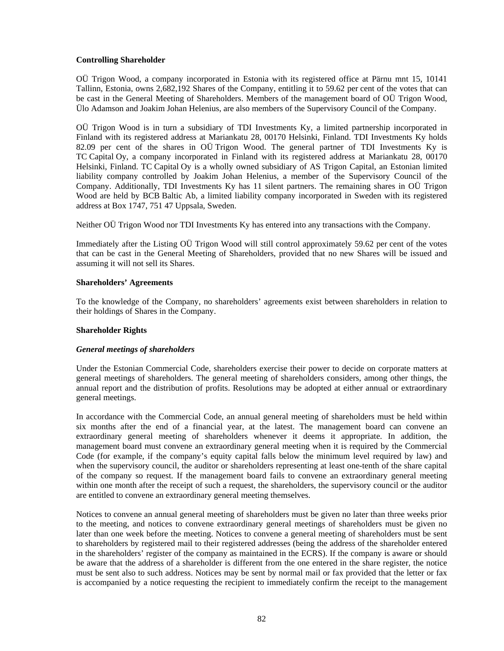## **Controlling Shareholder**

OÜ Trigon Wood, a company incorporated in Estonia with its registered office at Pärnu mnt 15, 10141 Tallinn, Estonia, owns 2,682,192 Shares of the Company, entitling it to 59.62 per cent of the votes that can be cast in the General Meeting of Shareholders. Members of the management board of OÜ Trigon Wood, Ülo Adamson and Joakim Johan Helenius, are also members of the Supervisory Council of the Company.

OÜ Trigon Wood is in turn a subsidiary of TDI Investments Ky, a limited partnership incorporated in Finland with its registered address at Mariankatu 28, 00170 Helsinki, Finland. TDI Investments Ky holds 82.09 per cent of the shares in OÜ Trigon Wood. The general partner of TDI Investments Ky is TC Capital Oy, a company incorporated in Finland with its registered address at Mariankatu 28, 00170 Helsinki, Finland. TC Capital Oy is a wholly owned subsidiary of AS Trigon Capital, an Estonian limited liability company controlled by Joakim Johan Helenius, a member of the Supervisory Council of the Company. Additionally, TDI Investments Ky has 11 silent partners. The remaining shares in OÜ Trigon Wood are held by BCB Baltic Ab, a limited liability company incorporated in Sweden with its registered address at Box 1747, 751 47 Uppsala, Sweden.

Neither OÜ Trigon Wood nor TDI Investments Ky has entered into any transactions with the Company.

Immediately after the Listing OÜ Trigon Wood will still control approximately 59.62 per cent of the votes that can be cast in the General Meeting of Shareholders, provided that no new Shares will be issued and assuming it will not sell its Shares.

### **Shareholders' Agreements**

To the knowledge of the Company, no shareholders' agreements exist between shareholders in relation to their holdings of Shares in the Company.

#### **Shareholder Rights**

#### *General meetings of shareholders*

Under the Estonian Commercial Code, shareholders exercise their power to decide on corporate matters at general meetings of shareholders. The general meeting of shareholders considers, among other things, the annual report and the distribution of profits. Resolutions may be adopted at either annual or extraordinary general meetings.

In accordance with the Commercial Code, an annual general meeting of shareholders must be held within six months after the end of a financial year, at the latest. The management board can convene an extraordinary general meeting of shareholders whenever it deems it appropriate. In addition, the management board must convene an extraordinary general meeting when it is required by the Commercial Code (for example, if the company's equity capital falls below the minimum level required by law) and when the supervisory council, the auditor or shareholders representing at least one-tenth of the share capital of the company so request. If the management board fails to convene an extraordinary general meeting within one month after the receipt of such a request, the shareholders, the supervisory council or the auditor are entitled to convene an extraordinary general meeting themselves.

Notices to convene an annual general meeting of shareholders must be given no later than three weeks prior to the meeting, and notices to convene extraordinary general meetings of shareholders must be given no later than one week before the meeting. Notices to convene a general meeting of shareholders must be sent to shareholders by registered mail to their registered addresses (being the address of the shareholder entered in the shareholders' register of the company as maintained in the ECRS). If the company is aware or should be aware that the address of a shareholder is different from the one entered in the share register, the notice must be sent also to such address. Notices may be sent by normal mail or fax provided that the letter or fax is accompanied by a notice requesting the recipient to immediately confirm the receipt to the management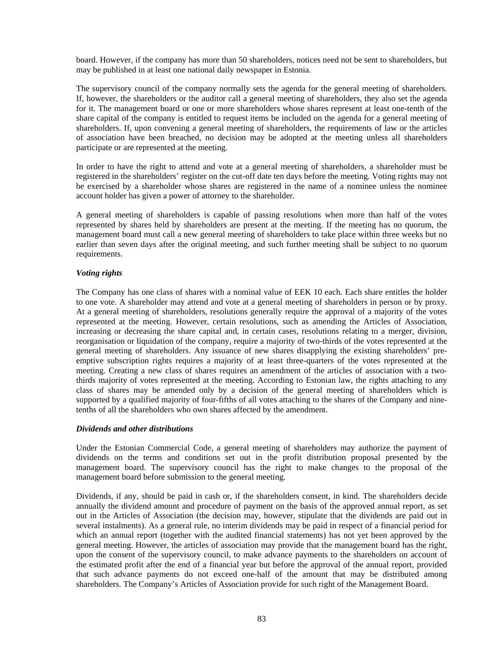board. However, if the company has more than 50 shareholders, notices need not be sent to shareholders, but may be published in at least one national daily newspaper in Estonia.

The supervisory council of the company normally sets the agenda for the general meeting of shareholders. If, however, the shareholders or the auditor call a general meeting of shareholders, they also set the agenda for it. The management board or one or more shareholders whose shares represent at least one-tenth of the share capital of the company is entitled to request items be included on the agenda for a general meeting of shareholders. If, upon convening a general meeting of shareholders, the requirements of law or the articles of association have been breached, no decision may be adopted at the meeting unless all shareholders participate or are represented at the meeting.

In order to have the right to attend and vote at a general meeting of shareholders, a shareholder must be registered in the shareholders' register on the cut-off date ten days before the meeting. Voting rights may not be exercised by a shareholder whose shares are registered in the name of a nominee unless the nominee account holder has given a power of attorney to the shareholder.

A general meeting of shareholders is capable of passing resolutions when more than half of the votes represented by shares held by shareholders are present at the meeting. If the meeting has no quorum, the management board must call a new general meeting of shareholders to take place within three weeks but no earlier than seven days after the original meeting, and such further meeting shall be subject to no quorum requirements.

## *Voting rights*

The Company has one class of shares with a nominal value of EEK 10 each. Each share entitles the holder to one vote. A shareholder may attend and vote at a general meeting of shareholders in person or by proxy. At a general meeting of shareholders, resolutions generally require the approval of a majority of the votes represented at the meeting. However, certain resolutions, such as amending the Articles of Association, increasing or decreasing the share capital and, in certain cases, resolutions relating to a merger, division, reorganisation or liquidation of the company, require a majority of two-thirds of the votes represented at the general meeting of shareholders. Any issuance of new shares disapplying the existing shareholders' preemptive subscription rights requires a majority of at least three-quarters of the votes represented at the meeting. Creating a new class of shares requires an amendment of the articles of association with a twothirds majority of votes represented at the meeting. According to Estonian law, the rights attaching to any class of shares may be amended only by a decision of the general meeting of shareholders which is supported by a qualified majority of four-fifths of all votes attaching to the shares of the Company and ninetenths of all the shareholders who own shares affected by the amendment.

#### *Dividends and other distributions*

Under the Estonian Commercial Code, a general meeting of shareholders may authorize the payment of dividends on the terms and conditions set out in the profit distribution proposal presented by the management board. The supervisory council has the right to make changes to the proposal of the management board before submission to the general meeting.

Dividends, if any, should be paid in cash or, if the shareholders consent, in kind. The shareholders decide annually the dividend amount and procedure of payment on the basis of the approved annual report, as set out in the Articles of Association (the decision may, however, stipulate that the dividends are paid out in several instalments). As a general rule, no interim dividends may be paid in respect of a financial period for which an annual report (together with the audited financial statements) has not yet been approved by the general meeting. However, the articles of association may provide that the management board has the right, upon the consent of the supervisory council, to make advance payments to the shareholders on account of the estimated profit after the end of a financial year but before the approval of the annual report, provided that such advance payments do not exceed one-half of the amount that may be distributed among shareholders. The Company's Articles of Association provide for such right of the Management Board.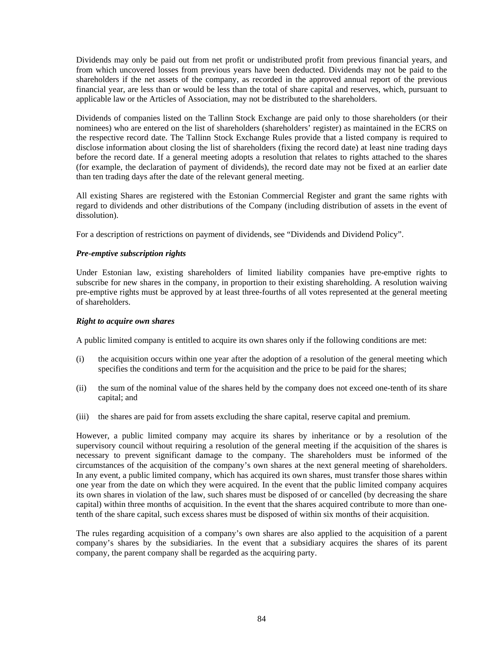Dividends may only be paid out from net profit or undistributed profit from previous financial years, and from which uncovered losses from previous years have been deducted. Dividends may not be paid to the shareholders if the net assets of the company, as recorded in the approved annual report of the previous financial year, are less than or would be less than the total of share capital and reserves, which, pursuant to applicable law or the Articles of Association, may not be distributed to the shareholders.

Dividends of companies listed on the Tallinn Stock Exchange are paid only to those shareholders (or their nominees) who are entered on the list of shareholders (shareholders' register) as maintained in the ECRS on the respective record date. The Tallinn Stock Exchange Rules provide that a listed company is required to disclose information about closing the list of shareholders (fixing the record date) at least nine trading days before the record date. If a general meeting adopts a resolution that relates to rights attached to the shares (for example, the declaration of payment of dividends), the record date may not be fixed at an earlier date than ten trading days after the date of the relevant general meeting.

All existing Shares are registered with the Estonian Commercial Register and grant the same rights with regard to dividends and other distributions of the Company (including distribution of assets in the event of dissolution).

For a description of restrictions on payment of dividends, see "Dividends and Dividend Policy".

## *Pre-emptive subscription rights*

Under Estonian law, existing shareholders of limited liability companies have pre-emptive rights to subscribe for new shares in the company, in proportion to their existing shareholding. A resolution waiving pre-emptive rights must be approved by at least three-fourths of all votes represented at the general meeting of shareholders.

#### *Right to acquire own shares*

A public limited company is entitled to acquire its own shares only if the following conditions are met:

- (i) the acquisition occurs within one year after the adoption of a resolution of the general meeting which specifies the conditions and term for the acquisition and the price to be paid for the shares;
- (ii) the sum of the nominal value of the shares held by the company does not exceed one-tenth of its share capital; and
- (iii) the shares are paid for from assets excluding the share capital, reserve capital and premium.

However, a public limited company may acquire its shares by inheritance or by a resolution of the supervisory council without requiring a resolution of the general meeting if the acquisition of the shares is necessary to prevent significant damage to the company. The shareholders must be informed of the circumstances of the acquisition of the company's own shares at the next general meeting of shareholders. In any event, a public limited company, which has acquired its own shares, must transfer those shares within one year from the date on which they were acquired. In the event that the public limited company acquires its own shares in violation of the law, such shares must be disposed of or cancelled (by decreasing the share capital) within three months of acquisition. In the event that the shares acquired contribute to more than onetenth of the share capital, such excess shares must be disposed of within six months of their acquisition.

The rules regarding acquisition of a company's own shares are also applied to the acquisition of a parent company's shares by the subsidiaries. In the event that a subsidiary acquires the shares of its parent company, the parent company shall be regarded as the acquiring party.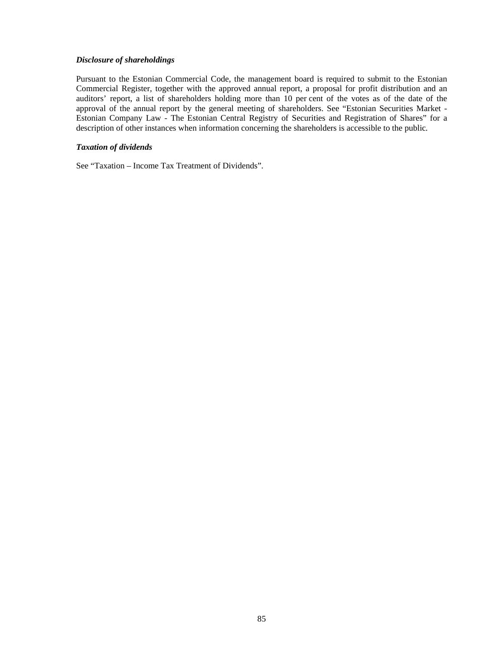## *Disclosure of shareholdings*

Pursuant to the Estonian Commercial Code, the management board is required to submit to the Estonian Commercial Register, together with the approved annual report, a proposal for profit distribution and an auditors' report, a list of shareholders holding more than 10 per cent of the votes as of the date of the approval of the annual report by the general meeting of shareholders. See "Estonian Securities Market - Estonian Company Law - The Estonian Central Registry of Securities and Registration of Shares" for a description of other instances when information concerning the shareholders is accessible to the public*.* 

### *Taxation of dividends*

See "Taxation – Income Tax Treatment of Dividends".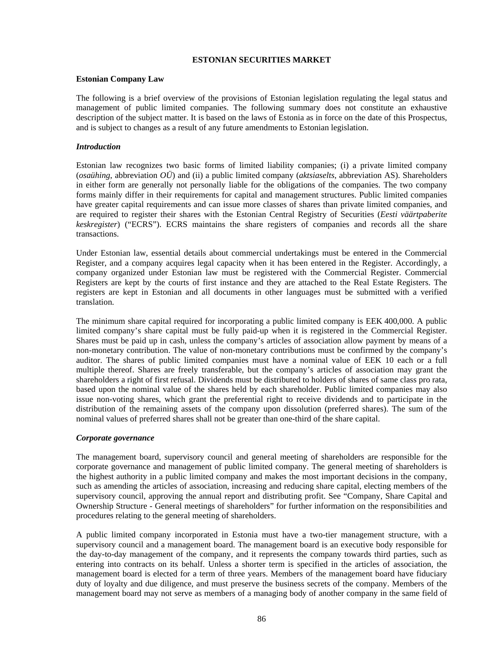## **ESTONIAN SECURITIES MARKET**

#### **Estonian Company Law**

The following is a brief overview of the provisions of Estonian legislation regulating the legal status and management of public limited companies. The following summary does not constitute an exhaustive description of the subject matter. It is based on the laws of Estonia as in force on the date of this Prospectus, and is subject to changes as a result of any future amendments to Estonian legislation.

## *Introduction*

Estonian law recognizes two basic forms of limited liability companies; (i) a private limited company (*osaühing*, abbreviation *OÜ*) and (ii) a public limited company (*aktsiaselts*, abbreviation AS). Shareholders in either form are generally not personally liable for the obligations of the companies. The two company forms mainly differ in their requirements for capital and management structures. Public limited companies have greater capital requirements and can issue more classes of shares than private limited companies, and are required to register their shares with the Estonian Central Registry of Securities (*Eesti väärtpaberite keskregister*) ("ECRS"). ECRS maintains the share registers of companies and records all the share transactions.

Under Estonian law, essential details about commercial undertakings must be entered in the Commercial Register, and a company acquires legal capacity when it has been entered in the Register. Accordingly, a company organized under Estonian law must be registered with the Commercial Register. Commercial Registers are kept by the courts of first instance and they are attached to the Real Estate Registers. The registers are kept in Estonian and all documents in other languages must be submitted with a verified translation.

The minimum share capital required for incorporating a public limited company is EEK 400,000. A public limited company's share capital must be fully paid-up when it is registered in the Commercial Register. Shares must be paid up in cash, unless the company's articles of association allow payment by means of a non-monetary contribution. The value of non-monetary contributions must be confirmed by the company's auditor. The shares of public limited companies must have a nominal value of EEK 10 each or a full multiple thereof. Shares are freely transferable, but the company's articles of association may grant the shareholders a right of first refusal. Dividends must be distributed to holders of shares of same class pro rata, based upon the nominal value of the shares held by each shareholder. Public limited companies may also issue non-voting shares, which grant the preferential right to receive dividends and to participate in the distribution of the remaining assets of the company upon dissolution (preferred shares). The sum of the nominal values of preferred shares shall not be greater than one-third of the share capital.

#### *Corporate governance*

The management board, supervisory council and general meeting of shareholders are responsible for the corporate governance and management of public limited company. The general meeting of shareholders is the highest authority in a public limited company and makes the most important decisions in the company, such as amending the articles of association, increasing and reducing share capital, electing members of the supervisory council, approving the annual report and distributing profit. See "Company, Share Capital and Ownership Structure - General meetings of shareholders" for further information on the responsibilities and procedures relating to the general meeting of shareholders.

A public limited company incorporated in Estonia must have a two-tier management structure, with a supervisory council and a management board. The management board is an executive body responsible for the day-to-day management of the company, and it represents the company towards third parties, such as entering into contracts on its behalf. Unless a shorter term is specified in the articles of association, the management board is elected for a term of three years. Members of the management board have fiduciary duty of loyalty and due diligence, and must preserve the business secrets of the company. Members of the management board may not serve as members of a managing body of another company in the same field of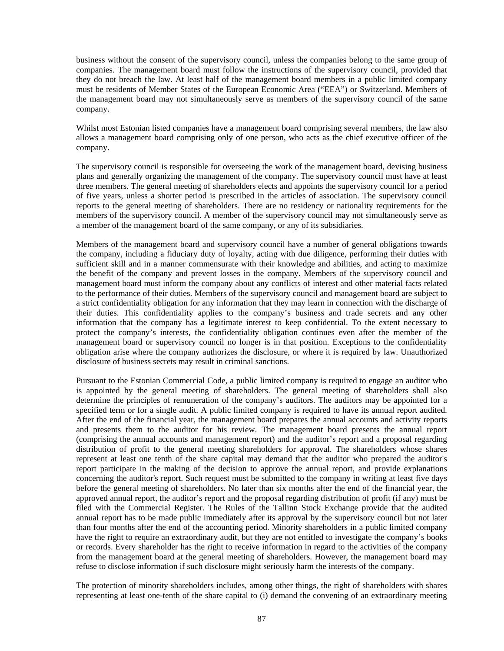business without the consent of the supervisory council, unless the companies belong to the same group of companies. The management board must follow the instructions of the supervisory council, provided that they do not breach the law. At least half of the management board members in a public limited company must be residents of Member States of the European Economic Area ("EEA") or Switzerland. Members of the management board may not simultaneously serve as members of the supervisory council of the same company.

Whilst most Estonian listed companies have a management board comprising several members, the law also allows a management board comprising only of one person, who acts as the chief executive officer of the company.

The supervisory council is responsible for overseeing the work of the management board, devising business plans and generally organizing the management of the company. The supervisory council must have at least three members. The general meeting of shareholders elects and appoints the supervisory council for a period of five years, unless a shorter period is prescribed in the articles of association. The supervisory council reports to the general meeting of shareholders. There are no residency or nationality requirements for the members of the supervisory council. A member of the supervisory council may not simultaneously serve as a member of the management board of the same company, or any of its subsidiaries.

Members of the management board and supervisory council have a number of general obligations towards the company, including a fiduciary duty of loyalty, acting with due diligence, performing their duties with sufficient skill and in a manner commensurate with their knowledge and abilities, and acting to maximize the benefit of the company and prevent losses in the company. Members of the supervisory council and management board must inform the company about any conflicts of interest and other material facts related to the performance of their duties. Members of the supervisory council and management board are subject to a strict confidentiality obligation for any information that they may learn in connection with the discharge of their duties. This confidentiality applies to the company's business and trade secrets and any other information that the company has a legitimate interest to keep confidential. To the extent necessary to protect the company's interests, the confidentiality obligation continues even after the member of the management board or supervisory council no longer is in that position. Exceptions to the confidentiality obligation arise where the company authorizes the disclosure, or where it is required by law. Unauthorized disclosure of business secrets may result in criminal sanctions.

Pursuant to the Estonian Commercial Code, a public limited company is required to engage an auditor who is appointed by the general meeting of shareholders. The general meeting of shareholders shall also determine the principles of remuneration of the company's auditors. The auditors may be appointed for a specified term or for a single audit. A public limited company is required to have its annual report audited. After the end of the financial year, the management board prepares the annual accounts and activity reports and presents them to the auditor for his review. The management board presents the annual report (comprising the annual accounts and management report) and the auditor's report and a proposal regarding distribution of profit to the general meeting shareholders for approval. The shareholders whose shares represent at least one tenth of the share capital may demand that the auditor who prepared the auditor's report participate in the making of the decision to approve the annual report, and provide explanations concerning the auditor's report. Such request must be submitted to the company in writing at least five days before the general meeting of shareholders. No later than six months after the end of the financial year, the approved annual report, the auditor's report and the proposal regarding distribution of profit (if any) must be filed with the Commercial Register. The Rules of the Tallinn Stock Exchange provide that the audited annual report has to be made public immediately after its approval by the supervisory council but not later than four months after the end of the accounting period. Minority shareholders in a public limited company have the right to require an extraordinary audit, but they are not entitled to investigate the company's books or records. Every shareholder has the right to receive information in regard to the activities of the company from the management board at the general meeting of shareholders. However, the management board may refuse to disclose information if such disclosure might seriously harm the interests of the company.

The protection of minority shareholders includes, among other things, the right of shareholders with shares representing at least one-tenth of the share capital to (i) demand the convening of an extraordinary meeting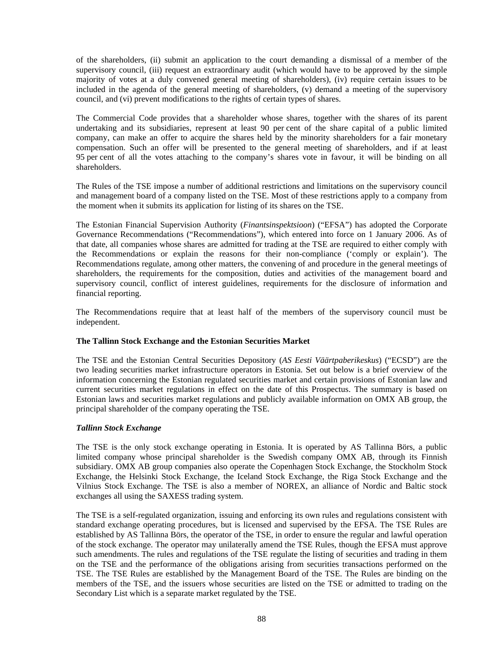of the shareholders, (ii) submit an application to the court demanding a dismissal of a member of the supervisory council, (iii) request an extraordinary audit (which would have to be approved by the simple majority of votes at a duly convened general meeting of shareholders), (iv) require certain issues to be included in the agenda of the general meeting of shareholders, (v) demand a meeting of the supervisory council, and (vi) prevent modifications to the rights of certain types of shares.

The Commercial Code provides that a shareholder whose shares, together with the shares of its parent undertaking and its subsidiaries, represent at least 90 per cent of the share capital of a public limited company, can make an offer to acquire the shares held by the minority shareholders for a fair monetary compensation. Such an offer will be presented to the general meeting of shareholders, and if at least 95 per cent of all the votes attaching to the company's shares vote in favour, it will be binding on all shareholders.

The Rules of the TSE impose a number of additional restrictions and limitations on the supervisory council and management board of a company listed on the TSE. Most of these restrictions apply to a company from the moment when it submits its application for listing of its shares on the TSE.

The Estonian Financial Supervision Authority (*Finantsinspektsioon*) ("EFSA") has adopted the Corporate Governance Recommendations ("Recommendations"), which entered into force on 1 January 2006. As of that date, all companies whose shares are admitted for trading at the TSE are required to either comply with the Recommendations or explain the reasons for their non-compliance ('comply or explain'). The Recommendations regulate, among other matters, the convening of and procedure in the general meetings of shareholders, the requirements for the composition, duties and activities of the management board and supervisory council, conflict of interest guidelines, requirements for the disclosure of information and financial reporting.

The Recommendations require that at least half of the members of the supervisory council must be independent.

## **The Tallinn Stock Exchange and the Estonian Securities Market**

The TSE and the Estonian Central Securities Depository (*AS Eesti Väärtpaberikeskus*) ("ECSD") are the two leading securities market infrastructure operators in Estonia. Set out below is a brief overview of the information concerning the Estonian regulated securities market and certain provisions of Estonian law and current securities market regulations in effect on the date of this Prospectus. The summary is based on Estonian laws and securities market regulations and publicly available information on OMX AB group, the principal shareholder of the company operating the TSE.

## *Tallinn Stock Exchange*

The TSE is the only stock exchange operating in Estonia. It is operated by AS Tallinna Börs, a public limited company whose principal shareholder is the Swedish company OMX AB, through its Finnish subsidiary. OMX AB group companies also operate the Copenhagen Stock Exchange, the Stockholm Stock Exchange, the Helsinki Stock Exchange, the Iceland Stock Exchange, the Riga Stock Exchange and the Vilnius Stock Exchange. The TSE is also a member of NOREX, an alliance of Nordic and Baltic stock exchanges all using the SAXESS trading system.

The TSE is a self-regulated organization, issuing and enforcing its own rules and regulations consistent with standard exchange operating procedures, but is licensed and supervised by the EFSA. The TSE Rules are established by AS Tallinna Börs, the operator of the TSE, in order to ensure the regular and lawful operation of the stock exchange. The operator may unilaterally amend the TSE Rules, though the EFSA must approve such amendments. The rules and regulations of the TSE regulate the listing of securities and trading in them on the TSE and the performance of the obligations arising from securities transactions performed on the TSE. The TSE Rules are established by the Management Board of the TSE. The Rules are binding on the members of the TSE, and the issuers whose securities are listed on the TSE or admitted to trading on the Secondary List which is a separate market regulated by the TSE.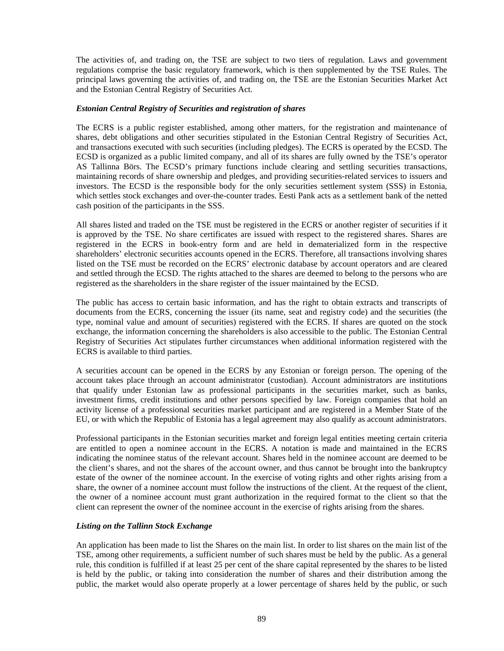The activities of, and trading on, the TSE are subject to two tiers of regulation. Laws and government regulations comprise the basic regulatory framework, which is then supplemented by the TSE Rules. The principal laws governing the activities of, and trading on, the TSE are the Estonian Securities Market Act and the Estonian Central Registry of Securities Act.

## *Estonian Central Registry of Securities and registration of shares*

The ECRS is a public register established, among other matters, for the registration and maintenance of shares, debt obligations and other securities stipulated in the Estonian Central Registry of Securities Act, and transactions executed with such securities (including pledges). The ECRS is operated by the ECSD. The ECSD is organized as a public limited company, and all of its shares are fully owned by the TSE's operator AS Tallinna Börs. The ECSD's primary functions include clearing and settling securities transactions, maintaining records of share ownership and pledges, and providing securities-related services to issuers and investors. The ECSD is the responsible body for the only securities settlement system (SSS) in Estonia, which settles stock exchanges and over-the-counter trades. Eesti Pank acts as a settlement bank of the netted cash position of the participants in the SSS.

All shares listed and traded on the TSE must be registered in the ECRS or another register of securities if it is approved by the TSE. No share certificates are issued with respect to the registered shares. Shares are registered in the ECRS in book-entry form and are held in dematerialized form in the respective shareholders' electronic securities accounts opened in the ECRS. Therefore, all transactions involving shares listed on the TSE must be recorded on the ECRS' electronic database by account operators and are cleared and settled through the ECSD. The rights attached to the shares are deemed to belong to the persons who are registered as the shareholders in the share register of the issuer maintained by the ECSD.

The public has access to certain basic information, and has the right to obtain extracts and transcripts of documents from the ECRS, concerning the issuer (its name, seat and registry code) and the securities (the type, nominal value and amount of securities) registered with the ECRS. If shares are quoted on the stock exchange, the information concerning the shareholders is also accessible to the public. The Estonian Central Registry of Securities Act stipulates further circumstances when additional information registered with the ECRS is available to third parties.

A securities account can be opened in the ECRS by any Estonian or foreign person. The opening of the account takes place through an account administrator (custodian). Account administrators are institutions that qualify under Estonian law as professional participants in the securities market, such as banks, investment firms, credit institutions and other persons specified by law. Foreign companies that hold an activity license of a professional securities market participant and are registered in a Member State of the EU, or with which the Republic of Estonia has a legal agreement may also qualify as account administrators.

Professional participants in the Estonian securities market and foreign legal entities meeting certain criteria are entitled to open a nominee account in the ECRS. A notation is made and maintained in the ECRS indicating the nominee status of the relevant account. Shares held in the nominee account are deemed to be the client's shares, and not the shares of the account owner, and thus cannot be brought into the bankruptcy estate of the owner of the nominee account. In the exercise of voting rights and other rights arising from a share, the owner of a nominee account must follow the instructions of the client. At the request of the client, the owner of a nominee account must grant authorization in the required format to the client so that the client can represent the owner of the nominee account in the exercise of rights arising from the shares.

## *Listing on the Tallinn Stock Exchange*

An application has been made to list the Shares on the main list. In order to list shares on the main list of the TSE, among other requirements, a sufficient number of such shares must be held by the public. As a general rule, this condition is fulfilled if at least 25 per cent of the share capital represented by the shares to be listed is held by the public, or taking into consideration the number of shares and their distribution among the public, the market would also operate properly at a lower percentage of shares held by the public, or such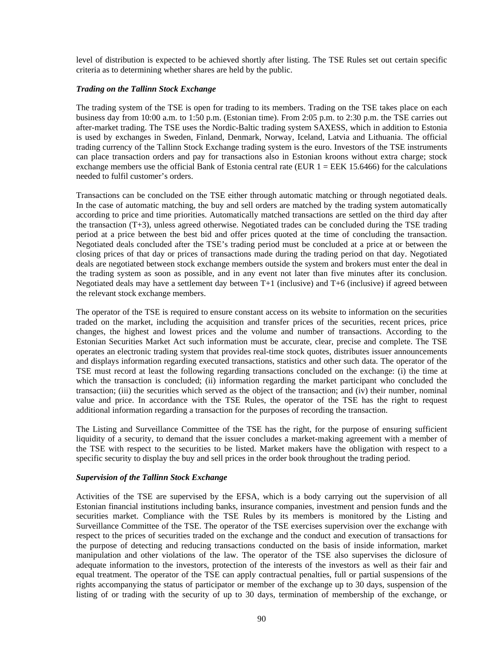level of distribution is expected to be achieved shortly after listing. The TSE Rules set out certain specific criteria as to determining whether shares are held by the public.

## *Trading on the Tallinn Stock Exchange*

The trading system of the TSE is open for trading to its members. Trading on the TSE takes place on each business day from 10:00 a.m. to 1:50 p.m. (Estonian time). From 2:05 p.m. to 2:30 p.m. the TSE carries out after-market trading. The TSE uses the Nordic-Baltic trading system SAXESS, which in addition to Estonia is used by exchanges in Sweden, Finland, Denmark, Norway, Iceland, Latvia and Lithuania. The official trading currency of the Tallinn Stock Exchange trading system is the euro. Investors of the TSE instruments can place transaction orders and pay for transactions also in Estonian kroons without extra charge; stock exchange members use the official Bank of Estonia central rate (EUR  $1 = EEK$  15.6466) for the calculations needed to fulfil customer's orders.

Transactions can be concluded on the TSE either through automatic matching or through negotiated deals. In the case of automatic matching, the buy and sell orders are matched by the trading system automatically according to price and time priorities. Automatically matched transactions are settled on the third day after the transaction (T+3), unless agreed otherwise. Negotiated trades can be concluded during the TSE trading period at a price between the best bid and offer prices quoted at the time of concluding the transaction. Negotiated deals concluded after the TSE's trading period must be concluded at a price at or between the closing prices of that day or prices of transactions made during the trading period on that day. Negotiated deals are negotiated between stock exchange members outside the system and brokers must enter the deal in the trading system as soon as possible, and in any event not later than five minutes after its conclusion. Negotiated deals may have a settlement day between T+1 (inclusive) and T+6 (inclusive) if agreed between the relevant stock exchange members.

The operator of the TSE is required to ensure constant access on its website to information on the securities traded on the market, including the acquisition and transfer prices of the securities, recent prices, price changes, the highest and lowest prices and the volume and number of transactions. According to the Estonian Securities Market Act such information must be accurate, clear, precise and complete. The TSE operates an electronic trading system that provides real-time stock quotes, distributes issuer announcements and displays information regarding executed transactions, statistics and other such data. The operator of the TSE must record at least the following regarding transactions concluded on the exchange: (i) the time at which the transaction is concluded; (ii) information regarding the market participant who concluded the transaction; (iii) the securities which served as the object of the transaction; and (iv) their number, nominal value and price. In accordance with the TSE Rules, the operator of the TSE has the right to request additional information regarding a transaction for the purposes of recording the transaction.

The Listing and Surveillance Committee of the TSE has the right, for the purpose of ensuring sufficient liquidity of a security, to demand that the issuer concludes a market-making agreement with a member of the TSE with respect to the securities to be listed. Market makers have the obligation with respect to a specific security to display the buy and sell prices in the order book throughout the trading period.

## *Supervision of the Tallinn Stock Exchange*

Activities of the TSE are supervised by the EFSA, which is a body carrying out the supervision of all Estonian financial institutions including banks, insurance companies, investment and pension funds and the securities market. Compliance with the TSE Rules by its members is monitored by the Listing and Surveillance Committee of the TSE. The operator of the TSE exercises supervision over the exchange with respect to the prices of securities traded on the exchange and the conduct and execution of transactions for the purpose of detecting and reducing transactions conducted on the basis of inside information, market manipulation and other violations of the law. The operator of the TSE also supervises the diclosure of adequate information to the investors, protection of the interests of the investors as well as their fair and equal treatment. The operator of the TSE can apply contractual penalties, full or partial suspensions of the rights accompanying the status of participator or member of the exchange up to 30 days, suspension of the listing of or trading with the security of up to 30 days, termination of membership of the exchange, or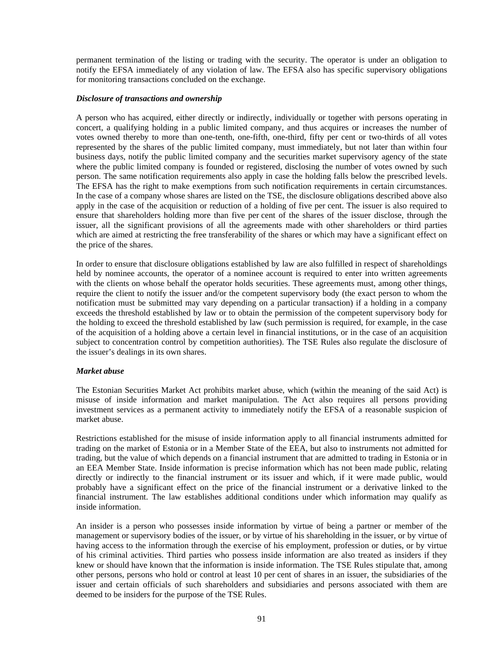permanent termination of the listing or trading with the security. The operator is under an obligation to notify the EFSA immediately of any violation of law. The EFSA also has specific supervisory obligations for monitoring transactions concluded on the exchange.

### *Disclosure of transactions and ownership*

A person who has acquired, either directly or indirectly, individually or together with persons operating in concert, a qualifying holding in a public limited company, and thus acquires or increases the number of votes owned thereby to more than one-tenth, one-fifth, one-third, fifty per cent or two-thirds of all votes represented by the shares of the public limited company, must immediately, but not later than within four business days, notify the public limited company and the securities market supervisory agency of the state where the public limited company is founded or registered, disclosing the number of votes owned by such person. The same notification requirements also apply in case the holding falls below the prescribed levels. The EFSA has the right to make exemptions from such notification requirements in certain circumstances. In the case of a company whose shares are listed on the TSE, the disclosure obligations described above also apply in the case of the acquisition or reduction of a holding of five per cent. The issuer is also required to ensure that shareholders holding more than five per cent of the shares of the issuer disclose, through the issuer, all the significant provisions of all the agreements made with other shareholders or third parties which are aimed at restricting the free transferability of the shares or which may have a significant effect on the price of the shares.

In order to ensure that disclosure obligations established by law are also fulfilled in respect of shareholdings held by nominee accounts, the operator of a nominee account is required to enter into written agreements with the clients on whose behalf the operator holds securities. These agreements must, among other things, require the client to notify the issuer and/or the competent supervisory body (the exact person to whom the notification must be submitted may vary depending on a particular transaction) if a holding in a company exceeds the threshold established by law or to obtain the permission of the competent supervisory body for the holding to exceed the threshold established by law (such permission is required, for example, in the case of the acquisition of a holding above a certain level in financial institutions, or in the case of an acquisition subject to concentration control by competition authorities). The TSE Rules also regulate the disclosure of the issuer's dealings in its own shares.

## *Market abuse*

The Estonian Securities Market Act prohibits market abuse, which (within the meaning of the said Act) is misuse of inside information and market manipulation. The Act also requires all persons providing investment services as a permanent activity to immediately notify the EFSA of a reasonable suspicion of market abuse.

Restrictions established for the misuse of inside information apply to all financial instruments admitted for trading on the market of Estonia or in a Member State of the EEA, but also to instruments not admitted for trading, but the value of which depends on a financial instrument that are admitted to trading in Estonia or in an EEA Member State. Inside information is precise information which has not been made public, relating directly or indirectly to the financial instrument or its issuer and which, if it were made public, would probably have a significant effect on the price of the financial instrument or a derivative linked to the financial instrument. The law establishes additional conditions under which information may qualify as inside information.

An insider is a person who possesses inside information by virtue of being a partner or member of the management or supervisory bodies of the issuer, or by virtue of his shareholding in the issuer, or by virtue of having access to the information through the exercise of his employment, profession or duties, or by virtue of his criminal activities. Third parties who possess inside information are also treated as insiders if they knew or should have known that the information is inside information. The TSE Rules stipulate that, among other persons, persons who hold or control at least 10 per cent of shares in an issuer, the subsidiaries of the issuer and certain officials of such shareholders and subsidiaries and persons associated with them are deemed to be insiders for the purpose of the TSE Rules.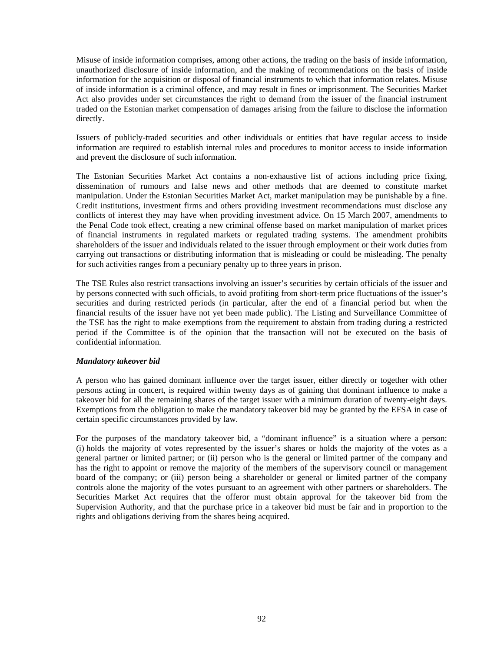Misuse of inside information comprises, among other actions, the trading on the basis of inside information, unauthorized disclosure of inside information, and the making of recommendations on the basis of inside information for the acquisition or disposal of financial instruments to which that information relates. Misuse of inside information is a criminal offence, and may result in fines or imprisonment. The Securities Market Act also provides under set circumstances the right to demand from the issuer of the financial instrument traded on the Estonian market compensation of damages arising from the failure to disclose the information directly.

Issuers of publicly-traded securities and other individuals or entities that have regular access to inside information are required to establish internal rules and procedures to monitor access to inside information and prevent the disclosure of such information.

The Estonian Securities Market Act contains a non-exhaustive list of actions including price fixing, dissemination of rumours and false news and other methods that are deemed to constitute market manipulation. Under the Estonian Securities Market Act, market manipulation may be punishable by a fine. Credit institutions, investment firms and others providing investment recommendations must disclose any conflicts of interest they may have when providing investment advice. On 15 March 2007, amendments to the Penal Code took effect, creating a new criminal offense based on market manipulation of market prices of financial instruments in regulated markets or regulated trading systems. The amendment prohibits shareholders of the issuer and individuals related to the issuer through employment or their work duties from carrying out transactions or distributing information that is misleading or could be misleading. The penalty for such activities ranges from a pecuniary penalty up to three years in prison.

The TSE Rules also restrict transactions involving an issuer's securities by certain officials of the issuer and by persons connected with such officials, to avoid profiting from short-term price fluctuations of the issuer's securities and during restricted periods (in particular, after the end of a financial period but when the financial results of the issuer have not yet been made public). The Listing and Surveillance Committee of the TSE has the right to make exemptions from the requirement to abstain from trading during a restricted period if the Committee is of the opinion that the transaction will not be executed on the basis of confidential information.

## *Mandatory takeover bid*

A person who has gained dominant influence over the target issuer, either directly or together with other persons acting in concert, is required within twenty days as of gaining that dominant influence to make a takeover bid for all the remaining shares of the target issuer with a minimum duration of twenty-eight days. Exemptions from the obligation to make the mandatory takeover bid may be granted by the EFSA in case of certain specific circumstances provided by law.

For the purposes of the mandatory takeover bid, a "dominant influence" is a situation where a person: (i) holds the majority of votes represented by the issuer's shares or holds the majority of the votes as a general partner or limited partner; or (ii) person who is the general or limited partner of the company and has the right to appoint or remove the majority of the members of the supervisory council or management board of the company; or (iii) person being a shareholder or general or limited partner of the company controls alone the majority of the votes pursuant to an agreement with other partners or shareholders. The Securities Market Act requires that the offeror must obtain approval for the takeover bid from the Supervision Authority, and that the purchase price in a takeover bid must be fair and in proportion to the rights and obligations deriving from the shares being acquired.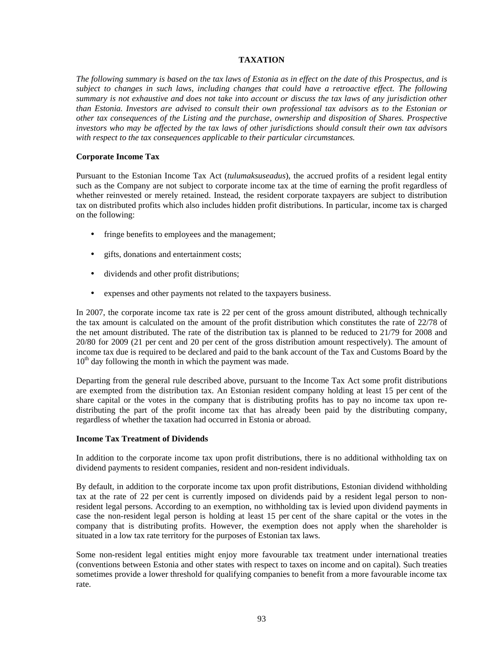## **TAXATION**

*The following summary is based on the tax laws of Estonia as in effect on the date of this Prospectus, and is subject to changes in such laws, including changes that could have a retroactive effect. The following summary is not exhaustive and does not take into account or discuss the tax laws of any jurisdiction other than Estonia. Investors are advised to consult their own professional tax advisors as to the Estonian or other tax consequences of the Listing and the purchase, ownership and disposition of Shares. Prospective investors who may be affected by the tax laws of other jurisdictions should consult their own tax advisors with respect to the tax consequences applicable to their particular circumstances.* 

## **Corporate Income Tax**

Pursuant to the Estonian Income Tax Act (*tulumaksuseadus*), the accrued profits of a resident legal entity such as the Company are not subject to corporate income tax at the time of earning the profit regardless of whether reinvested or merely retained. Instead, the resident corporate taxpayers are subject to distribution tax on distributed profits which also includes hidden profit distributions. In particular, income tax is charged on the following:

- fringe benefits to employees and the management;
- gifts, donations and entertainment costs;
- dividends and other profit distributions;
- expenses and other payments not related to the taxpayers business.

In 2007, the corporate income tax rate is 22 per cent of the gross amount distributed, although technically the tax amount is calculated on the amount of the profit distribution which constitutes the rate of 22/78 of the net amount distributed. The rate of the distribution tax is planned to be reduced to 21/79 for 2008 and 20/80 for 2009 (21 per cent and 20 per cent of the gross distribution amount respectively). The amount of income tax due is required to be declared and paid to the bank account of the Tax and Customs Board by the  $10<sup>th</sup>$  day following the month in which the payment was made.

Departing from the general rule described above, pursuant to the Income Tax Act some profit distributions are exempted from the distribution tax. An Estonian resident company holding at least 15 per cent of the share capital or the votes in the company that is distributing profits has to pay no income tax upon redistributing the part of the profit income tax that has already been paid by the distributing company, regardless of whether the taxation had occurred in Estonia or abroad.

## **Income Tax Treatment of Dividends**

In addition to the corporate income tax upon profit distributions, there is no additional withholding tax on dividend payments to resident companies, resident and non-resident individuals.

By default, in addition to the corporate income tax upon profit distributions, Estonian dividend withholding tax at the rate of 22 per cent is currently imposed on dividends paid by a resident legal person to nonresident legal persons. According to an exemption, no withholding tax is levied upon dividend payments in case the non-resident legal person is holding at least 15 per cent of the share capital or the votes in the company that is distributing profits. However, the exemption does not apply when the shareholder is situated in a low tax rate territory for the purposes of Estonian tax laws.

Some non-resident legal entities might enjoy more favourable tax treatment under international treaties (conventions between Estonia and other states with respect to taxes on income and on capital). Such treaties sometimes provide a lower threshold for qualifying companies to benefit from a more favourable income tax rate.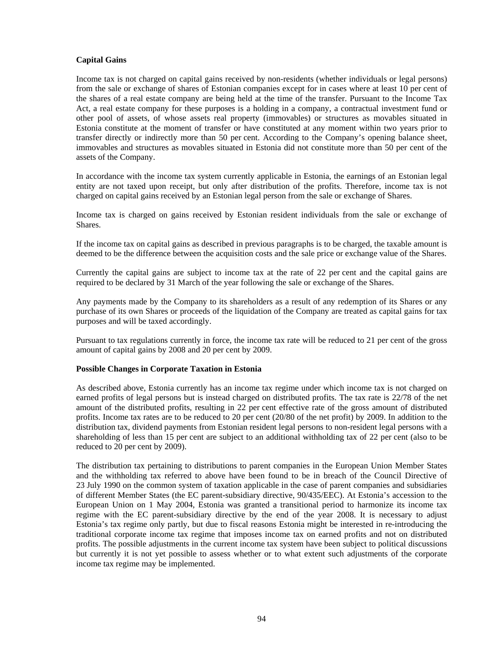## **Capital Gains**

Income tax is not charged on capital gains received by non-residents (whether individuals or legal persons) from the sale or exchange of shares of Estonian companies except for in cases where at least 10 per cent of the shares of a real estate company are being held at the time of the transfer. Pursuant to the Income Tax Act, a real estate company for these purposes is a holding in a company, a contractual investment fund or other pool of assets, of whose assets real property (immovables) or structures as movables situated in Estonia constitute at the moment of transfer or have constituted at any moment within two years prior to transfer directly or indirectly more than 50 per cent. According to the Company's opening balance sheet, immovables and structures as movables situated in Estonia did not constitute more than 50 per cent of the assets of the Company.

In accordance with the income tax system currently applicable in Estonia, the earnings of an Estonian legal entity are not taxed upon receipt, but only after distribution of the profits. Therefore, income tax is not charged on capital gains received by an Estonian legal person from the sale or exchange of Shares.

Income tax is charged on gains received by Estonian resident individuals from the sale or exchange of Shares.

If the income tax on capital gains as described in previous paragraphs is to be charged, the taxable amount is deemed to be the difference between the acquisition costs and the sale price or exchange value of the Shares.

Currently the capital gains are subject to income tax at the rate of 22 per cent and the capital gains are required to be declared by 31 March of the year following the sale or exchange of the Shares.

Any payments made by the Company to its shareholders as a result of any redemption of its Shares or any purchase of its own Shares or proceeds of the liquidation of the Company are treated as capital gains for tax purposes and will be taxed accordingly.

Pursuant to tax regulations currently in force, the income tax rate will be reduced to 21 per cent of the gross amount of capital gains by 2008 and 20 per cent by 2009.

## **Possible Changes in Corporate Taxation in Estonia**

As described above, Estonia currently has an income tax regime under which income tax is not charged on earned profits of legal persons but is instead charged on distributed profits. The tax rate is 22/78 of the net amount of the distributed profits, resulting in 22 per cent effective rate of the gross amount of distributed profits. Income tax rates are to be reduced to 20 per cent (20/80 of the net profit) by 2009. In addition to the distribution tax, dividend payments from Estonian resident legal persons to non-resident legal persons with a shareholding of less than 15 per cent are subject to an additional withholding tax of 22 per cent (also to be reduced to 20 per cent by 2009).

The distribution tax pertaining to distributions to parent companies in the European Union Member States and the withholding tax referred to above have been found to be in breach of the Council Directive of 23 July 1990 on the common system of taxation applicable in the case of parent companies and subsidiaries of different Member States (the EC parent-subsidiary directive, 90/435/EEC). At Estonia's accession to the European Union on 1 May 2004, Estonia was granted a transitional period to harmonize its income tax regime with the EC parent-subsidiary directive by the end of the year 2008. It is necessary to adjust Estonia's tax regime only partly, but due to fiscal reasons Estonia might be interested in re-introducing the traditional corporate income tax regime that imposes income tax on earned profits and not on distributed profits. The possible adjustments in the current income tax system have been subject to political discussions but currently it is not yet possible to assess whether or to what extent such adjustments of the corporate income tax regime may be implemented.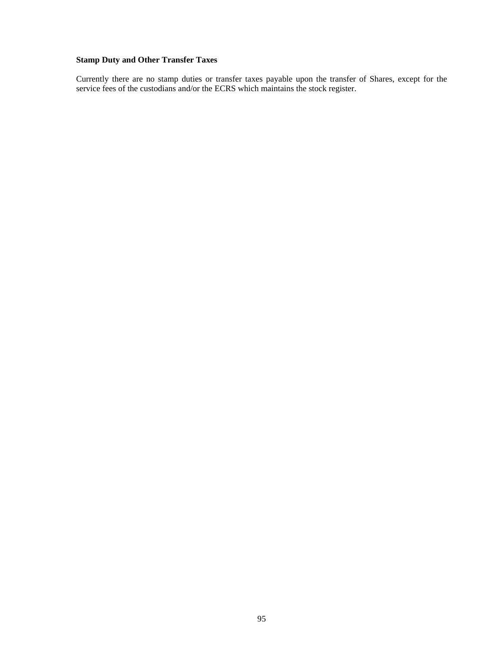# **Stamp Duty and Other Transfer Taxes**

Currently there are no stamp duties or transfer taxes payable upon the transfer of Shares, except for the service fees of the custodians and/or the ECRS which maintains the stock register.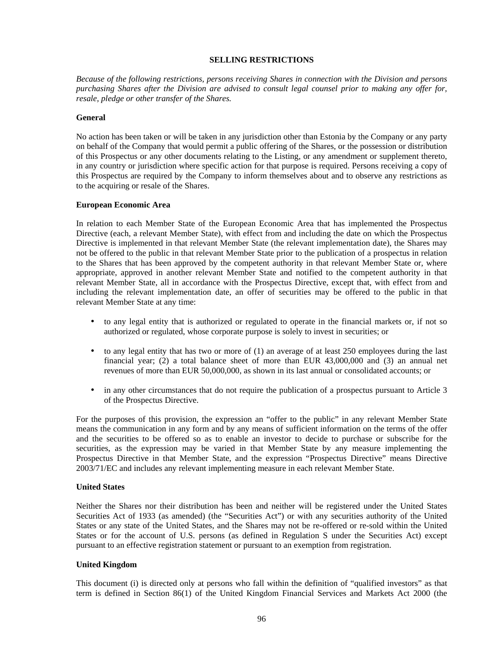#### **SELLING RESTRICTIONS**

*Because of the following restrictions, persons receiving Shares in connection with the Division and persons purchasing Shares after the Division are advised to consult legal counsel prior to making any offer for, resale, pledge or other transfer of the Shares.* 

### **General**

No action has been taken or will be taken in any jurisdiction other than Estonia by the Company or any party on behalf of the Company that would permit a public offering of the Shares, or the possession or distribution of this Prospectus or any other documents relating to the Listing, or any amendment or supplement thereto, in any country or jurisdiction where specific action for that purpose is required. Persons receiving a copy of this Prospectus are required by the Company to inform themselves about and to observe any restrictions as to the acquiring or resale of the Shares.

### **European Economic Area**

In relation to each Member State of the European Economic Area that has implemented the Prospectus Directive (each, a relevant Member State), with effect from and including the date on which the Prospectus Directive is implemented in that relevant Member State (the relevant implementation date), the Shares may not be offered to the public in that relevant Member State prior to the publication of a prospectus in relation to the Shares that has been approved by the competent authority in that relevant Member State or, where appropriate, approved in another relevant Member State and notified to the competent authority in that relevant Member State, all in accordance with the Prospectus Directive, except that, with effect from and including the relevant implementation date, an offer of securities may be offered to the public in that relevant Member State at any time:

- to any legal entity that is authorized or regulated to operate in the financial markets or, if not so authorized or regulated, whose corporate purpose is solely to invest in securities; or
- to any legal entity that has two or more of (1) an average of at least 250 employees during the last financial year; (2) a total balance sheet of more than EUR 43,000,000 and (3) an annual net revenues of more than EUR 50,000,000, as shown in its last annual or consolidated accounts; or
- in any other circumstances that do not require the publication of a prospectus pursuant to Article 3 of the Prospectus Directive.

For the purposes of this provision, the expression an "offer to the public" in any relevant Member State means the communication in any form and by any means of sufficient information on the terms of the offer and the securities to be offered so as to enable an investor to decide to purchase or subscribe for the securities, as the expression may be varied in that Member State by any measure implementing the Prospectus Directive in that Member State, and the expression "Prospectus Directive" means Directive 2003/71/EC and includes any relevant implementing measure in each relevant Member State.

## **United States**

Neither the Shares nor their distribution has been and neither will be registered under the United States Securities Act of 1933 (as amended) (the "Securities Act") or with any securities authority of the United States or any state of the United States, and the Shares may not be re-offered or re-sold within the United States or for the account of U.S. persons (as defined in Regulation S under the Securities Act) except pursuant to an effective registration statement or pursuant to an exemption from registration.

## **United Kingdom**

This document (i) is directed only at persons who fall within the definition of "qualified investors" as that term is defined in Section 86(1) of the United Kingdom Financial Services and Markets Act 2000 (the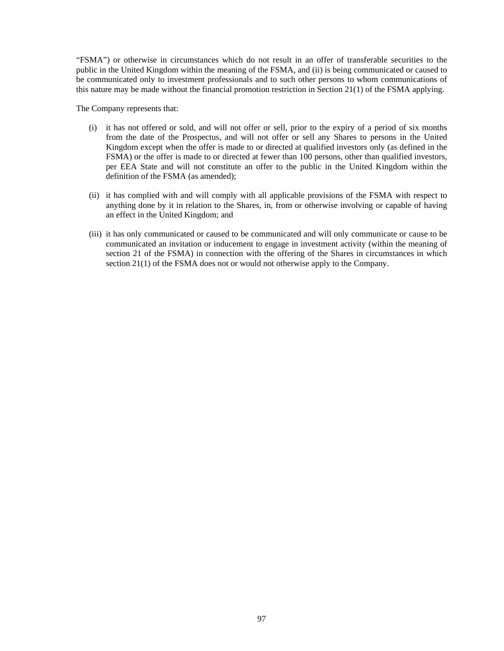"FSMA") or otherwise in circumstances which do not result in an offer of transferable securities to the public in the United Kingdom within the meaning of the FSMA, and (ii) is being communicated or caused to be communicated only to investment professionals and to such other persons to whom communications of this nature may be made without the financial promotion restriction in Section 21(1) of the FSMA applying.

The Company represents that:

- (i) it has not offered or sold, and will not offer or sell, prior to the expiry of a period of six months from the date of the Prospectus, and will not offer or sell any Shares to persons in the United Kingdom except when the offer is made to or directed at qualified investors only (as defined in the FSMA) or the offer is made to or directed at fewer than 100 persons, other than qualified investors, per EEA State and will not constitute an offer to the public in the United Kingdom within the definition of the FSMA (as amended);
- (ii) it has complied with and will comply with all applicable provisions of the FSMA with respect to anything done by it in relation to the Shares, in, from or otherwise involving or capable of having an effect in the United Kingdom; and
- (iii) it has only communicated or caused to be communicated and will only communicate or cause to be communicated an invitation or inducement to engage in investment activity (within the meaning of section 21 of the FSMA) in connection with the offering of the Shares in circumstances in which section 21(1) of the FSMA does not or would not otherwise apply to the Company.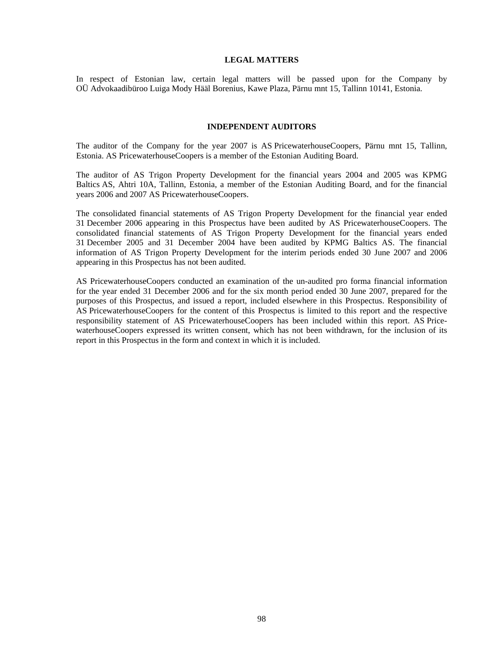#### **LEGAL MATTERS**

In respect of Estonian law, certain legal matters will be passed upon for the Company by OÜ Advokaadibüroo Luiga Mody Hääl Borenius, Kawe Plaza, Pärnu mnt 15, Tallinn 10141, Estonia.

## **INDEPENDENT AUDITORS**

The auditor of the Company for the year 2007 is AS PricewaterhouseCoopers, Pärnu mnt 15, Tallinn, Estonia. AS PricewaterhouseCoopers is a member of the Estonian Auditing Board.

The auditor of AS Trigon Property Development for the financial years 2004 and 2005 was KPMG Baltics AS, Ahtri 10A, Tallinn, Estonia, a member of the Estonian Auditing Board, and for the financial years 2006 and 2007 AS PricewaterhouseCoopers.

The consolidated financial statements of AS Trigon Property Development for the financial year ended 31 December 2006 appearing in this Prospectus have been audited by AS PricewaterhouseCoopers. The consolidated financial statements of AS Trigon Property Development for the financial years ended 31 December 2005 and 31 December 2004 have been audited by KPMG Baltics AS. The financial information of AS Trigon Property Development for the interim periods ended 30 June 2007 and 2006 appearing in this Prospectus has not been audited.

AS PricewaterhouseCoopers conducted an examination of the un-audited pro forma financial information for the year ended 31 December 2006 and for the six month period ended 30 June 2007, prepared for the purposes of this Prospectus, and issued a report, included elsewhere in this Prospectus. Responsibility of AS PricewaterhouseCoopers for the content of this Prospectus is limited to this report and the respective responsibility statement of AS PricewaterhouseCoopers has been included within this report. AS PricewaterhouseCoopers expressed its written consent, which has not been withdrawn, for the inclusion of its report in this Prospectus in the form and context in which it is included.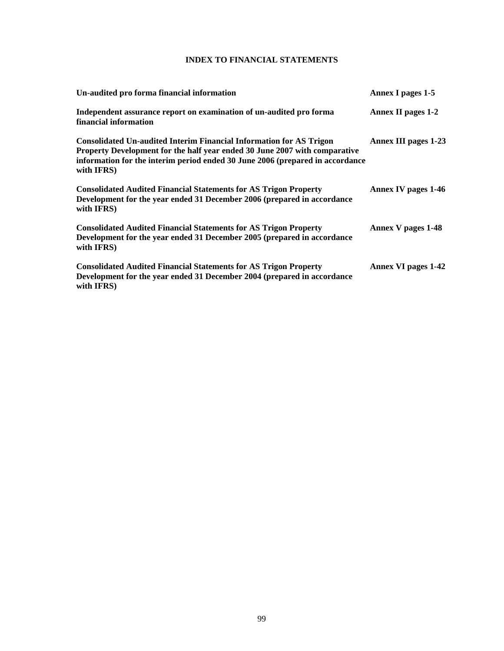# **INDEX TO FINANCIAL STATEMENTS**

| Un-audited pro forma financial information                                                                                                                                                                                                       | <b>Annex I pages 1-5</b>    |
|--------------------------------------------------------------------------------------------------------------------------------------------------------------------------------------------------------------------------------------------------|-----------------------------|
| Independent assurance report on examination of un-audited pro forma<br>financial information                                                                                                                                                     | Annex II pages 1-2          |
| Consolidated Un-audited Interim Financial Information for AS Trigon<br>Property Development for the half year ended 30 June 2007 with comparative<br>information for the interim period ended 30 June 2006 (prepared in accordance<br>with IFRS) | <b>Annex III pages 1-23</b> |
| <b>Consolidated Audited Financial Statements for AS Trigon Property</b><br>Development for the year ended 31 December 2006 (prepared in accordance<br>with IFRS)                                                                                 | <b>Annex IV pages 1-46</b>  |
| <b>Consolidated Audited Financial Statements for AS Trigon Property</b><br>Development for the year ended 31 December 2005 (prepared in accordance<br>with IFRS)                                                                                 | Annex V pages 1-48          |
| <b>Consolidated Audited Financial Statements for AS Trigon Property</b><br>Development for the year ended 31 December 2004 (prepared in accordance<br>with IFRS)                                                                                 | <b>Annex VI pages 1-42</b>  |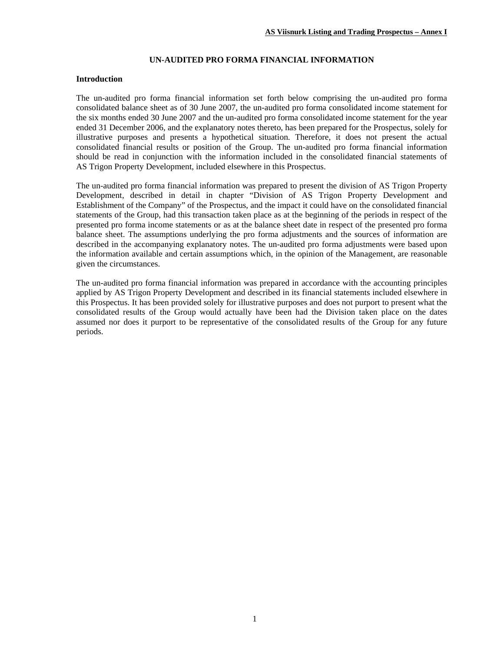## **UN-AUDITED PRO FORMA FINANCIAL INFORMATION**

#### **Introduction**

The un-audited pro forma financial information set forth below comprising the un-audited pro forma consolidated balance sheet as of 30 June 2007, the un-audited pro forma consolidated income statement for the six months ended 30 June 2007 and the un-audited pro forma consolidated income statement for the year ended 31 December 2006, and the explanatory notes thereto, has been prepared for the Prospectus, solely for illustrative purposes and presents a hypothetical situation. Therefore, it does not present the actual consolidated financial results or position of the Group. The un-audited pro forma financial information should be read in conjunction with the information included in the consolidated financial statements of AS Trigon Property Development, included elsewhere in this Prospectus.

The un-audited pro forma financial information was prepared to present the division of AS Trigon Property Development, described in detail in chapter "Division of AS Trigon Property Development and Establishment of the Company" of the Prospectus, and the impact it could have on the consolidated financial statements of the Group, had this transaction taken place as at the beginning of the periods in respect of the presented pro forma income statements or as at the balance sheet date in respect of the presented pro forma balance sheet. The assumptions underlying the pro forma adjustments and the sources of information are described in the accompanying explanatory notes. The un-audited pro forma adjustments were based upon the information available and certain assumptions which, in the opinion of the Management, are reasonable given the circumstances.

The un-audited pro forma financial information was prepared in accordance with the accounting principles applied by AS Trigon Property Development and described in its financial statements included elsewhere in this Prospectus. It has been provided solely for illustrative purposes and does not purport to present what the consolidated results of the Group would actually have been had the Division taken place on the dates assumed nor does it purport to be representative of the consolidated results of the Group for any future periods.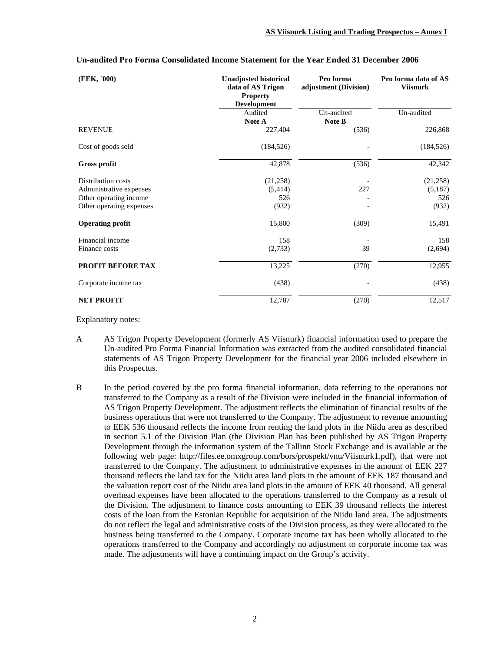| (EEK, '000)              | <b>Unadjusted historical</b><br>data of AS Trigon<br><b>Property</b><br><b>Development</b> | Pro forma<br>adjustment (Division) | Pro forma data of AS<br><b>Viisnurk</b> |
|--------------------------|--------------------------------------------------------------------------------------------|------------------------------------|-----------------------------------------|
|                          | Audited                                                                                    | Un-audited                         | Un-audited                              |
|                          | <b>Note A</b>                                                                              | Note B                             |                                         |
| <b>REVENUE</b>           | 227,404                                                                                    | (536)                              | 226,868                                 |
| Cost of goods sold       | (184, 526)                                                                                 |                                    | (184, 526)                              |
| <b>Gross profit</b>      | 42,878                                                                                     | (536)                              | 42,342                                  |
| Distribution costs       | (21, 258)                                                                                  |                                    | (21,258)                                |
| Administrative expenses  | (5,414)                                                                                    | 227                                | (5,187)                                 |
| Other operating income   | 526                                                                                        |                                    | 526                                     |
| Other operating expenses | (932)                                                                                      |                                    | (932)                                   |
| <b>Operating profit</b>  | 15,800                                                                                     | (309)                              | 15,491                                  |
| Financial income         | 158                                                                                        |                                    | 158                                     |
| Finance costs            | (2,733)                                                                                    | 39                                 | (2,694)                                 |
| <b>PROFIT BEFORE TAX</b> | 13,225                                                                                     | (270)                              | 12,955                                  |
| Corporate income tax     | (438)                                                                                      |                                    | (438)                                   |
| <b>NET PROFIT</b>        | 12,787                                                                                     | (270)                              | 12,517                                  |

#### **Un-audited Pro Forma Consolidated Income Statement for the Year Ended 31 December 2006**

Explanatory notes:

- A AS Trigon Property Development (formerly AS Viisnurk) financial information used to prepare the Un-audited Pro Forma Financial Information was extracted from the audited consolidated financial statements of AS Trigon Property Development for the financial year 2006 included elsewhere in this Prospectus.
- B In the period covered by the pro forma financial information, data referring to the operations not transferred to the Company as a result of the Division were included in the financial information of AS Trigon Property Development. The adjustment reflects the elimination of financial results of the business operations that were not transferred to the Company. The adjustment to revenue amounting to EEK 536 thousand reflects the income from renting the land plots in the Niidu area as described in section 5.1 of the Division Plan (the Division Plan has been published by AS Trigon Property Development through the information system of the Tallinn Stock Exchange and is available at the following web page: http://files.ee.omxgroup.com/bors/prospekt/vnu/Viisnurk1.pdf), that were not transferred to the Company. The adjustment to administrative expenses in the amount of EEK 227 thousand reflects the land tax for the Niidu area land plots in the amount of EEK 187 thousand and the valuation report cost of the Niidu area land plots in the amount of EEK 40 thousand. All general overhead expenses have been allocated to the operations transferred to the Company as a result of the Division. The adjustment to finance costs amounting to EEK 39 thousand reflects the interest costs of the loan from the Estonian Republic for acquisition of the Niidu land area. The adjustments do not reflect the legal and administrative costs of the Division process, as they were allocated to the business being transferred to the Company. Corporate income tax has been wholly allocated to the operations transferred to the Company and accordingly no adjustment to corporate income tax was made. The adjustments will have a continuing impact on the Group's activity.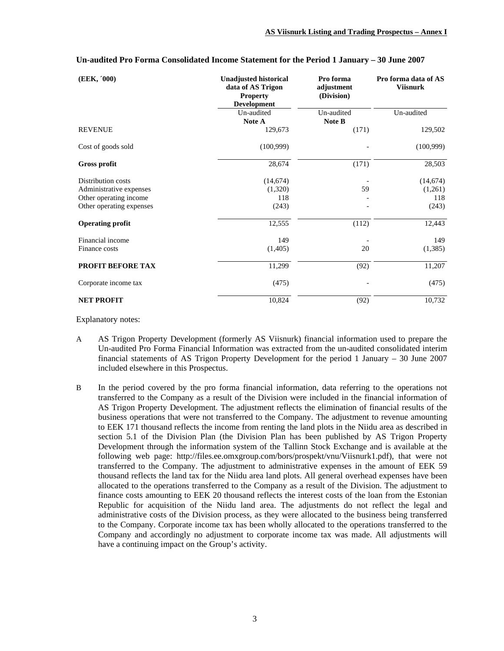| (EEK, '000)              | <b>Unadjusted historical</b><br>data of AS Trigon<br><b>Property</b><br><b>Development</b> | Pro forma<br>adjustment<br>(Division) | Pro forma data of AS<br><b>Viisnurk</b> |
|--------------------------|--------------------------------------------------------------------------------------------|---------------------------------------|-----------------------------------------|
|                          | Un-audited                                                                                 | Un-audited                            | Un-audited                              |
|                          | Note A                                                                                     | Note B                                |                                         |
| <b>REVENUE</b>           | 129,673                                                                                    | (171)                                 | 129,502                                 |
| Cost of goods sold       | (100,999)                                                                                  |                                       | (100, 999)                              |
| <b>Gross profit</b>      | 28,674                                                                                     | (171)                                 | 28,503                                  |
| Distribution costs       | (14,674)                                                                                   |                                       | (14, 674)                               |
| Administrative expenses  | (1,320)                                                                                    | 59                                    | (1,261)                                 |
| Other operating income   | 118                                                                                        |                                       | 118                                     |
| Other operating expenses | (243)                                                                                      |                                       | (243)                                   |
| <b>Operating profit</b>  | 12,555                                                                                     | (112)                                 | 12,443                                  |
| Financial income         | 149                                                                                        |                                       | 149                                     |
| Finance costs            | (1,405)                                                                                    | 20                                    | (1,385)                                 |
| PROFIT BEFORE TAX        | 11,299                                                                                     | (92)                                  | 11,207                                  |
| Corporate income tax     | (475)                                                                                      |                                       | (475)                                   |
| <b>NET PROFIT</b>        | 10,824                                                                                     | (92)                                  | 10,732                                  |

#### **Un-audited Pro Forma Consolidated Income Statement for the Period 1 January – 30 June 2007**

Explanatory notes:

- A AS Trigon Property Development (formerly AS Viisnurk) financial information used to prepare the Un-audited Pro Forma Financial Information was extracted from the un-audited consolidated interim financial statements of AS Trigon Property Development for the period 1 January – 30 June 2007 included elsewhere in this Prospectus.
- B In the period covered by the pro forma financial information, data referring to the operations not transferred to the Company as a result of the Division were included in the financial information of AS Trigon Property Development. The adjustment reflects the elimination of financial results of the business operations that were not transferred to the Company. The adjustment to revenue amounting to EEK 171 thousand reflects the income from renting the land plots in the Niidu area as described in section 5.1 of the Division Plan (the Division Plan has been published by AS Trigon Property Development through the information system of the Tallinn Stock Exchange and is available at the following web page: http://files.ee.omxgroup.com/bors/prospekt/vnu/Viisnurk1.pdf), that were not transferred to the Company. The adjustment to administrative expenses in the amount of EEK 59 thousand reflects the land tax for the Niidu area land plots. All general overhead expenses have been allocated to the operations transferred to the Company as a result of the Division. The adjustment to finance costs amounting to EEK 20 thousand reflects the interest costs of the loan from the Estonian Republic for acquisition of the Niidu land area. The adjustments do not reflect the legal and administrative costs of the Division process, as they were allocated to the business being transferred to the Company. Corporate income tax has been wholly allocated to the operations transferred to the Company and accordingly no adjustment to corporate income tax was made. All adjustments will have a continuing impact on the Group's activity.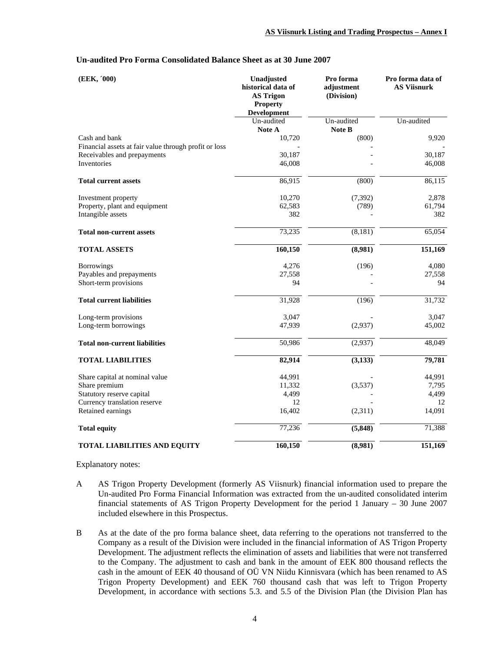| (EEK, '000)                                           | Unadjusted<br>historical data of<br><b>AS Trigon</b><br><b>Property</b><br>Development | Pro forma<br>adjustment<br>(Division) | Pro forma data of<br><b>AS Viisnurk</b> |
|-------------------------------------------------------|----------------------------------------------------------------------------------------|---------------------------------------|-----------------------------------------|
|                                                       | Un-audited<br>Note A                                                                   | Un-audited<br>Note B                  | Un-audited                              |
| Cash and bank                                         | 10,720                                                                                 | (800)                                 | 9,920                                   |
| Financial assets at fair value through profit or loss |                                                                                        |                                       |                                         |
| Receivables and prepayments                           | 30,187                                                                                 |                                       | 30,187                                  |
| <b>Inventories</b>                                    | 46,008                                                                                 |                                       | 46,008                                  |
| <b>Total current assets</b>                           | 86,915                                                                                 | (800)                                 | 86,115                                  |
| Investment property                                   | 10,270                                                                                 | (7, 392)                              | 2,878                                   |
| Property, plant and equipment                         | 62,583                                                                                 | (789)                                 | 61,794                                  |
| Intangible assets                                     | 382                                                                                    |                                       | 382                                     |
| <b>Total non-current assets</b>                       | 73,235                                                                                 | (8,181)                               | 65,054                                  |
| <b>TOTAL ASSETS</b>                                   | 160,150                                                                                | (8,981)                               | 151,169                                 |
| <b>Borrowings</b>                                     | 4,276                                                                                  | (196)                                 | 4,080                                   |
| Payables and prepayments                              | 27,558                                                                                 |                                       | 27,558                                  |
| Short-term provisions                                 | 94                                                                                     |                                       | 94                                      |
| <b>Total current liabilities</b>                      | 31,928                                                                                 | (196)                                 | 31,732                                  |
| Long-term provisions                                  | 3,047                                                                                  |                                       | 3,047                                   |
| Long-term borrowings                                  | 47,939                                                                                 | (2,937)                               | 45,002                                  |
| <b>Total non-current liabilities</b>                  | 50,986                                                                                 | (2,937)                               | 48,049                                  |
| <b>TOTAL LIABILITIES</b>                              | 82,914                                                                                 | (3,133)                               | 79,781                                  |
| Share capital at nominal value                        | 44,991                                                                                 |                                       | 44,991                                  |
| Share premium                                         | 11,332                                                                                 | (3,537)                               | 7,795                                   |
| Statutory reserve capital                             | 4,499                                                                                  |                                       | 4,499                                   |
| Currency translation reserve                          | 12                                                                                     |                                       | 12                                      |
| Retained earnings                                     | 16,402                                                                                 | (2,311)                               | 14,091                                  |
| <b>Total equity</b>                                   | 77,236                                                                                 | (5, 848)                              | 71,388                                  |
| <b>TOTAL LIABILITIES AND EQUITY</b>                   | 160,150                                                                                | (8,981)                               | 151,169                                 |

## **Un-audited Pro Forma Consolidated Balance Sheet as at 30 June 2007**

Explanatory notes:

- A AS Trigon Property Development (formerly AS Viisnurk) financial information used to prepare the Un-audited Pro Forma Financial Information was extracted from the un-audited consolidated interim financial statements of AS Trigon Property Development for the period 1 January – 30 June 2007 included elsewhere in this Prospectus.
- B As at the date of the pro forma balance sheet, data referring to the operations not transferred to the Company as a result of the Division were included in the financial information of AS Trigon Property Development. The adjustment reflects the elimination of assets and liabilities that were not transferred to the Company. The adjustment to cash and bank in the amount of EEK 800 thousand reflects the cash in the amount of EEK 40 thousand of OÜ VN Niidu Kinnisvara (which has been renamed to AS Trigon Property Development) and EEK 760 thousand cash that was left to Trigon Property Development, in accordance with sections 5.3. and 5.5 of the Division Plan (the Division Plan has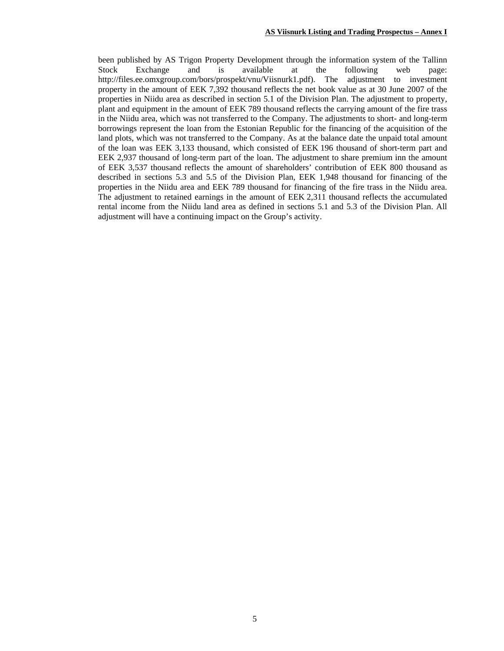been published by AS Trigon Property Development through the information system of the Tallinn Stock Exchange and is available at the following web page: http://files.ee.omxgroup.com/bors/prospekt/vnu/Viisnurk1.pdf). The adjustment to investment property in the amount of EEK 7,392 thousand reflects the net book value as at 30 June 2007 of the properties in Niidu area as described in section 5.1 of the Division Plan. The adjustment to property, plant and equipment in the amount of EEK 789 thousand reflects the carrying amount of the fire trass in the Niidu area, which was not transferred to the Company. The adjustments to short- and long-term borrowings represent the loan from the Estonian Republic for the financing of the acquisition of the land plots, which was not transferred to the Company. As at the balance date the unpaid total amount of the loan was EEK 3,133 thousand, which consisted of EEK 196 thousand of short-term part and EEK 2,937 thousand of long-term part of the loan. The adjustment to share premium inn the amount of EEK 3,537 thousand reflects the amount of shareholders' contribution of EEK 800 thousand as described in sections 5.3 and 5.5 of the Division Plan, EEK 1,948 thousand for financing of the properties in the Niidu area and EEK 789 thousand for financing of the fire trass in the Niidu area. The adjustment to retained earnings in the amount of EEK 2,311 thousand reflects the accumulated rental income from the Niidu land area as defined in sections 5.1 and 5.3 of the Division Plan. All adjustment will have a continuing impact on the Group's activity.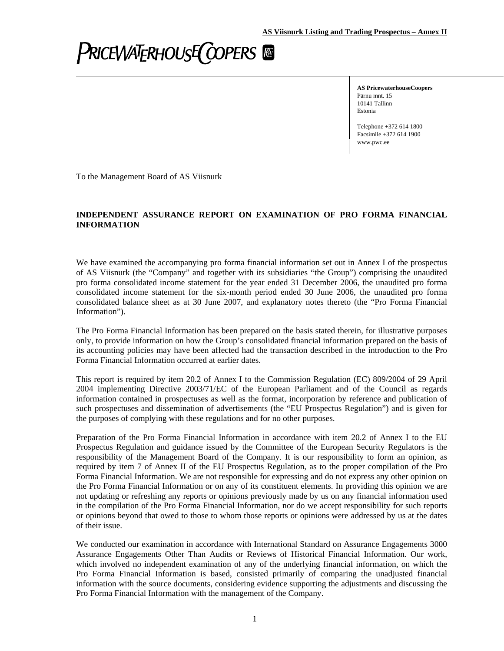# **PRICEWATERHOUSE COPERS**

**AS PricewaterhouseCoopers** Pärnu mnt. 15 10141 Tallinn Estonia

Telephone +372 614 1800 Facsimile +372 614 1900 www.pwc.ee

To the Management Board of AS Viisnurk

## **INDEPENDENT ASSURANCE REPORT ON EXAMINATION OF PRO FORMA FINANCIAL INFORMATION**

We have examined the accompanying pro forma financial information set out in Annex I of the prospectus of AS Viisnurk (the "Company" and together with its subsidiaries "the Group") comprising the unaudited pro forma consolidated income statement for the year ended 31 December 2006, the unaudited pro forma consolidated income statement for the six-month period ended 30 June 2006, the unaudited pro forma consolidated balance sheet as at 30 June 2007, and explanatory notes thereto (the "Pro Forma Financial Information").

The Pro Forma Financial Information has been prepared on the basis stated therein, for illustrative purposes only, to provide information on how the Group's consolidated financial information prepared on the basis of its accounting policies may have been affected had the transaction described in the introduction to the Pro Forma Financial Information occurred at earlier dates.

This report is required by item 20.2 of Annex I to the Commission Regulation (EC) 809/2004 of 29 April 2004 implementing Directive 2003/71/EC of the European Parliament and of the Council as regards information contained in prospectuses as well as the format, incorporation by reference and publication of such prospectuses and dissemination of advertisements (the "EU Prospectus Regulation") and is given for the purposes of complying with these regulations and for no other purposes.

Preparation of the Pro Forma Financial Information in accordance with item 20.2 of Annex I to the EU Prospectus Regulation and guidance issued by the Committee of the European Security Regulators is the responsibility of the Management Board of the Company. It is our responsibility to form an opinion, as required by item 7 of Annex II of the EU Prospectus Regulation, as to the proper compilation of the Pro Forma Financial Information. We are not responsible for expressing and do not express any other opinion on the Pro Forma Financial Information or on any of its constituent elements. In providing this opinion we are not updating or refreshing any reports or opinions previously made by us on any financial information used in the compilation of the Pro Forma Financial Information, nor do we accept responsibility for such reports or opinions beyond that owed to those to whom those reports or opinions were addressed by us at the dates of their issue.

We conducted our examination in accordance with International Standard on Assurance Engagements 3000 Assurance Engagements Other Than Audits or Reviews of Historical Financial Information. Our work, which involved no independent examination of any of the underlying financial information, on which the Pro Forma Financial Information is based, consisted primarily of comparing the unadjusted financial information with the source documents, considering evidence supporting the adjustments and discussing the Pro Forma Financial Information with the management of the Company.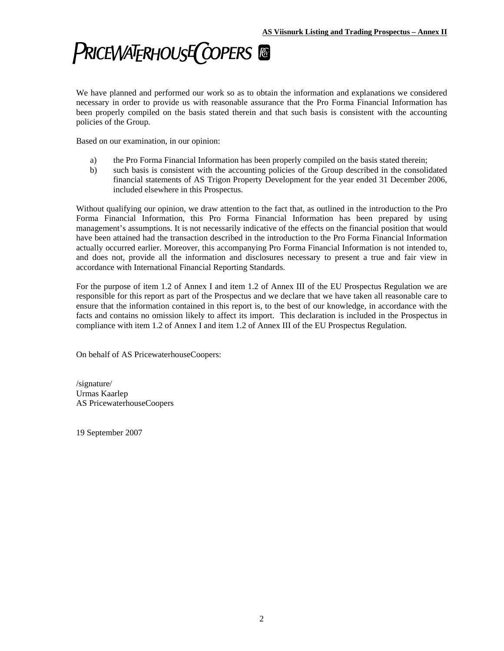# **PRICEWATERHOUSE COPERS**

We have planned and performed our work so as to obtain the information and explanations we considered necessary in order to provide us with reasonable assurance that the Pro Forma Financial Information has been properly compiled on the basis stated therein and that such basis is consistent with the accounting policies of the Group.

Based on our examination, in our opinion:

- a) the Pro Forma Financial Information has been properly compiled on the basis stated therein;
- b) such basis is consistent with the accounting policies of the Group described in the consolidated financial statements of AS Trigon Property Development for the year ended 31 December 2006, included elsewhere in this Prospectus.

Without qualifying our opinion, we draw attention to the fact that, as outlined in the introduction to the Pro Forma Financial Information, this Pro Forma Financial Information has been prepared by using management's assumptions. It is not necessarily indicative of the effects on the financial position that would have been attained had the transaction described in the introduction to the Pro Forma Financial Information actually occurred earlier. Moreover, this accompanying Pro Forma Financial Information is not intended to, and does not, provide all the information and disclosures necessary to present a true and fair view in accordance with International Financial Reporting Standards.

For the purpose of item 1.2 of Annex I and item 1.2 of Annex III of the EU Prospectus Regulation we are responsible for this report as part of the Prospectus and we declare that we have taken all reasonable care to ensure that the information contained in this report is, to the best of our knowledge, in accordance with the facts and contains no omission likely to affect its import. This declaration is included in the Prospectus in compliance with item 1.2 of Annex I and item 1.2 of Annex III of the EU Prospectus Regulation.

On behalf of AS PricewaterhouseCoopers:

/signature/ Urmas Kaarlep AS PricewaterhouseCoopers

19 September 2007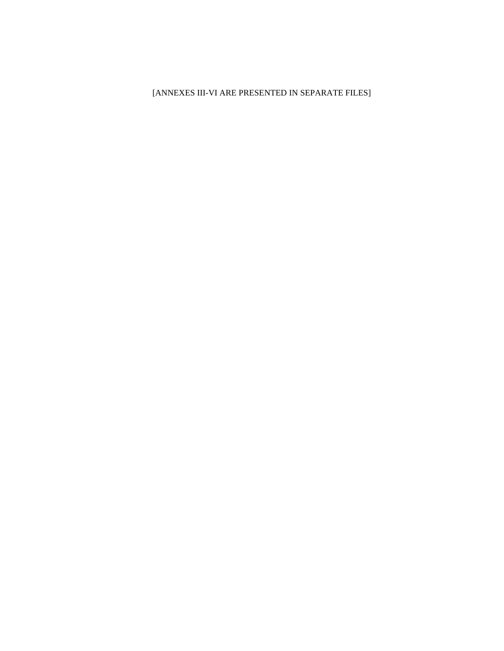[ANNEXES III-VI ARE PRESENTED IN SEPARATE FILES]